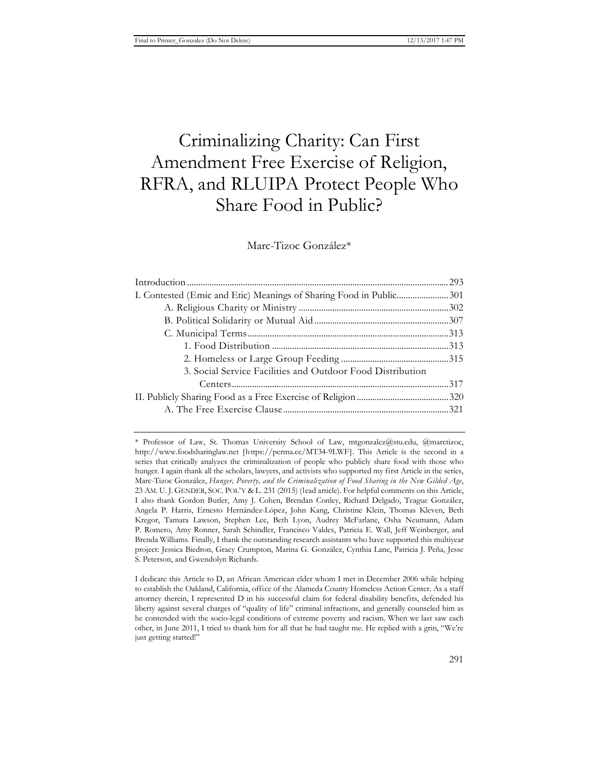# Criminalizing Charity: Can First Amendment Free Exercise of Religion, RFRA, and RLUIPA Protect People Who Share Food in Public?

Marc-Tizoc González\*

<sup>\*</sup> Professor of Law, St. Thomas University School of Law, mtgonzalez@stu.edu, @marctizoc, http://www.foodsharinglaw.net [https://perma.cc/MT34-9LWF]. This Article is the second in a series that critically analyzes the criminalization of people who publicly share food with those who hunger. I again thank all the scholars, lawyers, and activists who supported my first Article in the series, Marc-Tizoc González, *Hunger, Poverty, and the Criminalization of Food Sharing in the New Gilded Age*, 23 AM. U. J. GENDER, SOC. POL'Y & L. 231 (2015) (lead article). For helpful comments on this Article, I also thank Gordon Butler, Amy J. Cohen, Brendan Conley, Richard Delgado, Teague González, Angela P. Harris, Ernesto Hernández-López, John Kang, Christine Klein, Thomas Kleven, Beth Kregor, Tamara Lawson, Stephen Lee, Beth Lyon, Audrey McFarlane, Osha Neumann, Adam P. Romero, Amy Ronner, Sarah Schindler, Francisco Valdes, Patricia E. Wall, Jeff Weinberger, and Brenda Williams. Finally, I thank the outstanding research assistants who have supported this multiyear project: Jessica Biedron, Gracy Crumpton, Marina G. González, Cynthia Lane, Patricia J. Peña, Jesse S. Peterson, and Gwendolyn Richards.

I dedicate this Article to D, an African American elder whom I met in December 2006 while helping to establish the Oakland, California, office of the Alameda County Homeless Action Center. As a staff attorney therein, I represented D in his successful claim for federal disability benefits, defended his liberty against several charges of "quality of life" criminal infractions, and generally counseled him as he contended with the socio-legal conditions of extreme poverty and racism. When we last saw each other, in June 2011, I tried to thank him for all that he had taught me. He replied with a grin, "We're just getting started!"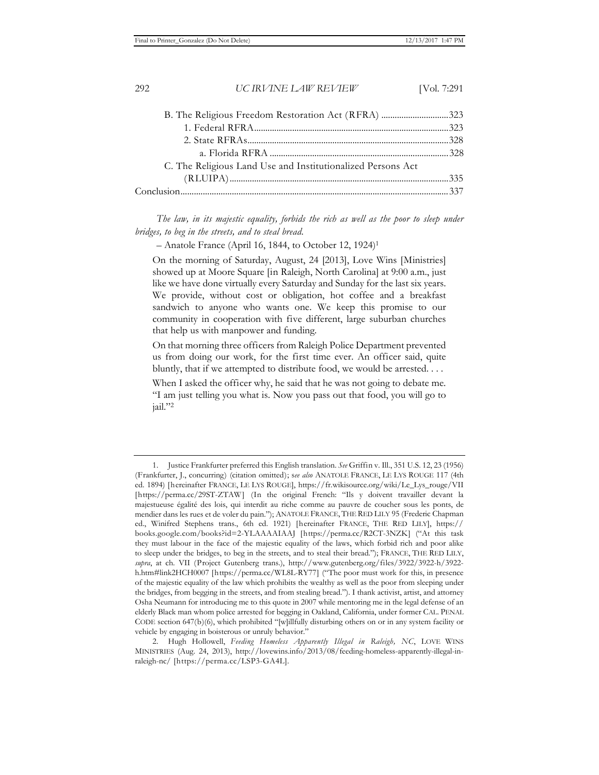| B. The Religious Freedom Restoration Act (RFRA) 323         |  |
|-------------------------------------------------------------|--|
|                                                             |  |
|                                                             |  |
|                                                             |  |
| C. The Religious Land Use and Institutionalized Persons Act |  |
|                                                             |  |
|                                                             |  |
|                                                             |  |

The law, in its majestic equality, forbids the rich as well as the poor to sleep under *bridges, to beg in the streets, and to steal bread.*

– Anatole France (April 16, 1844, to October 12, 1924)1

On the morning of Saturday, August, 24 [2013], Love Wins [Ministries] showed up at Moore Square [in Raleigh, North Carolina] at 9:00 a.m., just like we have done virtually every Saturday and Sunday for the last six years. We provide, without cost or obligation, hot coffee and a breakfast sandwich to anyone who wants one. We keep this promise to our community in cooperation with five different, large suburban churches that help us with manpower and funding.

On that morning three officers from Raleigh Police Department prevented us from doing our work, for the first time ever. An officer said, quite bluntly, that if we attempted to distribute food, we would be arrested. . . .

When I asked the officer why, he said that he was not going to debate me. "I am just telling you what is. Now you pass out that food, you will go to jail."2

<sup>1.</sup> Justice Frankfurter preferred this English translation. *See* Griffin v. Ill., 351 U.S. 12, 23 (1956) (Frankfurter, J., concurring) (citation omitted); s*ee also* ANATOLE FRANCE, LE LYS ROUGE 117 (4th ed. 1894) [hereinafter FRANCE, LE LYS ROUGE], https://fr.wikisource.org/wiki/Le\_Lys\_rouge/VII [https://perma.cc/29ST-ZTAW] (In the original French: "Ils y doivent travailler devant la majestueuse égalité des lois, qui interdit au riche comme au pauvre de coucher sous les ponts, de mendier dans les rues et de voler du pain."); ANATOLE FRANCE, THE RED LILY 95 (Frederic Chapman ed., Winifred Stephens trans., 6th ed. 1921) [hereinafter FRANCE, THE RED LILY], https:// books.google.com/books?id=2-YLAAAAIAAJ [https://perma.cc/R2CT-3NZK] ("At this task they must labour in the face of the majestic equality of the laws, which forbid rich and poor alike to sleep under the bridges, to beg in the streets, and to steal their bread."); FRANCE, THE RED LILY, *supra*, at ch. VII (Project Gutenberg trans.), http://www.gutenberg.org/files/3922/3922-h/3922 h.htm#link2HCH0007 [https://perma.cc/WL8L-RY77] ("The poor must work for this, in presence of the majestic equality of the law which prohibits the wealthy as well as the poor from sleeping under the bridges, from begging in the streets, and from stealing bread."). I thank activist, artist, and attorney Osha Neumann for introducing me to this quote in 2007 while mentoring me in the legal defense of an elderly Black man whom police arrested for begging in Oakland, California, under former CAL. PENAL CODE section 647(b)(6), which prohibited "[w]illfully disturbing others on or in any system facility or vehicle by engaging in boisterous or unruly behavior."

<sup>2.</sup> Hugh Hollowell, *Feeding Homeless Apparently Illegal in Raleigh, NC*, LOVE WINS MINISTRIES (Aug. 24, 2013), http://lovewins.info/2013/08/feeding-homeless-apparently-illegal-inraleigh-nc/ [https://perma.cc/LSP3-GA4L].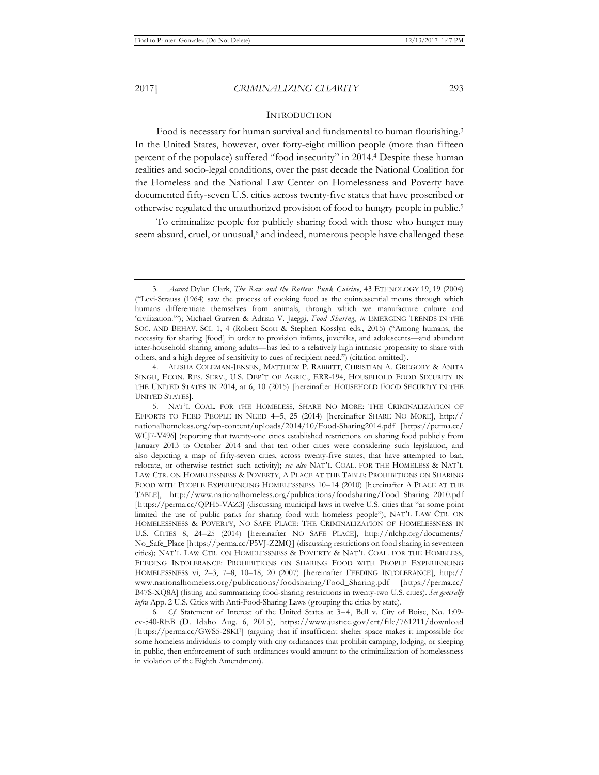#### INTRODUCTION

Food is necessary for human survival and fundamental to human flourishing.3 In the United States, however, over forty-eight million people (more than fifteen percent of the populace) suffered "food insecurity" in 2014.4 Despite these human realities and socio-legal conditions, over the past decade the National Coalition for the Homeless and the National Law Center on Homelessness and Poverty have documented fifty-seven U.S. cities across twenty-five states that have proscribed or otherwise regulated the unauthorized provision of food to hungry people in public.5

To criminalize people for publicly sharing food with those who hunger may seem absurd, cruel, or unusual,<sup>6</sup> and indeed, numerous people have challenged these

6*. Cf.* Statement of Interest of the United States at 3–4, Bell v. City of Boise, No. 1:09 cv-540-REB (D. Idaho Aug. 6, 2015), https://www.justice.gov/crt/file/761211/download [https://perma.cc/GWS5-28KF] (arguing that if insufficient shelter space makes it impossible for some homeless individuals to comply with city ordinances that prohibit camping, lodging, or sleeping in public, then enforcement of such ordinances would amount to the criminalization of homelessness in violation of the Eighth Amendment).

<sup>3</sup>*. Accord* Dylan Clark, *The Raw and the Rotten: Punk Cuisine*, 43 ETHNOLOGY 19, 19 (2004) ("Levi-Strauss (1964) saw the process of cooking food as the quintessential means through which humans differentiate themselves from animals, through which we manufacture culture and 'civilization.'"); Michael Gurven & Adrian V. Jaeggi, *Food Sharing*, *in* EMERGING TRENDS IN THE SOC. AND BEHAV. SCI. 1, 4 (Robert Scott & Stephen Kosslyn eds., 2015) ("Among humans, the necessity for sharing [food] in order to provision infants, juveniles, and adolescents—and abundant inter-household sharing among adults—has led to a relatively high intrinsic propensity to share with others, and a high degree of sensitivity to cues of recipient need.") (citation omitted).

<sup>4.</sup> ALISHA COLEMAN-JENSEN, MATTHEW P. RABBITT, CHRISTIAN A. GREGORY & ANITA SINGH, ECON. RES. SERV., U.S. DEP'T OF AGRIC., ERR-194, HOUSEHOLD FOOD SECURITY IN THE UNITED STATES IN 2014, at 6, 10 (2015) [hereinafter HOUSEHOLD FOOD SECURITY IN THE UNITED STATES].

<sup>5.</sup> NAT'L COAL. FOR THE HOMELESS, SHARE NO MORE: THE CRIMINALIZATION OF EFFORTS TO FEED PEOPLE IN NEED 4–5, 25 (2014) [hereinafter SHARE NO MORE], http:// nationalhomeless.org/wp-content/uploads/2014/10/Food-Sharing2014.pdf [https://perma.cc/ WCJ7-V496] (reporting that twenty-one cities established restrictions on sharing food publicly from January 2013 to October 2014 and that ten other cities were considering such legislation, and also depicting a map of fifty-seven cities, across twenty-five states, that have attempted to ban, relocate, or otherwise restrict such activity); *see also* NAT'L COAL. FOR THE HOMELESS & NAT'L LAW CTR. ON HOMELESSNESS & POVERTY, A PLACE AT THE TABLE: PROHIBITIONS ON SHARING FOOD WITH PEOPLE EXPERIENCING HOMELESSNESS 10–14 (2010) [hereinafter A PLACE AT THE TABLE], http://www.nationalhomeless.org/publications/foodsharing/Food\_Sharing\_2010.pdf [https://perma.cc/QPH5-VAZ3] (discussing municipal laws in twelve U.S. cities that "at some point limited the use of public parks for sharing food with homeless people"); NAT'L LAW CTR. ON HOMELESSNESS & POVERTY, NO SAFE PLACE: THE CRIMINALIZATION OF HOMELESSNESS IN U.S. CITIES 8, 24–25 (2014) [hereinafter NO SAFE PLACE], http://nlchp.org/documents/ No\_Safe\_Place [https://perma.cc/P5VJ-Z2MQ] (discussing restrictions on food sharing in seventeen cities); NAT'L LAW CTR. ON HOMELESSNESS & POVERTY & NAT'L COAL. FOR THE HOMELESS, FEEDING INTOLERANCE: PROHIBITIONS ON SHARING FOOD WITH PEOPLE EXPERIENCING HOMELESSNESS vi, 2–3, 7–8, 10–18, 20 (2007) [hereinafter FEEDING INTOLERANCE], http:// www.nationalhomeless.org/publications/foodsharing/Food\_Sharing.pdf [https://perma.cc/ B47S-XQ8A] (listing and summarizing food-sharing restrictions in twenty-two U.S. cities). *See generally infra* App. 2 U.S. Cities with Anti-Food-Sharing Laws (grouping the cities by state).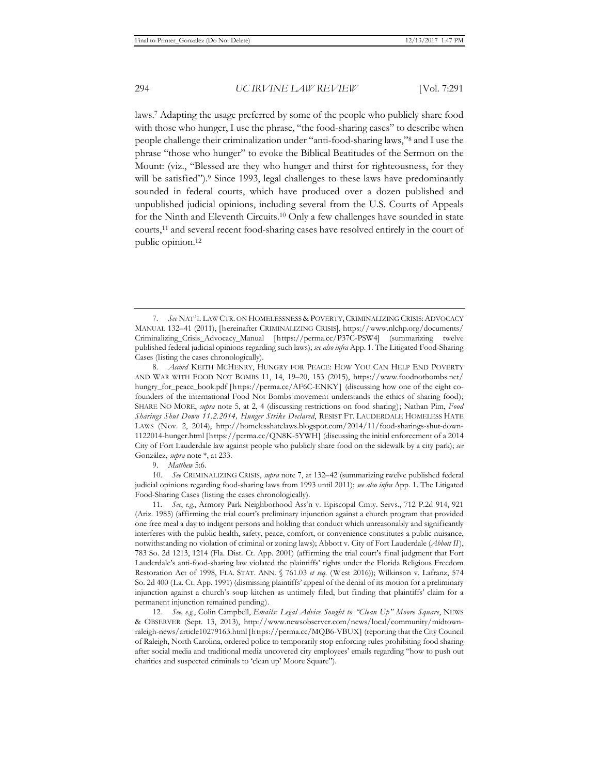laws.7 Adapting the usage preferred by some of the people who publicly share food with those who hunger, I use the phrase, "the food-sharing cases" to describe when people challenge their criminalization under "anti-food-sharing laws,"8 and I use the phrase "those who hunger" to evoke the Biblical Beatitudes of the Sermon on the Mount: (viz., "Blessed are they who hunger and thirst for righteousness, for they will be satisfied").<sup>9</sup> Since 1993, legal challenges to these laws have predominantly sounded in federal courts, which have produced over a dozen published and unpublished judicial opinions, including several from the U.S. Courts of Appeals for the Ninth and Eleventh Circuits.10 Only a few challenges have sounded in state courts,11 and several recent food-sharing cases have resolved entirely in the court of public opinion.12

9. *Matthew* 5:6.

10. *See* CRIMINALIZING CRISIS, *supra* note 7, at 132–42 (summarizing twelve published federal judicial opinions regarding food-sharing laws from 1993 until 2011); *see also infra* App. 1. The Litigated Food-Sharing Cases (listing the cases chronologically).

11. *See*, *e.g.*, Armory Park Neighborhood Ass'n v. Episcopal Cmty. Servs., 712 P.2d 914, 921 (Ariz. 1985) (affirming the trial court's preliminary injunction against a church program that provided one free meal a day to indigent persons and holding that conduct which unreasonably and significantly interferes with the public health, safety, peace, comfort, or convenience constitutes a public nuisance, notwithstanding no violation of criminal or zoning laws); Abbott v. City of Fort Lauderdale (*Abbott II*), 783 So. 2d 1213, 1214 (Fla. Dist. Ct. App. 2001) (affirming the trial court's final judgment that Fort Lauderdale's anti-food-sharing law violated the plaintiffs' rights under the Florida Religious Freedom Restoration Act of 1998, FLA. STAT. ANN. § 761.03 *et seq.* (West 2016)); Wilkinson v. Lafranz, 574 So. 2d 400 (La. Ct. App. 1991) (dismissing plaintiffs' appeal of the denial of its motion for a preliminary injunction against a church's soup kitchen as untimely filed, but finding that plaintiffs' claim for a permanent injunction remained pending).

12*. See, e.g.*, Colin Campbell, *Emails: Legal Advice Sought to "Clean Up" Moore Square*, NEWS & OBSERVER (Sept. 13, 2013), http://www.newsobserver.com/news/local/community/midtownraleigh-news/article10279163.html [https://perma.cc/MQB6-VBUX] (reporting that the City Council of Raleigh, North Carolina, ordered police to temporarily stop enforcing rules prohibiting food sharing after social media and traditional media uncovered city employees' emails regarding "how to push out charities and suspected criminals to 'clean up' Moore Square").

<sup>7</sup>*. See* NAT'L LAW CTR. ON HOMELESSNESS & POVERTY,CRIMINALIZING CRISIS:ADVOCACY MANUAL 132–41 (2011), [hereinafter CRIMINALIZING CRISIS], https://www.nlchp.org/documents/ Criminalizing\_Crisis\_Advocacy\_Manual [https://perma.cc/P37C-PSW4] (summarizing twelve published federal judicial opinions regarding such laws); *see also infra* App. 1. The Litigated Food-Sharing Cases (listing the cases chronologically).

<sup>8</sup>*. Accord* KEITH MCHENRY, HUNGRY FOR PEACE: HOW YOU CAN HELP END POVERTY AND WAR WITH FOOD NOT BOMBS 11, 14, 19–20, 153 (2015), https://www.foodnotbombs.net/ hungry\_for\_peace\_book.pdf [https://perma.cc/AF6C-ENKY] (discussing how one of the eight cofounders of the international Food Not Bombs movement understands the ethics of sharing food); SHARE NO MORE, *supra* note 5, at 2, 4 (discussing restrictions on food sharing); Nathan Pim, *Food Sharings Shut Down 11.2.2014, Hunger Strike Declared*, RESIST FT. LAUDERDALE HOMELESS HATE LAWS (Nov. 2, 2014), http://homelesshatelaws.blogspot.com/2014/11/food-sharings-shut-down-1122014-hunger.html [https://perma.cc/QN8K-5YWH] (discussing the initial enforcement of a 2014 City of Fort Lauderdale law against people who publicly share food on the sidewalk by a city park); *see*  González, *supra* note \*, at 233.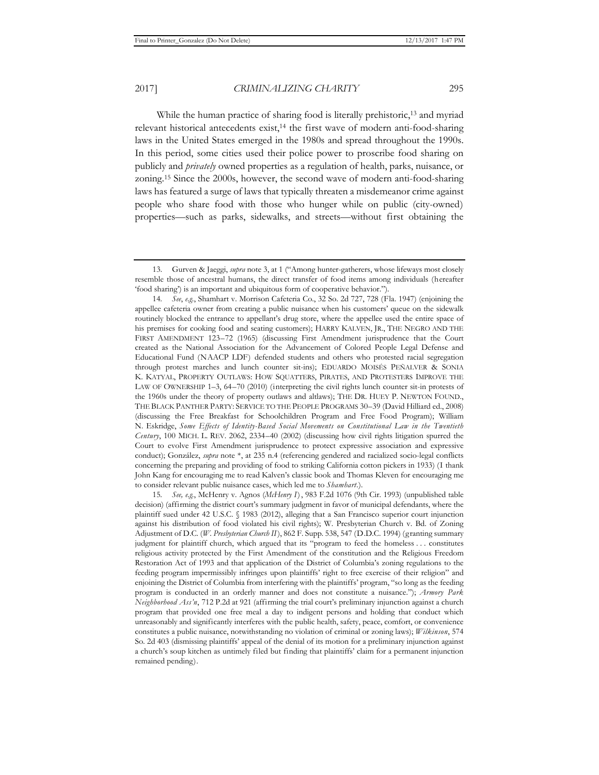While the human practice of sharing food is literally prehistoric,<sup>13</sup> and myriad relevant historical antecedents exist,14 the first wave of modern anti-food-sharing laws in the United States emerged in the 1980s and spread throughout the 1990s. In this period, some cities used their police power to proscribe food sharing on publicly and *privately* owned properties as a regulation of health, parks, nuisance, or zoning.15 Since the 2000s, however, the second wave of modern anti-food-sharing laws has featured a surge of laws that typically threaten a misdemeanor crime against people who share food with those who hunger while on public (city-owned) properties—such as parks, sidewalks, and streets—without first obtaining the

<sup>13.</sup> Gurven & Jaeggi, *supra* note 3, at 1 ("Among hunter-gatherers, whose lifeways most closely resemble those of ancestral humans, the direct transfer of food items among individuals (hereafter 'food sharing') is an important and ubiquitous form of cooperative behavior.").

<sup>14</sup>*. See*, *e.g.*, Shamhart v. Morrison Cafeteria Co., 32 So. 2d 727, 728 (Fla. 1947) (enjoining the appellee cafeteria owner from creating a public nuisance when his customers' queue on the sidewalk routinely blocked the entrance to appellant's drug store, where the appellee used the entire space of his premises for cooking food and seating customers); HARRY KALVEN, JR., THE NEGRO AND THE FIRST AMENDMENT 123–72 (1965) (discussing First Amendment jurisprudence that the Court created as the National Association for the Advancement of Colored People Legal Defense and Educational Fund (NAACP LDF) defended students and others who protested racial segregation through protest marches and lunch counter sit-ins); EDUARDO MOISÉS PEÑALVER & SONIA K. KATYAL, PROPERTY OUTLAWS: HOW SQUATTERS, PIRATES, AND PROTESTERS IMPROVE THE LAW OF OWNERSHIP 1–3, 64–70 (2010) (interpreting the civil rights lunch counter sit-in protests of the 1960s under the theory of property outlaws and altlaws); THE DR. HUEY P. NEWTON FOUND., THE BLACK PANTHER PARTY: SERVICE TO THE PEOPLE PROGRAMS 30–39 (David Hilliard ed., 2008) (discussing the Free Breakfast for Schoolchildren Program and Free Food Program); William N. Eskridge, *Some Effects of Identity-Based Social Movements on Constitutional Law in the Twentieth Century*, 100 MICH. L. REV. 2062, 2334–40 (2002) (discussing how civil rights litigation spurred the Court to evolve First Amendment jurisprudence to protect expressive association and expressive conduct); González, *supra* note \*, at 235 n.4 (referencing gendered and racialized socio-legal conflicts concerning the preparing and providing of food to striking California cotton pickers in 1933) (I thank John Kang for encouraging me to read Kalven's classic book and Thomas Kleven for encouraging me to consider relevant public nuisance cases, which led me to *Shamhart*.).

<sup>15</sup>*. See, e.g.*, McHenry v. Agnos (*McHenry I*), 983 F.2d 1076 (9th Cir. 1993) (unpublished table decision) (affirming the district court's summary judgment in favor of municipal defendants, where the plaintiff sued under 42 U.S.C. § 1983 (2012), alleging that a San Francisco superior court injunction against his distribution of food violated his civil rights); W. Presbyterian Church v. Bd. of Zoning Adjustment of D.C. (*W. Presbyterian Church II*), 862 F. Supp. 538, 547 (D.D.C. 1994) (granting summary judgment for plaintiff church, which argued that its "program to feed the homeless . . . constitutes religious activity protected by the First Amendment of the constitution and the Religious Freedom Restoration Act of 1993 and that application of the District of Columbia's zoning regulations to the feeding program impermissibly infringes upon plaintiffs' right to free exercise of their religion" and enjoining the District of Columbia from interfering with the plaintiffs' program, "so long as the feeding program is conducted in an orderly manner and does not constitute a nuisance."); *Armory Park Neighborhood Ass'n*, 712 P.2d at 921 (affirming the trial court's preliminary injunction against a church program that provided one free meal a day to indigent persons and holding that conduct which unreasonably and significantly interferes with the public health, safety, peace, comfort, or convenience constitutes a public nuisance, notwithstanding no violation of criminal or zoning laws); *Wilkinson*, 574 So. 2d 403 (dismissing plaintiffs' appeal of the denial of its motion for a preliminary injunction against a church's soup kitchen as untimely filed but finding that plaintiffs' claim for a permanent injunction remained pending).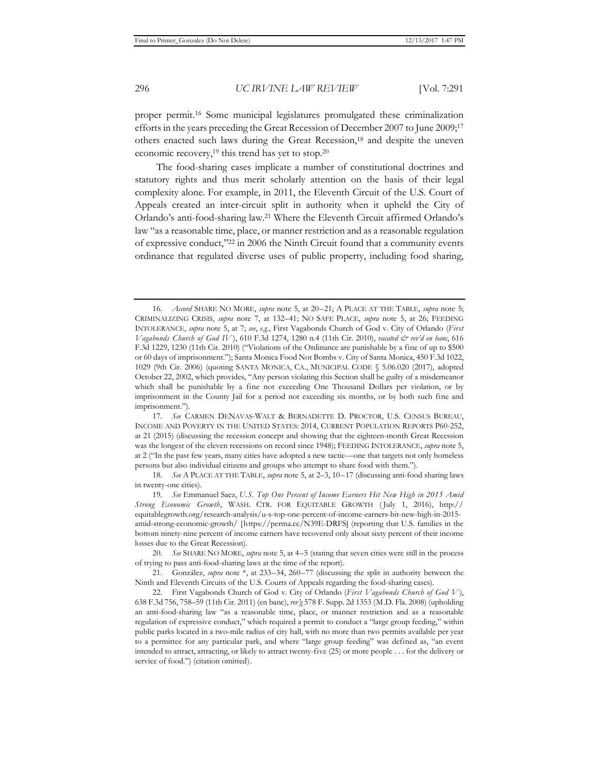proper permit.16 Some municipal legislatures promulgated these criminalization efforts in the years preceding the Great Recession of December 2007 to June 2009;17 others enacted such laws during the Great Recession,<sup>18</sup> and despite the uneven economic recovery,19 this trend has yet to stop.20

The food-sharing cases implicate a number of constitutional doctrines and statutory rights and thus merit scholarly attention on the basis of their legal complexity alone. For example, in 2011, the Eleventh Circuit of the U.S. Court of Appeals created an inter-circuit split in authority when it upheld the City of Orlando's anti-food-sharing law.21 Where the Eleventh Circuit affirmed Orlando's law "as a reasonable time, place, or manner restriction and as a reasonable regulation of expressive conduct,"22 in 2006 the Ninth Circuit found that a community events ordinance that regulated diverse uses of public property, including food sharing,

<sup>16</sup>*. Accord* SHARE NO MORE, *supra* note 5, at 20–21; A PLACE AT THE TABLE, *supra* note 5; CRIMINALIZING CRISIS, *supra* note 7, at 132–41; NO SAFE PLACE, *supra* note 5, at 26; FEEDING INTOLERANCE, *supra* note 5, at 7; *see*, *e.g.*, First Vagabonds Church of God v. City of Orlando (*First Vagabonds Church of God IV* ), 610 F.3d 1274, 1280 n.4 (11th Cir. 2010), *vacated & rev'd en banc*, 616 F.3d 1229, 1230 (11th Cir. 2010) ("Violations of the Ordinance are punishable by a fine of up to \$500 or 60 days of imprisonment."); Santa Monica Food Not Bombs v. City of Santa Monica, 450 F.3d 1022, 1029 (9th Cir. 2006) (quoting SANTA MONICA, CA., MUNICIPAL CODE § 5.06.020 (2017), adopted October 22, 2002, which provides, "Any person violating this Section shall be guilty of a misdemeanor which shall be punishable by a fine not exceeding One Thousand Dollars per violation, or by imprisonment in the County Jail for a period not exceeding six months, or by both such fine and imprisonment.").

<sup>17</sup>*. See* CARMEN DENAVAS-WALT & BERNADETTE D. PROCTOR, U.S. CENSUS BUREAU, INCOME AND POVERTY IN THE UNITED STATES: 2014, CURRENT POPULATION REPORTS P60-252, at 21 (2015) (discussing the recession concept and showing that the eighteen-month Great Recession was the longest of the eleven recessions on record since 1948); FEEDING INTOLERANCE, *supra* note 5, at 2 ("In the past few years, many cities have adopted a new tactic—one that targets not only homeless persons but also individual citizens and groups who attempt to share food with them.").

<sup>18</sup>*. See* A PLACE AT THE TABLE, *supra* note 5, at 2–3, 10–17 (discussing anti-food sharing laws in twenty-one cities).

<sup>19</sup>*. See* Emmanuel Saez, *U.S. Top One Percent of Income Earners Hit New High in 2015 Amid Strong Economic Growth*, WASH. CTR. FOR EQUITABLE GROWTH ( July 1, 2016), http:// equitablegrowth.org/research-analysis/u-s-top-one-percent-of-income-earners-hit-new-high-in-2015 amid-strong-economic-growth/ [https://perma.cc/N39E-DRFS] (reporting that U.S. families in the bottom ninety-nine percent of income earners have recovered only about sixty percent of their income losses due to the Great Recession).

<sup>20</sup>*. See* SHARE NO MORE, *supra* note 5, at 4–5 (stating that seven cities were still in the process of trying to pass anti-food-sharing laws at the time of the report).

<sup>21.</sup> González, *supra* note \*, at 233–34, 260–77 (discussing the split in authority between the Ninth and Eleventh Circuits of the U.S. Courts of Appeals regarding the food-sharing cases).

<sup>22.</sup> First Vagabonds Church of God v. City of Orlando (*First Vagabonds Church of God V* ), 638 F.3d 756, 758–59 (11th Cir. 2011) (en banc), *rev'g* 578 F. Supp. 2d 1353 (M.D. Fla. 2008) (upholding an anti-food-sharing law "as a reasonable time, place, or manner restriction and as a reasonable regulation of expressive conduct," which required a permit to conduct a "large group feeding," within public parks located in a two-mile radius of city hall, with no more than two permits available per year to a permittee for any particular park, and where "large group feeding" was defined as, "an event intended to attract, attracting, or likely to attract twenty-five (25) or more people . . . for the delivery or service of food.") (citation omitted).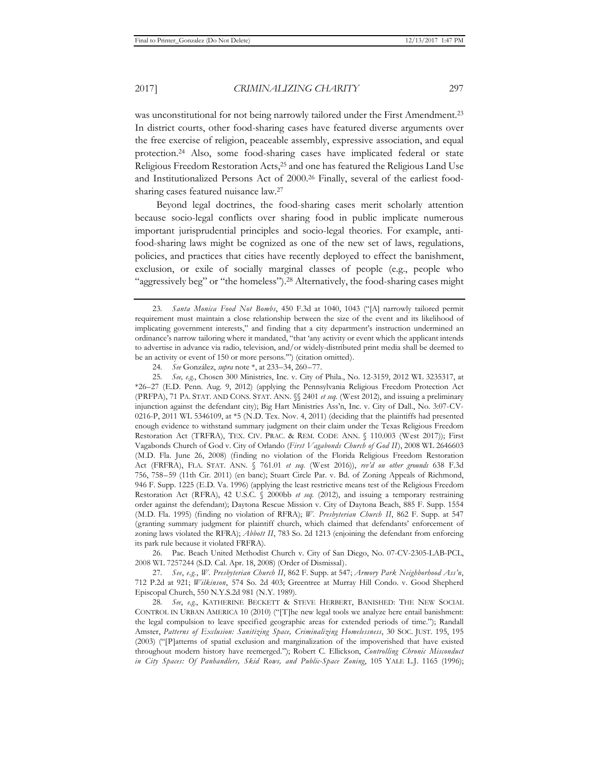was unconstitutional for not being narrowly tailored under the First Amendment.23 In district courts, other food-sharing cases have featured diverse arguments over the free exercise of religion, peaceable assembly, expressive association, and equal protection.24 Also, some food-sharing cases have implicated federal or state Religious Freedom Restoration Acts,25 and one has featured the Religious Land Use and Institutionalized Persons Act of 2000.26 Finally, several of the earliest foodsharing cases featured nuisance law.27

Beyond legal doctrines, the food-sharing cases merit scholarly attention because socio-legal conflicts over sharing food in public implicate numerous important jurisprudential principles and socio-legal theories. For example, antifood-sharing laws might be cognized as one of the new set of laws, regulations, policies, and practices that cities have recently deployed to effect the banishment, exclusion, or exile of socially marginal classes of people (e.g., people who "aggressively beg" or "the homeless").28 Alternatively, the food-sharing cases might

26. Pac. Beach United Methodist Church v. City of San Diego, No. 07-CV-2305-LAB-PCL, 2008 WL 7257244 (S.D. Cal. Apr. 18, 2008) (Order of Dismissal).

27*. See*, *e.g.*, *W. Presbyterian Church II*, 862 F. Supp. at 547; *Armory Park Neighborhood Ass'n*, 712 P.2d at 921; *Wilkinson*, 574 So. 2d 403; Greentree at Murray Hill Condo. v. Good Shepherd Episcopal Church, 550 N.Y.S.2d 981 (N.Y. 1989).

28*. See*, *e.g.*, KATHERINE BECKETT & STEVE HERBERT, BANISHED: THE NEW SOCIAL CONTROL IN URBAN AMERICA 10 (2010) ("[T]he new legal tools we analyze here entail banishment: the legal compulsion to leave specified geographic areas for extended periods of time."); Randall Amster, *Patterns of Exclusion: Sanitizing Space, Criminalizing Homelessness*, 30 SOC. JUST. 195, 195 (2003) ("[P]atterns of spatial exclusion and marginalization of the impoverished that have existed throughout modern history have reemerged."); Robert C. Ellickson, *Controlling Chronic Misconduct in City Spaces: Of Panhandlers, Skid Rows, and Public-Space Zoning*, 105 YALE L.J. 1165 (1996);

<sup>23</sup>*. Santa Monica Food Not Bombs*, 450 F.3d at 1040, 1043 ("[A] narrowly tailored permit requirement must maintain a close relationship between the size of the event and its likelihood of implicating government interests," and finding that a city department's instruction undermined an ordinance's narrow tailoring where it mandated, "that 'any activity or event which the applicant intends to advertise in advance via radio, television, and/or widely-distributed print media shall be deemed to be an activity or event of 150 or more persons.'") (citation omitted).

<sup>24</sup>*. See* González, *supra* note \*, at 233–34, 260–77.

<sup>25</sup>*. See, e.g.*, Chosen 300 Ministries, Inc. v. City of Phila., No. 12-3159, 2012 WL 3235317, at \*26–27 (E.D. Penn. Aug. 9, 2012) (applying the Pennsylvania Religious Freedom Protection Act (PRFPA), 71 PA. STAT. AND CONS. STAT. ANN. §§ 2401 *et seq.* (West 2012), and issuing a preliminary injunction against the defendant city); Big Hart Ministries Ass'n, Inc. v. City of Dall., No. 3:07-CV-0216-P, 2011 WL 5346109, at \*5 (N.D. Tex. Nov. 4, 2011) (deciding that the plaintiffs had presented enough evidence to withstand summary judgment on their claim under the Texas Religious Freedom Restoration Act (TRFRA), TEX. CIV. PRAC. & REM. CODE ANN. § 110.003 (West 2017)); First Vagabonds Church of God v. City of Orlando (*First Vagabonds Church of God II*), 2008 WL 2646603 (M.D. Fla. June 26, 2008) (finding no violation of the Florida Religious Freedom Restoration Act (FRFRA), FLA. STAT. ANN. § 761.01 *et seq.* (West 2016)), *rev'd on other grounds* 638 F.3d 756, 758–59 (11th Cir. 2011) (en banc); Stuart Circle Par. v. Bd. of Zoning Appeals of Richmond, 946 F. Supp. 1225 (E.D. Va. 1996) (applying the least restrictive means test of the Religious Freedom Restoration Act (RFRA), 42 U.S.C. § 2000bb *et seq.* (2012), and issuing a temporary restraining order against the defendant); Daytona Rescue Mission v. City of Daytona Beach, 885 F. Supp. 1554 (M.D. Fla. 1995) (finding no violation of RFRA); *W. Presbyterian Church II*, 862 F. Supp. at 547 (granting summary judgment for plaintiff church, which claimed that defendants' enforcement of zoning laws violated the RFRA); *Abbott II*, 783 So. 2d 1213 (enjoining the defendant from enforcing its park rule because it violated FRFRA).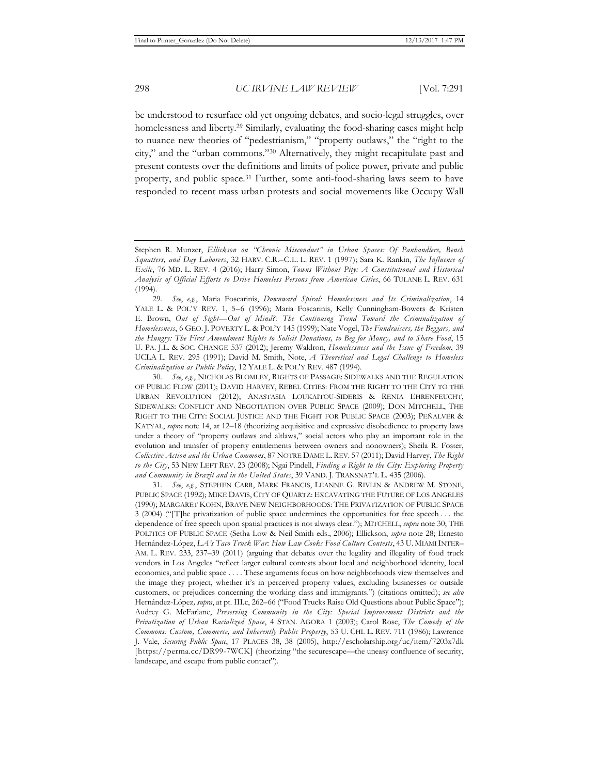be understood to resurface old yet ongoing debates, and socio-legal struggles, over homelessness and liberty.<sup>29</sup> Similarly, evaluating the food-sharing cases might help to nuance new theories of "pedestrianism," "property outlaws," the "right to the city," and the "urban commons."30 Alternatively, they might recapitulate past and present contests over the definitions and limits of police power, private and public property, and public space.31 Further, some anti-food-sharing laws seem to have responded to recent mass urban protests and social movements like Occupy Wall

30*. See*, *e.g.*, NICHOLAS BLOMLEY, RIGHTS OF PASSAGE: SIDEWALKS AND THE REGULATION OF PUBLIC FLOW (2011); DAVID HARVEY, REBEL CITIES: FROM THE RIGHT TO THE CITY TO THE URBAN REVOLUTION (2012); ANASTASIA LOUKAITOU-SIDERIS & RENIA EHRENFEUCHT, SIDEWALKS: CONFLICT AND NEGOTIATION OVER PUBLIC SPACE (2009); DON MITCHELL, THE RIGHT TO THE CITY: SOCIAL JUSTICE AND THE FIGHT FOR PUBLIC SPACE (2003); PEÑALVER & KATYAL, *supra* note 14, at 12–18 (theorizing acquisitive and expressive disobedience to property laws under a theory of "property outlaws and altlaws," social actors who play an important role in the evolution and transfer of property entitlements between owners and nonowners); Sheila R. Foster, *Collective Action and the Urban Commons*, 87 NOTRE DAME L. REV. 57 (2011); David Harvey, *The Right to the City*, 53 NEW LEFT REV. 23 (2008); Ngai Pindell, *Finding a Right to the City: Exploring Property and Community in Brazil and in the United States*, 39 VAND. J. TRANSNAT'L L. 435 (2006).

31*. See*, *e.g.*, STEPHEN CARR, MARK FRANCIS, LEANNE G. RIVLIN & ANDREW M. STONE, PUBLIC SPACE (1992); MIKE DAVIS, CITY OF QUARTZ: EXCAVATING THE FUTURE OF LOS ANGELES (1990); MARGARET KOHN, BRAVE NEW NEIGHBORHOODS: THE PRIVATIZATION OF PUBLIC SPACE 3 (2004) ("[T]he privatization of public space undermines the opportunities for free speech . . . the dependence of free speech upon spatial practices is not always clear."); MITCHELL, *supra* note 30; THE POLITICS OF PUBLIC SPACE (Setha Low & Neil Smith eds., 2006); Ellickson, *supra* note 28; Ernesto Hernández-López, *LA's Taco Truck War: How Law Cooks Food Culture Contests*, 43 U. MIAMI INTER– AM. L. REV. 233, 237–39 (2011) (arguing that debates over the legality and illegality of food truck vendors in Los Angeles "reflect larger cultural contests about local and neighborhood identity, local economics, and public space . . . . These arguments focus on how neighborhoods view themselves and the image they project, whether it's in perceived property values, excluding businesses or outside customers, or prejudices concerning the working class and immigrants.") (citations omitted); *see also* Hernández-López*, supra*, at pt. III.c, 262–66 ("Food Trucks Raise Old Questions about Public Space"); Audrey G. McFarlane, *Preserving Community in the City: Special Improvement Districts and the Privatization of Urban Racialized Space*, 4 STAN. AGORA 1 (2003); Carol Rose, *The Comedy of the Commons: Custom, Commerce, and Inherently Public Property*, 53 U. CHI. L. REV. 711 (1986); Lawrence J. Vale, *Securing Public Space*, 17 PLACES 38, 38 (2005), http://escholarship.org/uc/item/7203x7dk [https://perma.cc/DR99-7WCK] (theorizing "the securescape—the uneasy confluence of security, landscape, and escape from public contact").

Stephen R. Munzer, *Ellickson on "Chronic Misconduct" in Urban Spaces: Of Panhandlers, Bench Squatters, and Day Laborers*, 32 HARV. C.R.–C.L. L. REV. 1 (1997); Sara K. Rankin, *The Influence of Exile*, 76 MD. L. REV. 4 (2016); Harry Simon, *Towns Without Pity: A Constitutional and Historical Analysis of Official Efforts to Drive Homeless Persons from American Cities*, 66 TULANE L. REV. 631 (1994).

<sup>29</sup>*. See*, *e.g.*, Maria Foscarinis, *Downward Spiral: Homelessness and Its Criminalization*, 14 YALE L. & POL'Y REV. 1, 5-6 (1996); Maria Foscarinis, Kelly Cunningham-Bowers & Kristen E. Brown, *Out of Sight—Out of Mind?: The Continuing Trend Toward the Criminalization of Homelessness*, 6 GEO. J. POVERTY L. & POL'Y 145 (1999); Nate Vogel, *The Fundraisers, the Beggars, and the Hungry: The First Amendment Rights to Solicit Donations, to Beg for Money, and to Share Food*, 15 U. PA. J.L. & SOC. CHANGE 537 (2012); Jeremy Waldron, *Homelessness and the Issue of Freedom*, 39 UCLA L. REV. 295 (1991); David M. Smith, Note, *A Theoretical and Legal Challenge to Homeless Criminalization as Public Policy*, 12 YALE L. & POL'Y REV. 487 (1994).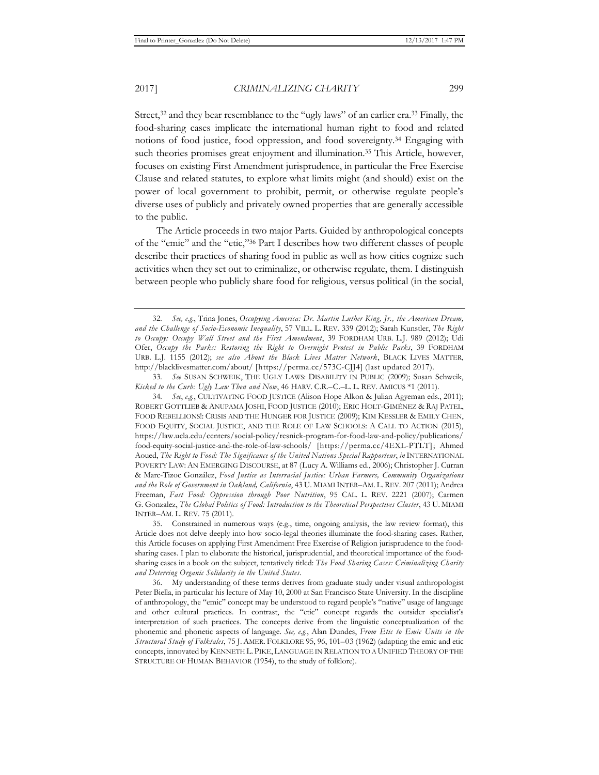Street,<sup>32</sup> and they bear resemblance to the "ugly laws" of an earlier era.<sup>33</sup> Finally, the food-sharing cases implicate the international human right to food and related notions of food justice, food oppression, and food sovereignty.34 Engaging with such theories promises great enjoyment and illumination.<sup>35</sup> This Article, however, focuses on existing First Amendment jurisprudence, in particular the Free Exercise Clause and related statutes, to explore what limits might (and should) exist on the power of local government to prohibit, permit, or otherwise regulate people's diverse uses of publicly and privately owned properties that are generally accessible to the public.

The Article proceeds in two major Parts. Guided by anthropological concepts of the "emic" and the "etic,"36 Part I describes how two different classes of people describe their practices of sharing food in public as well as how cities cognize such activities when they set out to criminalize, or otherwise regulate, them. I distinguish between people who publicly share food for religious, versus political (in the social,

<sup>32</sup>*. See, e.g.*, Trina Jones, *Occupying America: Dr. Martin Luther King, Jr., the American Dream, and the Challenge of Socio-Economic Inequality*, 57 VILL. L. REV. 339 (2012); Sarah Kunstler, *The Right to Occupy: Occupy Wall Street and the First Amendment*, 39 FORDHAM URB. L.J. 989 (2012); Udi Ofer, *Occupy the Parks: Restoring the Right to Overnight Protest in Public Parks*, 39 FORDHAM URB. L.J. 1155 (2012); *see also About the Black Lives Matter Network*, BLACK LIVES MATTER, http://blacklivesmatter.com/about/ [https://perma.cc/573C-CJJ4] (last updated 2017).

<sup>33</sup>*. See* SUSAN SCHWEIK, THE UGLY LAWS: DISABILITY IN PUBLIC (2009); Susan Schweik, *Kicked to the Curb: Ugly Law Then and Now*, 46 HARV. C.R.–C.–L. L. REV. AMICUS \*1 (2011).

<sup>34</sup>*. See*, *e.g.*, CULTIVATING FOOD JUSTICE (Alison Hope Alkon & Julian Agyeman eds., 2011); ROBERT GOTTLIEB & ANUPAMA JOSHI, FOOD JUSTICE (2010); ERIC HOLT-GIMÉNEZ & RAJ PATEL, FOOD REBELLIONS!: CRISIS AND THE HUNGER FOR JUSTICE (2009); KIM KESSLER & EMILY CHEN, FOOD EQUITY, SOCIAL JUSTICE, AND THE ROLE OF LAW SCHOOLS: A CALL TO ACTION (2015), https://law.ucla.edu/centers/social-policy/resnick-program-for-food-law-and-policy/publications/ food-equity-social-justice-and-the-role-of-law-schools/ [https://perma.cc/4EXL-PTLT]; Ahmed Aoued, *The Right to Food: The Significance of the United Nations Special Rapporteur*, *in* INTERNATIONAL POVERTY LAW: AN EMERGING DISCOURSE, at 87 (Lucy A. Williams ed., 2006); Christopher J. Curran & Marc-Tizoc González, *Food Justice as Interracial Justice: Urban Farmers, Community Organizations and the Role of Government in Oakland, California*, 43 U. MIAMI INTER–AM. L. REV. 207 (2011); Andrea Freeman, *Fast Food: Oppression through Poor Nutrition*, 95 CAL. L. REV. 2221 (2007); Carmen G. Gonzalez, *The Global Politics of Food: Introduction to the Theoretical Perspectives Cluster*, 43 U. MIAMI INTER–AM. L. REV. 75 (2011).

<sup>35.</sup> Constrained in numerous ways (e.g*.*, time, ongoing analysis, the law review format), this Article does not delve deeply into how socio-legal theories illuminate the food-sharing cases. Rather, this Article focuses on applying First Amendment Free Exercise of Religion jurisprudence to the foodsharing cases. I plan to elaborate the historical, jurisprudential, and theoretical importance of the foodsharing cases in a book on the subject, tentatively titled: *The Food Sharing Cases: Criminalizing Charity and Deterring Organic Solidarity in the United States*.

<sup>36.</sup> My understanding of these terms derives from graduate study under visual anthropologist Peter Biella, in particular his lecture of May 10, 2000 at San Francisco State University. In the discipline of anthropology, the "emic" concept may be understood to regard people's "native" usage of language and other cultural practices. In contrast, the "etic" concept regards the outsider specialist's interpretation of such practices. The concepts derive from the linguistic conceptualization of the phonemic and phonetic aspects of language. *See, e.g.*, Alan Dundes, *From Etic to Emic Units in the Structural Study of Folktales*, 75 J. AMER. FOLKLORE 95, 96, 101–03 (1962) (adapting the emic and etic concepts, innovated by KENNETH L. PIKE, LANGUAGE IN RELATION TO A UNIFIED THEORY OF THE STRUCTURE OF HUMAN BEHAVIOR (1954), to the study of folklore).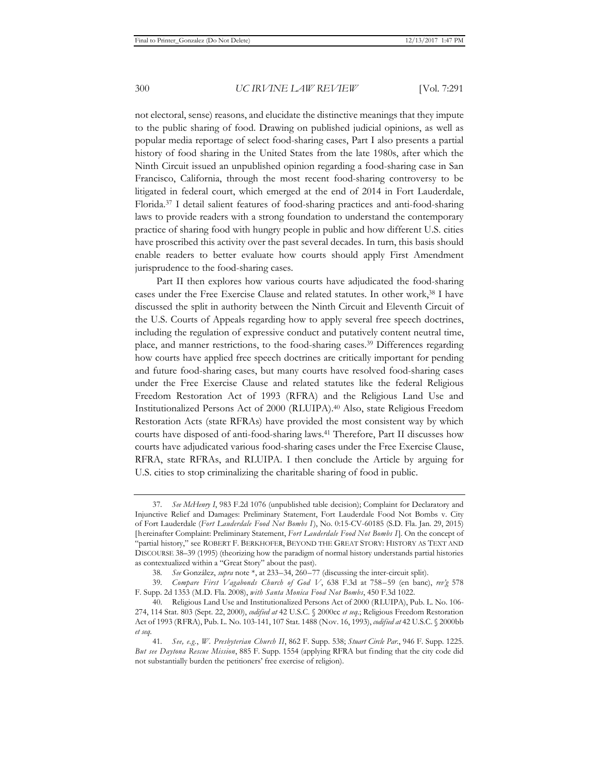not electoral, sense) reasons, and elucidate the distinctive meanings that they impute to the public sharing of food. Drawing on published judicial opinions, as well as popular media reportage of select food-sharing cases, Part I also presents a partial history of food sharing in the United States from the late 1980s, after which the Ninth Circuit issued an unpublished opinion regarding a food-sharing case in San Francisco, California, through the most recent food-sharing controversy to be litigated in federal court, which emerged at the end of 2014 in Fort Lauderdale, Florida.37 I detail salient features of food-sharing practices and anti-food-sharing laws to provide readers with a strong foundation to understand the contemporary practice of sharing food with hungry people in public and how different U.S. cities have proscribed this activity over the past several decades. In turn, this basis should enable readers to better evaluate how courts should apply First Amendment jurisprudence to the food-sharing cases.

Part II then explores how various courts have adjudicated the food-sharing cases under the Free Exercise Clause and related statutes. In other work,38 I have discussed the split in authority between the Ninth Circuit and Eleventh Circuit of the U.S. Courts of Appeals regarding how to apply several free speech doctrines, including the regulation of expressive conduct and putatively content neutral time, place, and manner restrictions, to the food-sharing cases.39 Differences regarding how courts have applied free speech doctrines are critically important for pending and future food-sharing cases, but many courts have resolved food-sharing cases under the Free Exercise Clause and related statutes like the federal Religious Freedom Restoration Act of 1993 (RFRA) and the Religious Land Use and Institutionalized Persons Act of 2000 (RLUIPA).40 Also, state Religious Freedom Restoration Acts (state RFRAs) have provided the most consistent way by which courts have disposed of anti-food-sharing laws.41 Therefore, Part II discusses how courts have adjudicated various food-sharing cases under the Free Exercise Clause, RFRA, state RFRAs, and RLUIPA. I then conclude the Article by arguing for U.S. cities to stop criminalizing the charitable sharing of food in public.

<sup>37</sup>*. See McHenry I*, 983 F.2d 1076 (unpublished table decision); Complaint for Declaratory and Injunctive Relief and Damages: Preliminary Statement, Fort Lauderdale Food Not Bombs v. City of Fort Lauderdale (*Fort Lauderdale Food Not Bombs I*), No. 0:15-CV-60185 (S.D. Fla. Jan. 29, 2015) [hereinafter Complaint: Preliminary Statement, *Fort Lauderdale Food Not Bombs I*]. On the concept of "partial history," see ROBERT F. BERKHOFER, BEYOND THE GREAT STORY: HISTORY AS TEXT AND DISCOURSE 38–39 (1995) (theorizing how the paradigm of normal history understands partial histories as contextualized within a "Great Story" about the past).

<sup>38</sup>*. See* González, *supra* note \*, at 233–34, 260–77 (discussing the inter-circuit split).

<sup>39</sup>*. Compare First Vagabonds Church of God V*, 638 F.3d at 758–59 (en banc), *rev'g* 578 F. Supp. 2d 1353 (M.D. Fla. 2008), *with Santa Monica Food Not Bombs*, 450 F.3d 1022.

<sup>40.</sup> Religious Land Use and Institutionalized Persons Act of 2000 (RLUIPA), Pub. L. No. 106- 274, 114 Stat. 803 (Sept. 22, 2000), *codified at* 42 U.S.C. § 2000cc *et seq.*; Religious Freedom Restoration Act of 1993 (RFRA), Pub. L. No. 103-141, 107 Stat. 1488 (Nov. 16, 1993), *codified at* 42 U.S.C. § 2000bb *et seq*.

<sup>41</sup>*. See, e.g.*, *W. Presbyterian Church II*, 862 F. Supp. 538; *Stuart Circle Par.*, 946 F. Supp. 1225. *But see Daytona Rescue Mission*, 885 F. Supp. 1554 (applying RFRA but finding that the city code did not substantially burden the petitioners' free exercise of religion).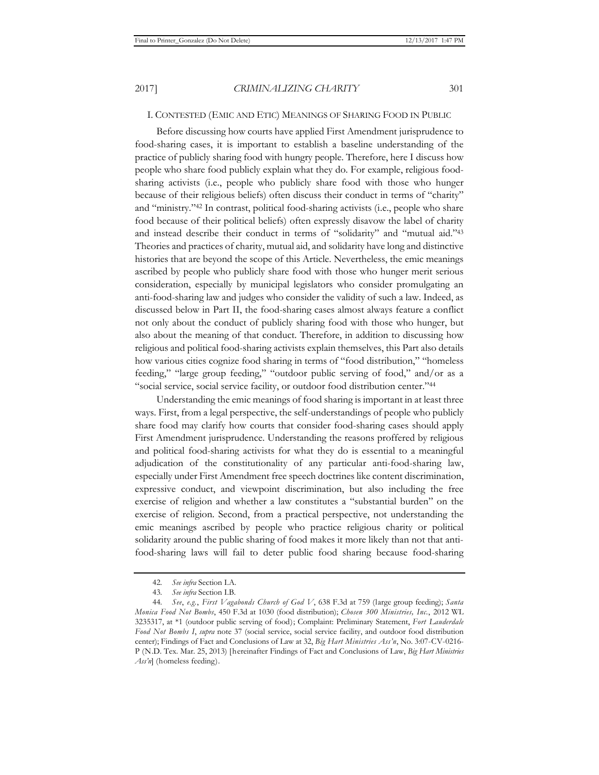### I. CONTESTED (EMIC AND ETIC) MEANINGS OF SHARING FOOD IN PUBLIC

Before discussing how courts have applied First Amendment jurisprudence to food-sharing cases, it is important to establish a baseline understanding of the practice of publicly sharing food with hungry people. Therefore, here I discuss how people who share food publicly explain what they do. For example, religious foodsharing activists (i.e., people who publicly share food with those who hunger because of their religious beliefs) often discuss their conduct in terms of "charity" and "ministry."42 In contrast, political food-sharing activists (i.e., people who share food because of their political beliefs) often expressly disavow the label of charity and instead describe their conduct in terms of "solidarity" and "mutual aid."43 Theories and practices of charity, mutual aid, and solidarity have long and distinctive histories that are beyond the scope of this Article. Nevertheless, the emic meanings ascribed by people who publicly share food with those who hunger merit serious consideration, especially by municipal legislators who consider promulgating an anti-food-sharing law and judges who consider the validity of such a law. Indeed, as discussed below in Part II, the food-sharing cases almost always feature a conflict not only about the conduct of publicly sharing food with those who hunger, but also about the meaning of that conduct. Therefore, in addition to discussing how religious and political food-sharing activists explain themselves, this Part also details how various cities cognize food sharing in terms of "food distribution," "homeless feeding," "large group feeding," "outdoor public serving of food," and/or as a "social service, social service facility, or outdoor food distribution center."44

Understanding the emic meanings of food sharing is important in at least three ways. First, from a legal perspective, the self-understandings of people who publicly share food may clarify how courts that consider food-sharing cases should apply First Amendment jurisprudence. Understanding the reasons proffered by religious and political food-sharing activists for what they do is essential to a meaningful adjudication of the constitutionality of any particular anti-food-sharing law, especially under First Amendment free speech doctrines like content discrimination, expressive conduct, and viewpoint discrimination, but also including the free exercise of religion and whether a law constitutes a "substantial burden" on the exercise of religion. Second, from a practical perspective, not understanding the emic meanings ascribed by people who practice religious charity or political solidarity around the public sharing of food makes it more likely than not that antifood-sharing laws will fail to deter public food sharing because food-sharing

<sup>42</sup>*. See infra* Section I.A.

<sup>43</sup>*. See infra* Section I.B.

<sup>44</sup>*. See*, *e.g.*, *First Vagabonds Church of God V*, 638 F.3d at 759 (large group feeding); *Santa Monica Food Not Bombs*, 450 F.3d at 1030 (food distribution); *Chosen 300 Ministries, Inc.*, 2012 WL 3235317, at \*1 (outdoor public serving of food); Complaint: Preliminary Statement, *Fort Lauderdale Food Not Bombs I*, *supra* note 37 (social service, social service facility, and outdoor food distribution center); Findings of Fact and Conclusions of Law at 32, *Big Hart Ministries Ass'n*, No. 3:07-CV-0216- P (N.D. Tex. Mar. 25, 2013) [hereinafter Findings of Fact and Conclusions of Law, *Big Hart Ministries Ass'n*] (homeless feeding).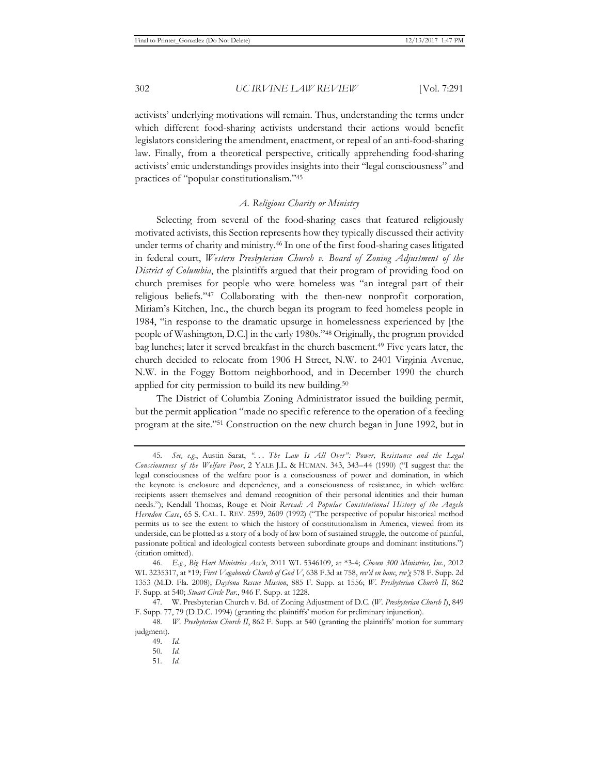activists' underlying motivations will remain. Thus, understanding the terms under which different food-sharing activists understand their actions would benefit legislators considering the amendment, enactment, or repeal of an anti-food-sharing law. Finally, from a theoretical perspective, critically apprehending food-sharing activists' emic understandings provides insights into their "legal consciousness" and practices of "popular constitutionalism."45

# *A. Religious Charity or Ministry*

Selecting from several of the food-sharing cases that featured religiously motivated activists, this Section represents how they typically discussed their activity under terms of charity and ministry.46 In one of the first food-sharing cases litigated in federal court, *Western Presbyterian Church v. Board of Zoning Adjustment of the District of Columbia*, the plaintiffs argued that their program of providing food on church premises for people who were homeless was "an integral part of their religious beliefs."47 Collaborating with the then-new nonprofit corporation, Miriam's Kitchen, Inc., the church began its program to feed homeless people in 1984, "in response to the dramatic upsurge in homelessness experienced by [the people of Washington, D.C.] in the early 1980s."48 Originally, the program provided bag lunches; later it served breakfast in the church basement.49 Five years later, the church decided to relocate from 1906 H Street, N.W. to 2401 Virginia Avenue, N.W. in the Foggy Bottom neighborhood, and in December 1990 the church applied for city permission to build its new building.<sup>50</sup>

The District of Columbia Zoning Administrator issued the building permit, but the permit application "made no specific reference to the operation of a feeding program at the site."51 Construction on the new church began in June 1992, but in

<sup>45</sup>*. See, e.g.*, Austin Sarat, *". . . The Law Is All Over": Power, Resistance and the Legal Consciousness of the Welfare Poor*, 2 YALE J.L. & HUMAN. 343, 343–44 (1990) ("I suggest that the legal consciousness of the welfare poor is a consciousness of power and domination, in which the keynote is enclosure and dependency, and a consciousness of resistance, in which welfare recipients assert themselves and demand recognition of their personal identities and their human needs."); Kendall Thomas, Rouge et Noir *Reread: A Popular Constitutional History of the Angelo Herndon Case*, 65 S. CAL. L. REV. 2599, 2609 (1992) ("The perspective of popular historical method permits us to see the extent to which the history of constitutionalism in America, viewed from its underside, can be plotted as a story of a body of law born of sustained struggle, the outcome of painful, passionate political and ideological contests between subordinate groups and dominant institutions.") (citation omitted).

<sup>46</sup>*. E.g.*, *Big Hart Ministries Ass'n*, 2011 WL 5346109, at \*3-4; *Chosen 300 Ministries, Inc.*, 2012 WL 3235317, at \*19; *First Vagabonds Church of God V*, 638 F.3d at 758, *rev'd en banc*, *rev'g* 578 F. Supp. 2d 1353 (M.D. Fla. 2008); *Daytona Rescue Mission*, 885 F. Supp. at 1556; *W. Presbyterian Church II*, 862 F. Supp. at 540; *Stuart Circle Par.*, 946 F. Supp. at 1228.

<sup>47</sup>*.* W. Presbyterian Church v. Bd. of Zoning Adjustment of D.C. (*W. Presbyterian Church I*), 849 F. Supp. 77, 79 (D.D.C. 1994) (granting the plaintiffs' motion for preliminary injunction).

<sup>48</sup>*. W. Presbyterian Church II*, 862 F. Supp. at 540 (granting the plaintiffs' motion for summary judgment).

<sup>49</sup>*. Id.*

<sup>50</sup>*. Id.*

<sup>51</sup>*. Id.*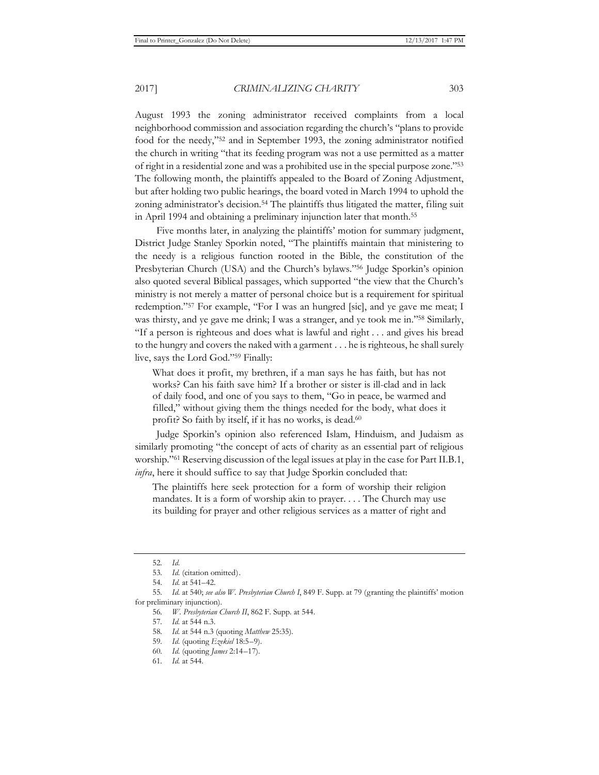August 1993 the zoning administrator received complaints from a local neighborhood commission and association regarding the church's "plans to provide food for the needy,"52 and in September 1993, the zoning administrator notified the church in writing "that its feeding program was not a use permitted as a matter of right in a residential zone and was a prohibited use in the special purpose zone."53 The following month, the plaintiffs appealed to the Board of Zoning Adjustment, but after holding two public hearings, the board voted in March 1994 to uphold the zoning administrator's decision.<sup>54</sup> The plaintiffs thus litigated the matter, filing suit in April 1994 and obtaining a preliminary injunction later that month.<sup>55</sup>

Five months later, in analyzing the plaintiffs' motion for summary judgment, District Judge Stanley Sporkin noted, "The plaintiffs maintain that ministering to the needy is a religious function rooted in the Bible, the constitution of the Presbyterian Church (USA) and the Church's bylaws."56 Judge Sporkin's opinion also quoted several Biblical passages, which supported "the view that the Church's ministry is not merely a matter of personal choice but is a requirement for spiritual redemption."57 For example, "For I was an hungred [sic], and ye gave me meat; I was thirsty, and ye gave me drink; I was a stranger, and ye took me in."58 Similarly, "If a person is righteous and does what is lawful and right . . . and gives his bread to the hungry and covers the naked with a garment . . . he is righteous, he shall surely live, says the Lord God."59 Finally:

What does it profit, my brethren, if a man says he has faith, but has not works? Can his faith save him? If a brother or sister is ill-clad and in lack of daily food, and one of you says to them, "Go in peace, be warmed and filled," without giving them the things needed for the body, what does it profit? So faith by itself, if it has no works, is dead.<sup>60</sup>

Judge Sporkin's opinion also referenced Islam, Hinduism, and Judaism as similarly promoting "the concept of acts of charity as an essential part of religious worship."61 Reserving discussion of the legal issues at play in the case for Part II.B.1, *infra*, here it should suffice to say that Judge Sporkin concluded that:

The plaintiffs here seek protection for a form of worship their religion mandates. It is a form of worship akin to prayer. . . . The Church may use its building for prayer and other religious services as a matter of right and

<sup>52</sup>*. Id.*

<sup>53</sup>*. Id.* (citation omitted).

<sup>54</sup>*. Id.* at 541–42.

<sup>55</sup>*. Id.* at 540; *see also W. Presbyterian Church I*, 849 F. Supp. at 79 (granting the plaintiffs' motion for preliminary injunction).

<sup>56</sup>*. W. Presbyterian Church II*, 862 F. Supp. at 544.

<sup>57</sup>*. Id.* at 544 n.3.

<sup>58</sup>*. Id.* at 544 n.3 (quoting *Matthew* 25:35).

<sup>59</sup>*. Id.* (quoting *Ezekiel* 18:5–9).

<sup>60</sup>*. Id.* (quoting *James* 2:14–17).

<sup>61</sup>*. Id.* at 544.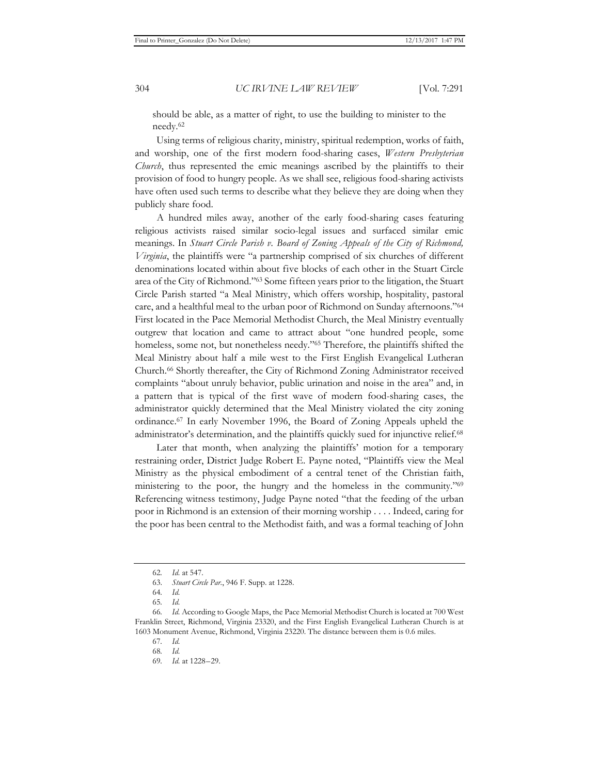should be able, as a matter of right, to use the building to minister to the needy.62

Using terms of religious charity, ministry, spiritual redemption, works of faith, and worship, one of the first modern food-sharing cases, *Western Presbyterian Church*, thus represented the emic meanings ascribed by the plaintiffs to their provision of food to hungry people. As we shall see, religious food-sharing activists have often used such terms to describe what they believe they are doing when they publicly share food.

A hundred miles away, another of the early food-sharing cases featuring religious activists raised similar socio-legal issues and surfaced similar emic meanings. In *Stuart Circle Parish v. Board of Zoning Appeals of the City of Richmond, Virginia*, the plaintiffs were "a partnership comprised of six churches of different denominations located within about five blocks of each other in the Stuart Circle area of the City of Richmond."63 Some fifteen years prior to the litigation, the Stuart Circle Parish started "a Meal Ministry, which offers worship, hospitality, pastoral care, and a healthful meal to the urban poor of Richmond on Sunday afternoons."64 First located in the Pace Memorial Methodist Church, the Meal Ministry eventually outgrew that location and came to attract about "one hundred people, some homeless, some not, but nonetheless needy."<sup>65</sup> Therefore, the plaintiffs shifted the Meal Ministry about half a mile west to the First English Evangelical Lutheran Church.66 Shortly thereafter, the City of Richmond Zoning Administrator received complaints "about unruly behavior, public urination and noise in the area" and, in a pattern that is typical of the first wave of modern food-sharing cases, the administrator quickly determined that the Meal Ministry violated the city zoning ordinance.67 In early November 1996, the Board of Zoning Appeals upheld the administrator's determination, and the plaintiffs quickly sued for injunctive relief.<sup>68</sup>

Later that month, when analyzing the plaintiffs' motion for a temporary restraining order, District Judge Robert E. Payne noted, "Plaintiffs view the Meal Ministry as the physical embodiment of a central tenet of the Christian faith, ministering to the poor, the hungry and the homeless in the community."<sup>69</sup> Referencing witness testimony, Judge Payne noted "that the feeding of the urban poor in Richmond is an extension of their morning worship . . . . Indeed, caring for the poor has been central to the Methodist faith, and was a formal teaching of John

<sup>62</sup>*. Id.* at 547.

<sup>63.</sup> *Stuart Circle Par.*, 946 F. Supp. at 1228.

<sup>64</sup>*. Id.*

<sup>65</sup>*. Id.*

<sup>66</sup>*. Id.* According to Google Maps, the Pace Memorial Methodist Church is located at 700 West Franklin Street, Richmond, Virginia 23320, and the First English Evangelical Lutheran Church is at 1603 Monument Avenue, Richmond, Virginia 23220. The distance between them is 0.6 miles.

<sup>67</sup>*. Id.*

<sup>68</sup>*. Id.*

<sup>69</sup>*. Id.* at 1228–29.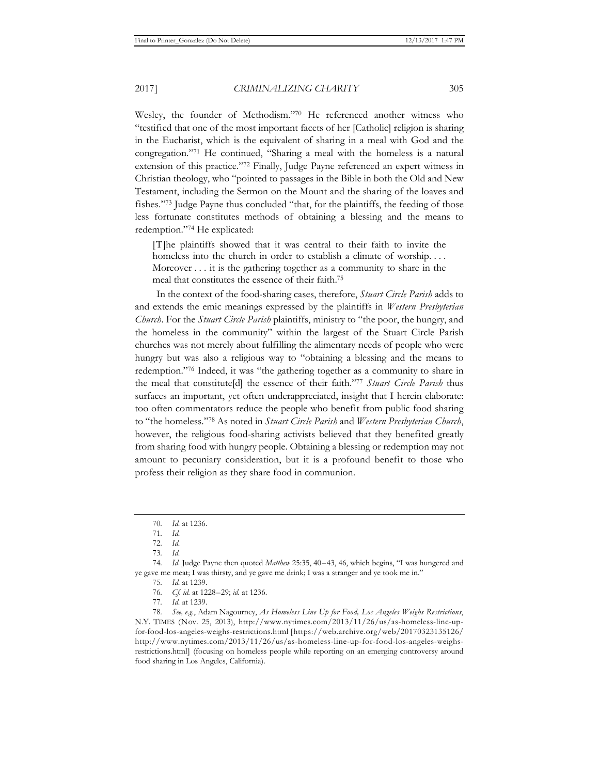Wesley, the founder of Methodism."70 He referenced another witness who "testified that one of the most important facets of her [Catholic] religion is sharing in the Eucharist, which is the equivalent of sharing in a meal with God and the congregation."71 He continued, "Sharing a meal with the homeless is a natural extension of this practice."72 Finally, Judge Payne referenced an expert witness in Christian theology, who "pointed to passages in the Bible in both the Old and New Testament, including the Sermon on the Mount and the sharing of the loaves and fishes."73 Judge Payne thus concluded "that, for the plaintiffs, the feeding of those less fortunate constitutes methods of obtaining a blessing and the means to redemption."74 He explicated:

[T]he plaintiffs showed that it was central to their faith to invite the homeless into the church in order to establish a climate of worship.... Moreover . . . it is the gathering together as a community to share in the meal that constitutes the essence of their faith.75

In the context of the food-sharing cases, therefore, *Stuart Circle Parish* adds to and extends the emic meanings expressed by the plaintiffs in *Western Presbyterian Church*. For the *Stuart Circle Parish* plaintiffs, ministry to "the poor, the hungry, and the homeless in the community" within the largest of the Stuart Circle Parish churches was not merely about fulfilling the alimentary needs of people who were hungry but was also a religious way to "obtaining a blessing and the means to redemption."76 Indeed, it was "the gathering together as a community to share in the meal that constitute[d] the essence of their faith."77 *Stuart Circle Parish* thus surfaces an important, yet often underappreciated, insight that I herein elaborate: too often commentators reduce the people who benefit from public food sharing to "the homeless."78 As noted in *Stuart Circle Parish* and *Western Presbyterian Church*, however, the religious food-sharing activists believed that they benefited greatly from sharing food with hungry people. Obtaining a blessing or redemption may not amount to pecuniary consideration, but it is a profound benefit to those who profess their religion as they share food in communion.

74*. Id.* Judge Payne then quoted *Matthew* 25:35, 40–43, 46, which begins, "I was hungered and ye gave me meat; I was thirsty, and ye gave me drink; I was a stranger and ye took me in."

77*. Id.* at 1239.

78*. See, e.g.*, Adam Nagourney, *As Homeless Line Up for Food, Los Angeles Weighs Restrictions*, N.Y. TIMES (Nov. 25, 2013), http://www.nytimes.com/2013/11/26/us/as-homeless-line-upfor-food-los-angeles-weighs-restrictions.html [https://web.archive.org/web/20170323135126/ http://www.nytimes.com/2013/11/26/us/as-homeless-line-up-for-food-los-angeles-weighsrestrictions.html] (focusing on homeless people while reporting on an emerging controversy around food sharing in Los Angeles, California).

<sup>70</sup>*. Id.* at 1236.

<sup>71</sup>*. Id.*

<sup>72</sup>*. Id.*

<sup>73</sup>*. Id.*

<sup>75</sup>*. Id.* at 1239.

<sup>76</sup>*. Cf. id.* at 1228–29; *id.* at 1236.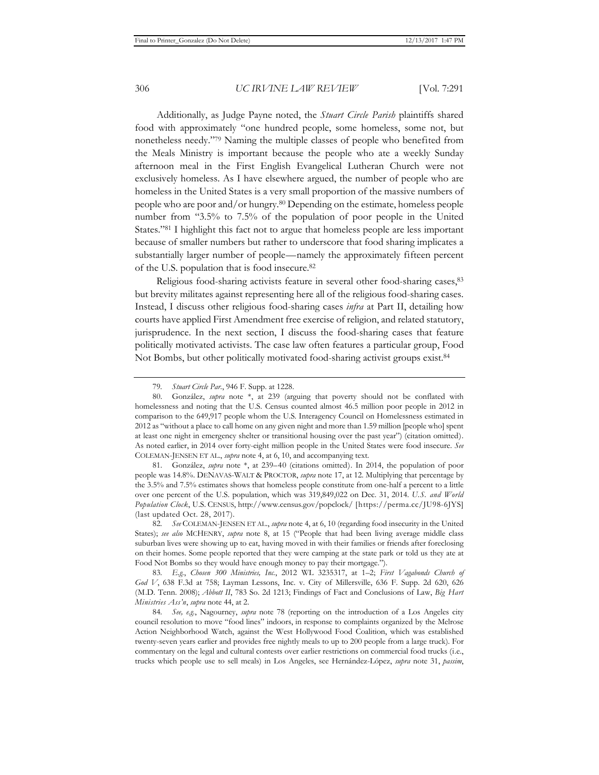Additionally, as Judge Payne noted, the *Stuart Circle Parish* plaintiffs shared food with approximately "one hundred people, some homeless, some not, but nonetheless needy."79 Naming the multiple classes of people who benefited from the Meals Ministry is important because the people who ate a weekly Sunday afternoon meal in the First English Evangelical Lutheran Church were not exclusively homeless. As I have elsewhere argued, the number of people who are homeless in the United States is a very small proportion of the massive numbers of people who are poor and/or hungry.80 Depending on the estimate, homeless people number from "3.5% to 7.5% of the population of poor people in the United States."81 I highlight this fact not to argue that homeless people are less important because of smaller numbers but rather to underscore that food sharing implicates a substantially larger number of people—namely the approximately fifteen percent of the U.S. population that is food insecure.82

Religious food-sharing activists feature in several other food-sharing cases, 83 but brevity militates against representing here all of the religious food-sharing cases. Instead, I discuss other religious food-sharing cases *infra* at Part II, detailing how courts have applied First Amendment free exercise of religion, and related statutory, jurisprudence. In the next section, I discuss the food-sharing cases that feature politically motivated activists. The case law often features a particular group, Food Not Bombs, but other politically motivated food-sharing activist groups exist.84

81. González, *supra* note \*, at 239–40 (citations omitted). In 2014, the population of poor people was 14.8%. DENAVAS-WALT & PROCTOR, *supra* note 17, at 12. Multiplying that percentage by the 3.5% and 7.5% estimates shows that homeless people constitute from one-half a percent to a little over one percent of the U.S. population, which was 319,849,022 on Dec. 31, 2014. *U.S. and World Population Clock*, U.S. CENSUS, http://www.census.gov/popclock/ [https://perma.cc/JU98-6JYS] (last updated Oct. 28, 2017).

82*. See* COLEMAN-JENSEN ET AL., *supra* note 4, at 6, 10 (regarding food insecurity in the United States); *see also* MCHENRY, *supra* note 8, at 15 ("People that had been living average middle class suburban lives were showing up to eat, having moved in with their families or friends after foreclosing on their homes. Some people reported that they were camping at the state park or told us they ate at Food Not Bombs so they would have enough money to pay their mortgage.").

83*. E.g.*, *Chosen 300 Ministries, Inc.*, 2012 WL 3235317, at 1–2; *First Vagabonds Church of God V*, 638 F.3d at 758; Layman Lessons, Inc. v. City of Millersville, 636 F. Supp. 2d 620, 626 (M.D. Tenn. 2008); *Abbott II*, 783 So. 2d 1213; Findings of Fact and Conclusions of Law, *Big Hart Ministries Ass'n*, *supra* note 44, at 2.

84*. See, e.g.*, Nagourney, *supra* note 78 (reporting on the introduction of a Los Angeles city council resolution to move "food lines" indoors, in response to complaints organized by the Melrose Action Neighborhood Watch, against the West Hollywood Food Coalition, which was established twenty-seven years earlier and provides free nightly meals to up to 200 people from a large truck). For commentary on the legal and cultural contests over earlier restrictions on commercial food trucks (i.e., trucks which people use to sell meals) in Los Angeles, see Hernández-López, *supra* note 31, *passim*,

<sup>79</sup>*. Stuart Circle Par.*, 946 F. Supp. at 1228.

<sup>80.</sup> González, *supra* note \*, at 239 (arguing that poverty should not be conflated with homelessness and noting that the U.S. Census counted almost 46.5 million poor people in 2012 in comparison to the 649,917 people whom the U.S. Interagency Council on Homelessness estimated in 2012 as "without a place to call home on any given night and more than 1.59 million [people who] spent at least one night in emergency shelter or transitional housing over the past year") (citation omitted). As noted earlier, in 2014 over forty-eight million people in the United States were food insecure. *See*  COLEMAN-JENSEN ET AL., *supra* note 4, at 6, 10, and accompanying text.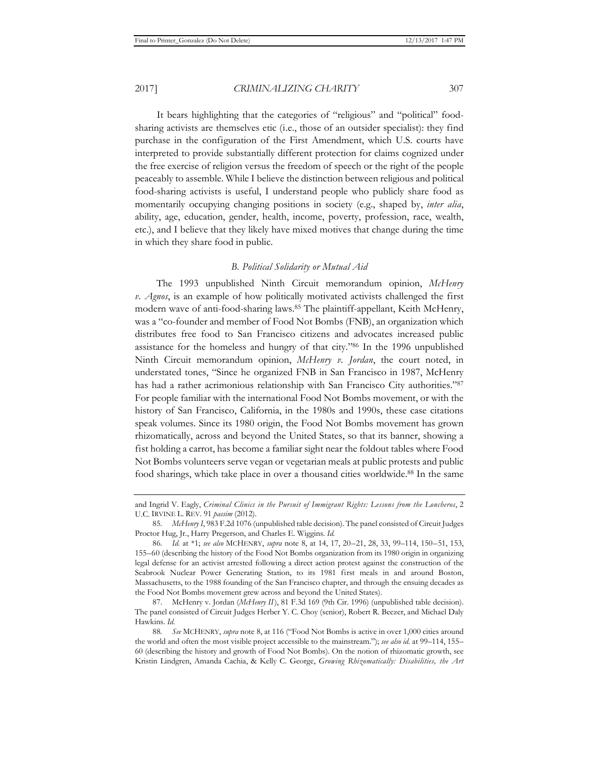It bears highlighting that the categories of "religious" and "political" foodsharing activists are themselves etic (i.e., those of an outsider specialist): they find purchase in the configuration of the First Amendment, which U.S. courts have interpreted to provide substantially different protection for claims cognized under the free exercise of religion versus the freedom of speech or the right of the people peaceably to assemble. While I believe the distinction between religious and political food-sharing activists is useful, I understand people who publicly share food as momentarily occupying changing positions in society (e.g., shaped by, *inter alia*, ability, age, education, gender, health, income, poverty, profession, race, wealth, etc.), and I believe that they likely have mixed motives that change during the time in which they share food in public.

## *B. Political Solidarity or Mutual Aid*

The 1993 unpublished Ninth Circuit memorandum opinion, *McHenry v. Agnos*, is an example of how politically motivated activists challenged the first modern wave of anti-food-sharing laws.85 The plaintiff-appellant, Keith McHenry, was a "co-founder and member of Food Not Bombs (FNB), an organization which distributes free food to San Francisco citizens and advocates increased public assistance for the homeless and hungry of that city."86 In the 1996 unpublished Ninth Circuit memorandum opinion, *McHenry v. Jordan*, the court noted, in understated tones, "Since he organized FNB in San Francisco in 1987, McHenry has had a rather acrimonious relationship with San Francisco City authorities."87 For people familiar with the international Food Not Bombs movement, or with the history of San Francisco, California, in the 1980s and 1990s, these case citations speak volumes. Since its 1980 origin, the Food Not Bombs movement has grown rhizomatically, across and beyond the United States, so that its banner, showing a fist holding a carrot, has become a familiar sight near the foldout tables where Food Not Bombs volunteers serve vegan or vegetarian meals at public protests and public food sharings, which take place in over a thousand cities worldwide.88 In the same

and Ingrid V. Eagly, *Criminal Clinics in the Pursuit of Immigrant Rights: Lessons from the Loncheros*, 2 U.C. IRVINE L. REV. 91 *passim* (2012).

<sup>85.</sup> *McHenry I*, 983 F.2d 1076 (unpublished table decision). The panel consisted of Circuit Judges Proctor Hug, Jr., Harry Pregerson, and Charles E. Wiggins. *Id.*

<sup>86</sup>*. Id.* at \*1; *see also* MCHENRY, *supra* note 8, at 14, 17, 20–21, 28, 33, 99–114, 150–51, 153, 155–60 (describing the history of the Food Not Bombs organization from its 1980 origin in organizing legal defense for an activist arrested following a direct action protest against the construction of the Seabrook Nuclear Power Generating Station, to its 1981 first meals in and around Boston, Massachusetts, to the 1988 founding of the San Francisco chapter, and through the ensuing decades as the Food Not Bombs movement grew across and beyond the United States).

<sup>87.</sup> McHenry v. Jordan (*McHenry II*), 81 F.3d 169 (9th Cir. 1996) (unpublished table decision). The panel consisted of Circuit Judges Herber Y. C. Choy (senior), Robert R. Beezer, and Michael Daly Hawkins. *Id.*

<sup>88</sup>*. See* MCHENRY, *supra* note 8, at 116 ("Food Not Bombs is active in over 1,000 cities around the world and often the most visible project accessible to the mainstream."); *see also id.* at 99–114, 155– 60 (describing the history and growth of Food Not Bombs). On the notion of rhizomatic growth, see Kristin Lindgren, Amanda Cachia, & Kelly C. George, *Growing Rhizomatically: Disabilities, the Art*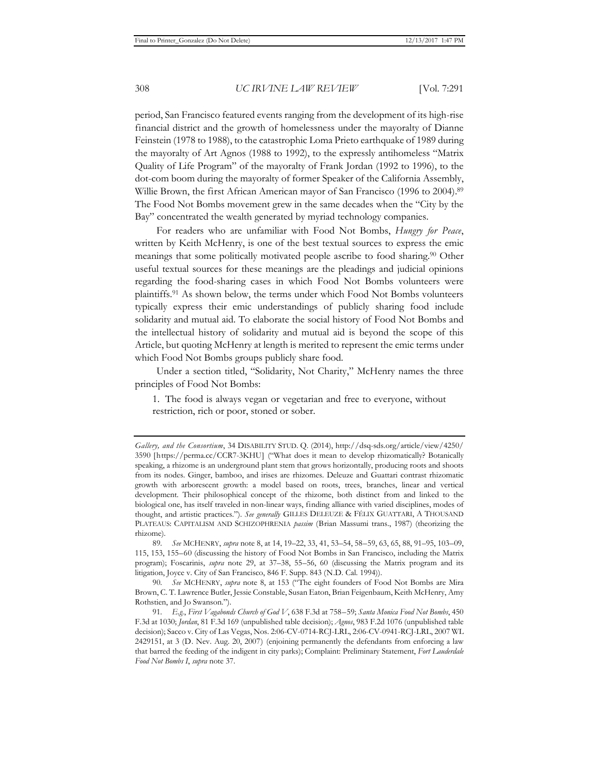period, San Francisco featured events ranging from the development of its high-rise financial district and the growth of homelessness under the mayoralty of Dianne Feinstein (1978 to 1988), to the catastrophic Loma Prieto earthquake of 1989 during the mayoralty of Art Agnos (1988 to 1992), to the expressly antihomeless "Matrix Quality of Life Program" of the mayoralty of Frank Jordan (1992 to 1996), to the dot-com boom during the mayoralty of former Speaker of the California Assembly, Willie Brown, the first African American mayor of San Francisco (1996 to 2004).89 The Food Not Bombs movement grew in the same decades when the "City by the Bay" concentrated the wealth generated by myriad technology companies.

For readers who are unfamiliar with Food Not Bombs, *Hungry for Peace*, written by Keith McHenry, is one of the best textual sources to express the emic meanings that some politically motivated people ascribe to food sharing.90 Other useful textual sources for these meanings are the pleadings and judicial opinions regarding the food-sharing cases in which Food Not Bombs volunteers were plaintiffs.91 As shown below, the terms under which Food Not Bombs volunteers typically express their emic understandings of publicly sharing food include solidarity and mutual aid. To elaborate the social history of Food Not Bombs and the intellectual history of solidarity and mutual aid is beyond the scope of this Article, but quoting McHenry at length is merited to represent the emic terms under which Food Not Bombs groups publicly share food.

Under a section titled, "Solidarity, Not Charity," McHenry names the three principles of Food Not Bombs:

1. The food is always vegan or vegetarian and free to everyone, without restriction, rich or poor, stoned or sober.

*Gallery, and the Consortium*, 34 DISABILITY STUD. Q. (2014), http://dsq-sds.org/article/view/4250/ 3590 [https://perma.cc/CCR7-3KHU] ("What does it mean to develop rhizomatically? Botanically speaking, a rhizome is an underground plant stem that grows horizontally, producing roots and shoots from its nodes. Ginger, bamboo, and irises are rhizomes. Deleuze and Guattari contrast rhizomatic growth with arborescent growth: a model based on roots, trees, branches, linear and vertical development. Their philosophical concept of the rhizome, both distinct from and linked to the biological one, has itself traveled in non-linear ways, finding alliance with varied disciplines, modes of thought, and artistic practices."). *See generally* GILLES DELEUZE & FÉLIX GUATTARI, A THOUSAND PLATEAUS: CAPITALISM AND SCHIZOPHRENIA *passim* (Brian Massumi trans., 1987) (theorizing the rhizome).

<sup>89</sup>*. See* MCHENRY, *supra* note 8, at 14, 19–22, 33, 41, 53–54, 58–59, 63, 65, 88, 91–95, 103–09, 115, 153, 155–60 (discussing the history of Food Not Bombs in San Francisco, including the Matrix program); Foscarinis, *supra* note 29, at 37–38, 55–56, 60 (discussing the Matrix program and its litigation, Joyce v. City of San Francisco, 846 F. Supp. 843 (N.D. Cal. 1994)).

<sup>90</sup>*. See* MCHENRY, *supra* note 8, at 153 ("The eight founders of Food Not Bombs are Mira Brown, C. T. Lawrence Butler, Jessie Constable, Susan Eaton, Brian Feigenbaum, Keith McHenry, Amy Rothstien, and Jo Swanson.").

<sup>91</sup>*. E.g.*, *First Vagabonds Church of God V*, 638 F.3d at 758–59; *Santa Monica Food Not Bombs*, 450 F.3d at 1030; *Jordan*, 81 F.3d 169 (unpublished table decision); *Agnos*, 983 F.2d 1076 (unpublished table decision); Sacco v. City of Las Vegas, Nos. 2:06-CV-0714-RCJ-LRL, 2:06-CV-0941-RCJ-LRL, 2007 WL 2429151, at 3 (D. Nev. Aug. 20, 2007) (enjoining permanently the defendants from enforcing a law that barred the feeding of the indigent in city parks); Complaint: Preliminary Statement, *Fort Lauderdale Food Not Bombs I*, *supra* note 37.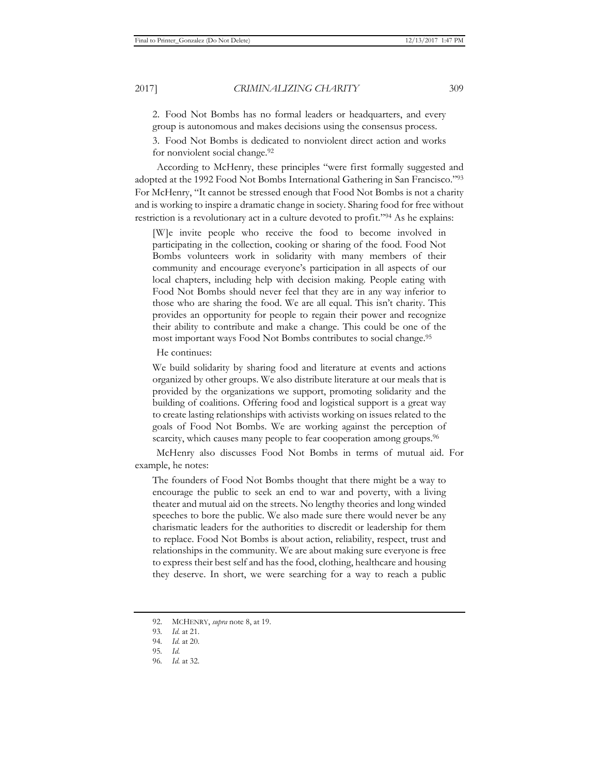2. Food Not Bombs has no formal leaders or headquarters, and every group is autonomous and makes decisions using the consensus process.

3. Food Not Bombs is dedicated to nonviolent direct action and works for nonviolent social change.<sup>92</sup>

According to McHenry, these principles "were first formally suggested and adopted at the 1992 Food Not Bombs International Gathering in San Francisco."93 For McHenry, "It cannot be stressed enough that Food Not Bombs is not a charity and is working to inspire a dramatic change in society. Sharing food for free without restriction is a revolutionary act in a culture devoted to profit."94 As he explains:

[W]e invite people who receive the food to become involved in participating in the collection, cooking or sharing of the food. Food Not Bombs volunteers work in solidarity with many members of their community and encourage everyone's participation in all aspects of our local chapters, including help with decision making. People eating with Food Not Bombs should never feel that they are in any way inferior to those who are sharing the food. We are all equal. This isn't charity. This provides an opportunity for people to regain their power and recognize their ability to contribute and make a change. This could be one of the most important ways Food Not Bombs contributes to social change.95

He continues:

We build solidarity by sharing food and literature at events and actions organized by other groups. We also distribute literature at our meals that is provided by the organizations we support, promoting solidarity and the building of coalitions. Offering food and logistical support is a great way to create lasting relationships with activists working on issues related to the goals of Food Not Bombs. We are working against the perception of scarcity, which causes many people to fear cooperation among groups.<sup>96</sup>

McHenry also discusses Food Not Bombs in terms of mutual aid. For example, he notes:

The founders of Food Not Bombs thought that there might be a way to encourage the public to seek an end to war and poverty, with a living theater and mutual aid on the streets. No lengthy theories and long winded speeches to bore the public. We also made sure there would never be any charismatic leaders for the authorities to discredit or leadership for them to replace. Food Not Bombs is about action, reliability, respect, trust and relationships in the community. We are about making sure everyone is free to express their best self and has the food, clothing, healthcare and housing they deserve. In short, we were searching for a way to reach a public

<sup>92.</sup> MCHENRY, *supra* note 8, at 19.

<sup>93</sup>*. Id.* at 21.

<sup>94</sup>*. Id.* at 20.

<sup>95</sup>*. Id.*

<sup>96</sup>*. Id.* at 32.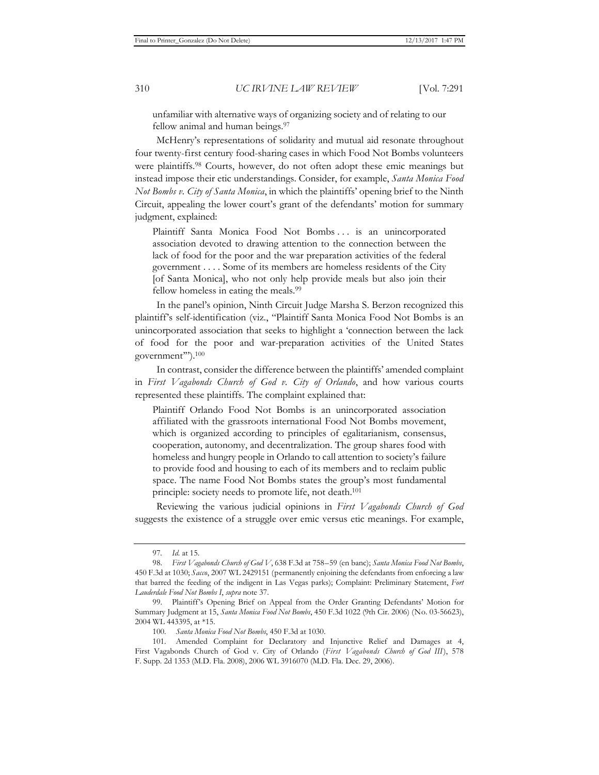unfamiliar with alternative ways of organizing society and of relating to our fellow animal and human beings.<sup>97</sup>

McHenry's representations of solidarity and mutual aid resonate throughout four twenty-first century food-sharing cases in which Food Not Bombs volunteers were plaintiffs.98 Courts, however, do not often adopt these emic meanings but instead impose their etic understandings. Consider, for example, *Santa Monica Food Not Bombs v. City of Santa Monica*, in which the plaintiffs' opening brief to the Ninth Circuit, appealing the lower court's grant of the defendants' motion for summary judgment, explained:

Plaintiff Santa Monica Food Not Bombs . . . is an unincorporated association devoted to drawing attention to the connection between the lack of food for the poor and the war preparation activities of the federal government . . . . Some of its members are homeless residents of the City [of Santa Monica], who not only help provide meals but also join their fellow homeless in eating the meals.99

In the panel's opinion, Ninth Circuit Judge Marsha S. Berzon recognized this plaintiff's self-identification (viz*.*, "Plaintiff Santa Monica Food Not Bombs is an unincorporated association that seeks to highlight a 'connection between the lack of food for the poor and war-preparation activities of the United States government'").100

In contrast, consider the difference between the plaintiffs' amended complaint in *First Vagabonds Church of God v. City of Orlando*, and how various courts represented these plaintiffs. The complaint explained that:

Plaintiff Orlando Food Not Bombs is an unincorporated association affiliated with the grassroots international Food Not Bombs movement, which is organized according to principles of egalitarianism, consensus, cooperation, autonomy, and decentralization. The group shares food with homeless and hungry people in Orlando to call attention to society's failure to provide food and housing to each of its members and to reclaim public space. The name Food Not Bombs states the group's most fundamental principle: society needs to promote life, not death.101

Reviewing the various judicial opinions in *First Vagabonds Church of God* suggests the existence of a struggle over emic versus etic meanings. For example,

<sup>97</sup>*. Id.* at 15.

<sup>98.</sup> *First Vagabonds Church of God V*, 638 F.3d at 758–59 (en banc); *Santa Monica Food Not Bombs*, 450 F.3d at 1030; *Sacco*, 2007 WL 2429151 (permanently enjoining the defendants from enforcing a law that barred the feeding of the indigent in Las Vegas parks); Complaint: Preliminary Statement, *Fort Lauderdale Food Not Bombs I*, *supra* note 37.

<sup>99.</sup> Plaintiff's Opening Brief on Appeal from the Order Granting Defendants' Motion for Summary Judgment at 15, *Santa Monica Food Not Bombs*, 450 F.3d 1022 (9th Cir. 2006) (No. 03-56623), 2004 WL 443395, at \*15.

<sup>100</sup>*. Santa Monica Food Not Bombs*, 450 F.3d at 1030.

<sup>101.</sup> Amended Complaint for Declaratory and Injunctive Relief and Damages at 4, First Vagabonds Church of God v. City of Orlando (*First Vagabonds Church of God III*), 578 F. Supp. 2d 1353 (M.D. Fla. 2008), 2006 WL 3916070 (M.D. Fla. Dec. 29, 2006).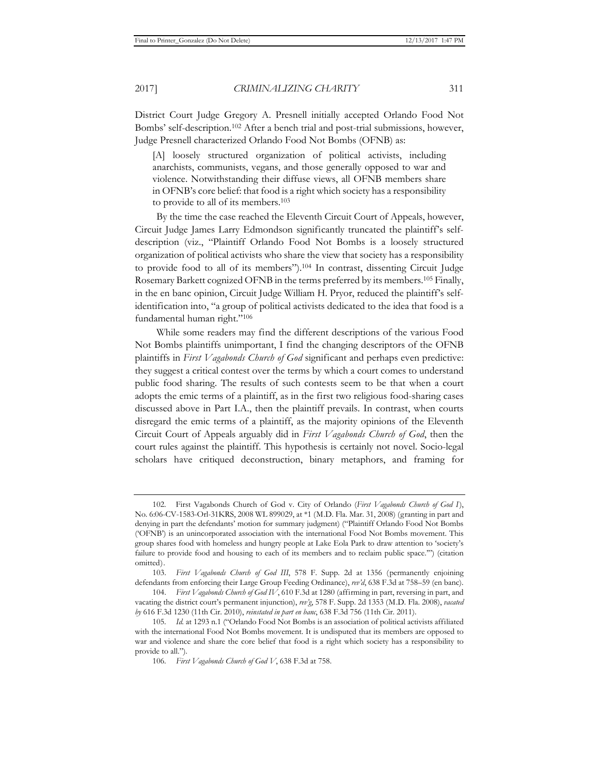District Court Judge Gregory A. Presnell initially accepted Orlando Food Not Bombs' self-description.102 After a bench trial and post-trial submissions, however, Judge Presnell characterized Orlando Food Not Bombs (OFNB) as:

[A] loosely structured organization of political activists, including anarchists, communists, vegans, and those generally opposed to war and violence. Notwithstanding their diffuse views, all OFNB members share in OFNB's core belief: that food is a right which society has a responsibility to provide to all of its members.103

By the time the case reached the Eleventh Circuit Court of Appeals, however, Circuit Judge James Larry Edmondson significantly truncated the plaintiff's selfdescription (viz., "Plaintiff Orlando Food Not Bombs is a loosely structured organization of political activists who share the view that society has a responsibility to provide food to all of its members").104 In contrast, dissenting Circuit Judge Rosemary Barkett cognized OFNB in the terms preferred by its members.105 Finally, in the en banc opinion, Circuit Judge William H. Pryor, reduced the plaintiff's selfidentification into, "a group of political activists dedicated to the idea that food is a fundamental human right."106

While some readers may find the different descriptions of the various Food Not Bombs plaintiffs unimportant, I find the changing descriptors of the OFNB plaintiffs in *First Vagabonds Church of God* significant and perhaps even predictive: they suggest a critical contest over the terms by which a court comes to understand public food sharing. The results of such contests seem to be that when a court adopts the emic terms of a plaintiff, as in the first two religious food-sharing cases discussed above in Part I.A., then the plaintiff prevails. In contrast, when courts disregard the emic terms of a plaintiff, as the majority opinions of the Eleventh Circuit Court of Appeals arguably did in *First Vagabonds Church of God*, then the court rules against the plaintiff. This hypothesis is certainly not novel. Socio-legal scholars have critiqued deconstruction, binary metaphors, and framing for

<sup>102.</sup> First Vagabonds Church of God v. City of Orlando (*First Vagabonds Church of God I*), No. 6:06-CV-1583-Orl-31KRS, 2008 WL 899029, at \*1 (M.D. Fla. Mar. 31, 2008) (granting in part and denying in part the defendants' motion for summary judgment) ("Plaintiff Orlando Food Not Bombs ('OFNB') is an unincorporated association with the international Food Not Bombs movement. This group shares food with homeless and hungry people at Lake Eola Park to draw attention to 'society's failure to provide food and housing to each of its members and to reclaim public space.'") (citation omitted).

<sup>103.</sup> *First Vagabonds Church of God III*, 578 F. Supp. 2d at 1356 (permanently enjoining defendants from enforcing their Large Group Feeding Ordinance), *rev'd*, 638 F.3d at 758–59 (en banc).

<sup>104.</sup> *First Vagabonds Church of God IV*, 610 F.3d at 1280 (affirming in part, reversing in part, and vacating the district court's permanent injunction), *rev'g*, 578 F. Supp. 2d 1353 (M.D. Fla. 2008), *vacated by* 616 F.3d 1230 (11th Cir. 2010), *reinstated in part en banc*, 638 F.3d 756 (11th Cir. 2011).

<sup>105</sup>*. Id.* at 1293 n.1 ("Orlando Food Not Bombs is an association of political activists affiliated with the international Food Not Bombs movement. It is undisputed that its members are opposed to war and violence and share the core belief that food is a right which society has a responsibility to provide to all.").

<sup>106</sup>*. First Vagabonds Church of God V*, 638 F.3d at 758.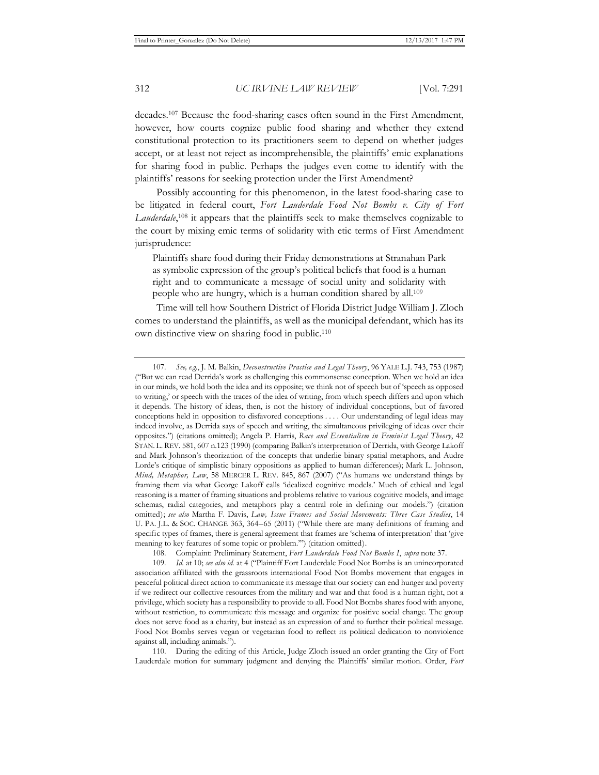decades.107 Because the food-sharing cases often sound in the First Amendment, however, how courts cognize public food sharing and whether they extend constitutional protection to its practitioners seem to depend on whether judges accept, or at least not reject as incomprehensible, the plaintiffs' emic explanations for sharing food in public. Perhaps the judges even come to identify with the plaintiffs' reasons for seeking protection under the First Amendment?

Possibly accounting for this phenomenon, in the latest food-sharing case to be litigated in federal court, *Fort Lauderdale Food Not Bombs v. City of Fort Lauderdale*, 108 it appears that the plaintiffs seek to make themselves cognizable to the court by mixing emic terms of solidarity with etic terms of First Amendment jurisprudence:

Plaintiffs share food during their Friday demonstrations at Stranahan Park as symbolic expression of the group's political beliefs that food is a human right and to communicate a message of social unity and solidarity with people who are hungry, which is a human condition shared by all.109

Time will tell how Southern District of Florida District Judge William J. Zloch comes to understand the plaintiffs, as well as the municipal defendant, which has its own distinctive view on sharing food in public.110

108. Complaint: Preliminary Statement, *Fort Lauderdale Food Not Bombs I*, *supra* note 37.

110. During the editing of this Article, Judge Zloch issued an order granting the City of Fort Lauderdale motion for summary judgment and denying the Plaintiffs' similar motion. Order, *Fort* 

<sup>107</sup>*. See, e.g.*, J. M. Balkin, *Deconstructive Practice and Legal Theory*, 96 YALE L.J. 743, 753 (1987) ("But we can read Derrida's work as challenging this commonsense conception. When we hold an idea in our minds, we hold both the idea and its opposite; we think not of speech but of 'speech as opposed to writing,' or speech with the traces of the idea of writing, from which speech differs and upon which it depends. The history of ideas, then, is not the history of individual conceptions, but of favored conceptions held in opposition to disfavored conceptions . . . . Our understanding of legal ideas may indeed involve, as Derrida says of speech and writing, the simultaneous privileging of ideas over their opposites.") (citations omitted); Angela P. Harris, *Race and Essentialism in Feminist Legal Theory*, 42 STAN. L. REV. 581, 607 n.123 (1990) (comparing Balkin's interpretation of Derrida, with George Lakoff and Mark Johnson's theorization of the concepts that underlie binary spatial metaphors, and Audre Lorde's critique of simplistic binary oppositions as applied to human differences); Mark L. Johnson, *Mind, Metaphor, Law*, 58 MERCER L. REV. 845, 867 (2007) ("As humans we understand things by framing them via what George Lakoff calls 'idealized cognitive models.' Much of ethical and legal reasoning is a matter of framing situations and problems relative to various cognitive models, and image schemas, radial categories, and metaphors play a central role in defining our models.") (citation omitted); *see also* Martha F. Davis, *Law, Issue Frames and Social Movements: Three Case Studies*, 14 U. PA. J.L. & SOC. CHANGE 363, 364–65 (2011) ("While there are many definitions of framing and specific types of frames, there is general agreement that frames are 'schema of interpretation' that 'give meaning to key features of some topic or problem.'") (citation omitted).

<sup>109</sup>*. Id.* at 10; *see also id.* at 4 ("Plaintiff Fort Lauderdale Food Not Bombs is an unincorporated association affiliated with the grassroots international Food Not Bombs movement that engages in peaceful political direct action to communicate its message that our society can end hunger and poverty if we redirect our collective resources from the military and war and that food is a human right, not a privilege, which society has a responsibility to provide to all. Food Not Bombs shares food with anyone, without restriction, to communicate this message and organize for positive social change. The group does not serve food as a charity, but instead as an expression of and to further their political message. Food Not Bombs serves vegan or vegetarian food to reflect its political dedication to nonviolence against all, including animals.").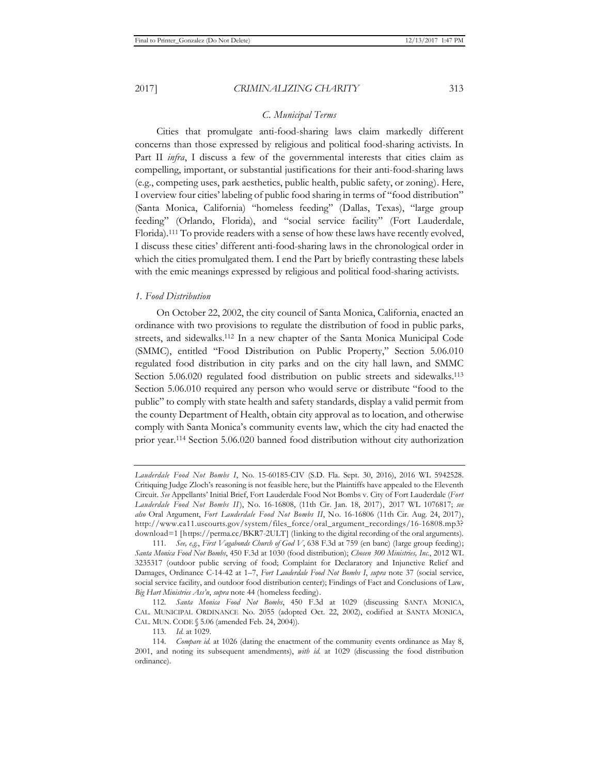# *C. Municipal Terms*

Cities that promulgate anti-food-sharing laws claim markedly different concerns than those expressed by religious and political food-sharing activists. In Part II *infra*, I discuss a few of the governmental interests that cities claim as compelling, important, or substantial justifications for their anti-food-sharing laws (e.g., competing uses, park aesthetics, public health, public safety, or zoning). Here, I overview four cities' labeling of public food sharing in terms of "food distribution" (Santa Monica, California) "homeless feeding" (Dallas, Texas), "large group feeding" (Orlando, Florida), and "social service facility" (Fort Lauderdale, Florida).111 To provide readers with a sense of how these laws have recently evolved, I discuss these cities' different anti-food-sharing laws in the chronological order in which the cities promulgated them. I end the Part by briefly contrasting these labels with the emic meanings expressed by religious and political food-sharing activists.

## *1. Food Distribution*

On October 22, 2002, the city council of Santa Monica, California, enacted an ordinance with two provisions to regulate the distribution of food in public parks, streets, and sidewalks.112 In a new chapter of the Santa Monica Municipal Code (SMMC), entitled "Food Distribution on Public Property," Section 5.06.010 regulated food distribution in city parks and on the city hall lawn, and SMMC Section 5.06.020 regulated food distribution on public streets and sidewalks.113 Section 5.06.010 required any person who would serve or distribute "food to the public" to comply with state health and safety standards, display a valid permit from the county Department of Health, obtain city approval as to location, and otherwise comply with Santa Monica's community events law, which the city had enacted the prior year.114 Section 5.06.020 banned food distribution without city authorization

*Lauderdale Food Not Bombs I*, No. 15-60185-CIV (S.D. Fla. Sept. 30, 2016), 2016 WL 5942528. Critiquing Judge Zloch's reasoning is not feasible here, but the Plaintiffs have appealed to the Eleventh Circuit. *See* Appellants' Initial Brief, Fort Lauderdale Food Not Bombs v. City of Fort Lauderdale (*Fort Lauderdale Food Not Bombs II*), No. 16-16808, (11th Cir. Jan. 18, 2017), 2017 WL 1076817; *see also* Oral Argument, *Fort Lauderdale Food Not Bombs II*, No. 16-16806 (11th Cir. Aug. 24, 2017), http://www.ca11.uscourts.gov/system/files\_force/oral\_argument\_recordings/16-16808.mp3? download=1 [https://perma.cc/BKR7-2ULT] (linking to the digital recording of the oral arguments).

<sup>111</sup>*. See, e.g.*, *First Vagabonds Church of God V*, 638 F.3d at 759 (en banc) (large group feeding); *Santa Monica Food Not Bombs*, 450 F.3d at 1030 (food distribution); *Chosen 300 Ministries, Inc.*, 2012 WL 3235317 (outdoor public serving of food; Complaint for Declaratory and Injunctive Relief and Damages, Ordinance C-14-42 at 1–7, *Fort Lauderdale Food Not Bombs I*, *supra* note 37 (social service, social service facility, and outdoor food distribution center); Findings of Fact and Conclusions of Law, *Big Hart Ministries Ass'n*, *supra* note 44 (homeless feeding).

<sup>112</sup>*. Santa Monica Food Not Bombs*, 450 F.3d at 1029 (discussing SANTA MONICA, CAL. MUNICIPAL ORDINANCE No. 2055 (adopted Oct. 22, 2002), codified at SANTA MONICA, CAL. MUN. CODE § 5.06 (amended Feb. 24, 2004)).

<sup>113</sup>*. Id.* at 1029.

<sup>114</sup>*. Compare id.* at 1026 (dating the enactment of the community events ordinance as May 8, 2001, and noting its subsequent amendments), *with id.* at 1029 (discussing the food distribution ordinance).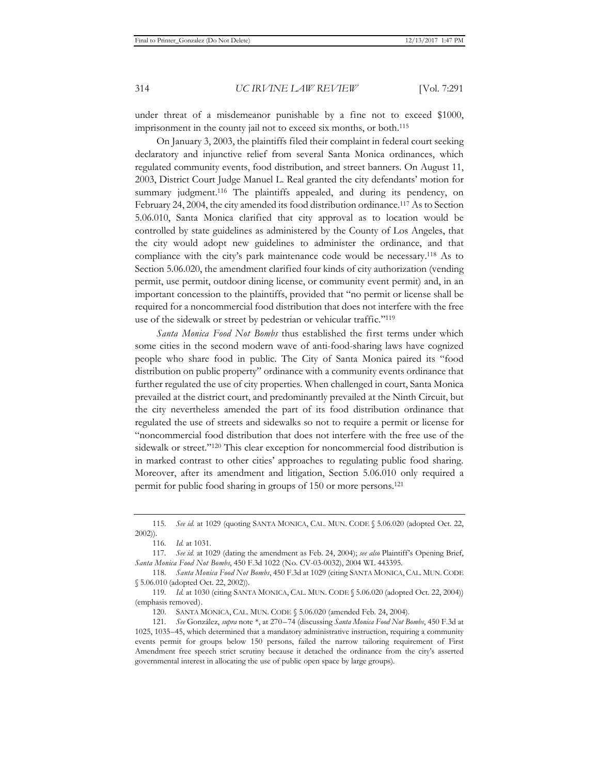under threat of a misdemeanor punishable by a fine not to exceed \$1000, imprisonment in the county jail not to exceed six months, or both.115

On January 3, 2003, the plaintiffs filed their complaint in federal court seeking declaratory and injunctive relief from several Santa Monica ordinances, which regulated community events, food distribution, and street banners. On August 11, 2003, District Court Judge Manuel L. Real granted the city defendants' motion for summary judgment.<sup>116</sup> The plaintiffs appealed, and during its pendency, on February 24, 2004, the city amended its food distribution ordinance.117 As to Section 5.06.010, Santa Monica clarified that city approval as to location would be controlled by state guidelines as administered by the County of Los Angeles, that the city would adopt new guidelines to administer the ordinance, and that compliance with the city's park maintenance code would be necessary.118 As to Section 5.06.020, the amendment clarified four kinds of city authorization (vending permit, use permit, outdoor dining license, or community event permit) and, in an important concession to the plaintiffs, provided that "no permit or license shall be required for a noncommercial food distribution that does not interfere with the free use of the sidewalk or street by pedestrian or vehicular traffic."119

*Santa Monica Food Not Bombs* thus established the first terms under which some cities in the second modern wave of anti-food-sharing laws have cognized people who share food in public. The City of Santa Monica paired its "food distribution on public property" ordinance with a community events ordinance that further regulated the use of city properties. When challenged in court, Santa Monica prevailed at the district court, and predominantly prevailed at the Ninth Circuit, but the city nevertheless amended the part of its food distribution ordinance that regulated the use of streets and sidewalks so not to require a permit or license for "noncommercial food distribution that does not interfere with the free use of the sidewalk or street."120 This clear exception for noncommercial food distribution is in marked contrast to other cities' approaches to regulating public food sharing. Moreover, after its amendment and litigation, Section 5.06.010 only required a permit for public food sharing in groups of 150 or more persons.121

<sup>115</sup>*. See id.* at 1029 (quoting SANTA MONICA, CAL. MUN. CODE § 5.06.020 (adopted Oct. 22, 2002)).

<sup>116</sup>*. Id.* at 1031.

<sup>117</sup>*. See id.* at 1029 (dating the amendment as Feb. 24, 2004); *see also* Plaintiff's Opening Brief, *Santa Monica Food Not Bombs*, 450 F.3d 1022 (No. CV-03-0032), 2004 WL 443395.

<sup>118</sup>*. Santa Monica Food Not Bombs*, 450 F.3d at 1029 (citing SANTA MONICA, CAL. MUN. CODE § 5.06.010 (adopted Oct. 22, 2002)).

<sup>119</sup>*. Id.* at 1030 (citing SANTA MONICA, CAL. MUN. CODE § 5.06.020 (adopted Oct. 22, 2004)) (emphasis removed).

<sup>120.</sup> SANTA MONICA, CAL. MUN. CODE § 5.06.020 (amended Feb. 24, 2004).

<sup>121</sup>*. See* González, *supra* note \*, at 270–74 (discussing *Santa Monica Food Not Bombs*, 450 F.3d at 1025, 1035–45, which determined that a mandatory administrative instruction, requiring a community events permit for groups below 150 persons, failed the narrow tailoring requirement of First Amendment free speech strict scrutiny because it detached the ordinance from the city's asserted governmental interest in allocating the use of public open space by large groups).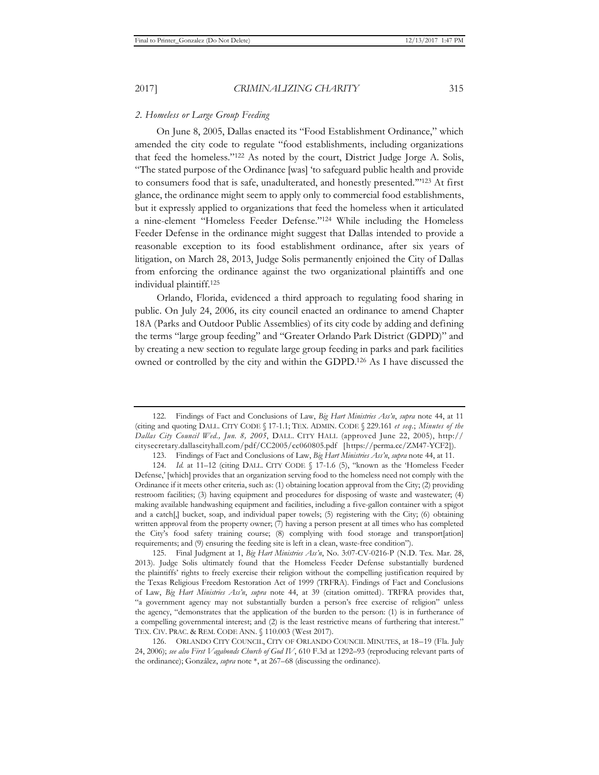# *2. Homeless or Large Group Feeding*

On June 8, 2005, Dallas enacted its "Food Establishment Ordinance," which amended the city code to regulate "food establishments, including organizations that feed the homeless."122 As noted by the court, District Judge Jorge A. Solis, "The stated purpose of the Ordinance [was] 'to safeguard public health and provide to consumers food that is safe, unadulterated, and honestly presented.'"123 At first glance, the ordinance might seem to apply only to commercial food establishments, but it expressly applied to organizations that feed the homeless when it articulated a nine-element "Homeless Feeder Defense."124 While including the Homeless Feeder Defense in the ordinance might suggest that Dallas intended to provide a reasonable exception to its food establishment ordinance, after six years of litigation, on March 28, 2013, Judge Solis permanently enjoined the City of Dallas from enforcing the ordinance against the two organizational plaintiffs and one individual plaintiff.125

Orlando, Florida, evidenced a third approach to regulating food sharing in public. On July 24, 2006, its city council enacted an ordinance to amend Chapter 18A (Parks and Outdoor Public Assemblies) of its city code by adding and defining the terms "large group feeding" and "Greater Orlando Park District (GDPD)" and by creating a new section to regulate large group feeding in parks and park facilities owned or controlled by the city and within the GDPD.126 As I have discussed the

<sup>122.</sup> Findings of Fact and Conclusions of Law, *Big Hart Ministries Ass'n*, *supra* note 44, at 11 (citing and quoting DALL. CITY CODE § 17-1.1; TEX. ADMIN. CODE § 229.161 *et seq*.; *Minutes of the Dallas City Council Wed., Jun. 8, 2005*, DALL. CITY HALL (approved June 22, 2005), http:// citysecretary.dallascityhall.com/pdf/CC2005/cc060805.pdf [https://perma.cc/ZM47-YCF2]).

<sup>123.</sup> Findings of Fact and Conclusions of Law, *Big Hart Ministries Ass'n*, *supra* note 44, at 11.

<sup>124.</sup> Id. at 11-12 (citing DALL. CITY CODE § 17-1.6 (5), "known as the 'Homeless Feeder Defense,' [which] provides that an organization serving food to the homeless need not comply with the Ordinance if it meets other criteria, such as: (1) obtaining location approval from the City; (2) providing restroom facilities; (3) having equipment and procedures for disposing of waste and wastewater; (4) making available handwashing equipment and facilities, including a five-gallon container with a spigot and a catch[,] bucket, soap, and individual paper towels; (5) registering with the City; (6) obtaining written approval from the property owner; (7) having a person present at all times who has completed the City's food safety training course; (8) complying with food storage and transport[ation] requirements; and (9) ensuring the feeding site is left in a clean, waste-free condition").

<sup>125.</sup> Final Judgment at 1, *Big Hart Ministries Ass'n*, No. 3:07-CV-0216-P (N.D. Tex. Mar. 28, 2013). Judge Solis ultimately found that the Homeless Feeder Defense substantially burdened the plaintiffs' rights to freely exercise their religion without the compelling justification required by the Texas Religious Freedom Restoration Act of 1999 (TRFRA). Findings of Fact and Conclusions of Law, *Big Hart Ministries Ass'n*, *supra* note 44, at 39 (citation omitted). TRFRA provides that, "a government agency may not substantially burden a person's free exercise of religion" unless the agency, "demonstrates that the application of the burden to the person: (1) is in furtherance of a compelling governmental interest; and (2) is the least restrictive means of furthering that interest." TEX. CIV. PRAC. & REM. CODE ANN. § 110.003 (West 2017).

<sup>126.</sup> ORLANDO CITY COUNCIL, CITY OF ORLANDO COUNCIL MINUTES, at 18–19 (Fla. July 24, 2006); *see also First Vagabonds Church of God IV*, 610 F.3d at 1292–93 (reproducing relevant parts of the ordinance); González, *supra* note \*, at 267–68 (discussing the ordinance).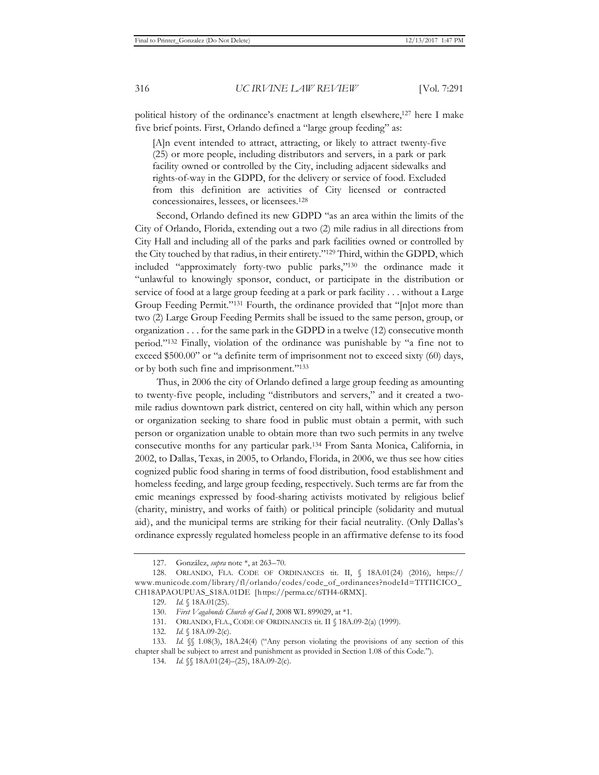political history of the ordinance's enactment at length elsewhere,<sup>127</sup> here I make five brief points. First, Orlando defined a "large group feeding" as:

[A]n event intended to attract, attracting, or likely to attract twenty-five (25) or more people, including distributors and servers, in a park or park facility owned or controlled by the City, including adjacent sidewalks and rights-of-way in the GDPD, for the delivery or service of food. Excluded from this definition are activities of City licensed or contracted concessionaires, lessees, or licensees.128

Second, Orlando defined its new GDPD "as an area within the limits of the City of Orlando, Florida, extending out a two (2) mile radius in all directions from City Hall and including all of the parks and park facilities owned or controlled by the City touched by that radius, in their entirety."129 Third, within the GDPD, which included "approximately forty-two public parks,"130 the ordinance made it "unlawful to knowingly sponsor, conduct, or participate in the distribution or service of food at a large group feeding at a park or park facility . . . without a Large Group Feeding Permit."131 Fourth, the ordinance provided that "[n]ot more than two (2) Large Group Feeding Permits shall be issued to the same person, group, or organization  $\dots$  for the same park in the GDPD in a twelve (12) consecutive month period."132 Finally, violation of the ordinance was punishable by "a fine not to exceed \$500.00" or "a definite term of imprisonment not to exceed sixty (60) days, or by both such fine and imprisonment."133

Thus, in 2006 the city of Orlando defined a large group feeding as amounting to twenty-five people, including "distributors and servers," and it created a twomile radius downtown park district, centered on city hall, within which any person or organization seeking to share food in public must obtain a permit, with such person or organization unable to obtain more than two such permits in any twelve consecutive months for any particular park.134 From Santa Monica, California, in 2002, to Dallas, Texas, in 2005, to Orlando, Florida, in 2006, we thus see how cities cognized public food sharing in terms of food distribution, food establishment and homeless feeding, and large group feeding, respectively. Such terms are far from the emic meanings expressed by food-sharing activists motivated by religious belief (charity, ministry, and works of faith) or political principle (solidarity and mutual aid), and the municipal terms are striking for their facial neutrality. (Only Dallas's ordinance expressly regulated homeless people in an affirmative defense to its food

<sup>127.</sup> González, *supra* note \*, at 263–70.

<sup>128.</sup> ORLANDO, FLA. CODE OF ORDINANCES tit. II, § 18A.01(24) (2016), https:// www.municode.com/library/fl/orlando/codes/code\_of\_ordinances?nodeId=TITIICICO\_ CH18APAOUPUAS\_S18A.01DE [https://perma.cc/6TH4-6RMX].

<sup>129</sup>*. Id.* § 18A.01(25).

<sup>130.</sup> *First Vagabonds Church of God I*, 2008 WL 899029, at \*1.

<sup>131.</sup> ORLANDO, FLA., CODE OF ORDINANCES tit. II § 18A.09-2(a) (1999).

<sup>132</sup>*. Id.* § 18A.09-2(c).

<sup>133</sup>*. Id.* §§ 1.08(3), 18A.24(4) ("Any person violating the provisions of any section of this chapter shall be subject to arrest and punishment as provided in Section 1.08 of this Code.").

<sup>134</sup>*. Id.* §§ 18A.01(24)–(25), 18A.09-2(c).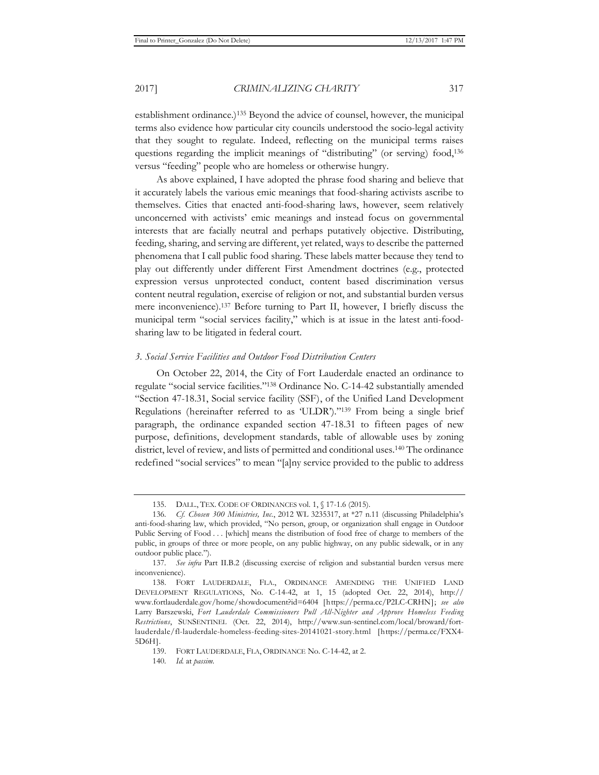establishment ordinance.)135 Beyond the advice of counsel, however, the municipal terms also evidence how particular city councils understood the socio-legal activity that they sought to regulate. Indeed, reflecting on the municipal terms raises questions regarding the implicit meanings of "distributing" (or serving) food,136 versus "feeding" people who are homeless or otherwise hungry.

As above explained, I have adopted the phrase food sharing and believe that it accurately labels the various emic meanings that food-sharing activists ascribe to themselves. Cities that enacted anti-food-sharing laws, however, seem relatively unconcerned with activists' emic meanings and instead focus on governmental interests that are facially neutral and perhaps putatively objective. Distributing, feeding, sharing, and serving are different, yet related, ways to describe the patterned phenomena that I call public food sharing. These labels matter because they tend to play out differently under different First Amendment doctrines (e.g., protected expression versus unprotected conduct, content based discrimination versus content neutral regulation, exercise of religion or not, and substantial burden versus mere inconvenience).137 Before turning to Part II, however, I briefly discuss the municipal term "social services facility," which is at issue in the latest anti-foodsharing law to be litigated in federal court.

# *3. Social Service Facilities and Outdoor Food Distribution Centers*

On October 22, 2014, the City of Fort Lauderdale enacted an ordinance to regulate "social service facilities."138 Ordinance No. C-14-42 substantially amended "Section 47-18.31, Social service facility (SSF), of the Unified Land Development Regulations (hereinafter referred to as 'ULDR')."139 From being a single brief paragraph, the ordinance expanded section 47-18.31 to fifteen pages of new purpose, definitions, development standards, table of allowable uses by zoning district, level of review, and lists of permitted and conditional uses.140 The ordinance redefined "social services" to mean "[a]ny service provided to the public to address

<sup>135.</sup> DALL., TEX. CODE OF ORDINANCES vol. 1, § 17-1.6 (2015).

<sup>136</sup>*. Cf. Chosen 300 Ministries, Inc.*, 2012 WL 3235317, at \*27 n.11 (discussing Philadelphia's anti-food-sharing law, which provided, "No person, group, or organization shall engage in Outdoor Public Serving of Food . . . [which] means the distribution of food free of charge to members of the public, in groups of three or more people, on any public highway, on any public sidewalk, or in any outdoor public place.").

<sup>137</sup>*. See infra* Part II.B.2 (discussing exercise of religion and substantial burden versus mere inconvenience).

<sup>138.</sup> FORT LAUDERDALE, FLA., ORDINANCE AMENDING THE UNIFIED LAND DEVELOPMENT REGULATIONS, No. C-14-42, at 1, 15 (adopted Oct. 22, 2014), http:// www.fortlauderdale.gov/home/showdocument?id=6404 [https://perma.cc/P2LC-CRHN]; *see also* Larry Barszewski, *Fort Lauderdale Commissioners Pull All-Nighter and Approve Homeless Feeding Restrictions*, SUNSENTINEL (Oct. 22, 2014), http://www.sun-sentinel.com/local/broward/fortlauderdale/fl-lauderdale-homeless-feeding-sites-20141021-story.html [https://perma.cc/FXX4- 5D6H].

<sup>139.</sup> FORT LAUDERDALE, FLA, ORDINANCE No. C-14-42, at 2.

<sup>140</sup>*. Id.* at *passim*.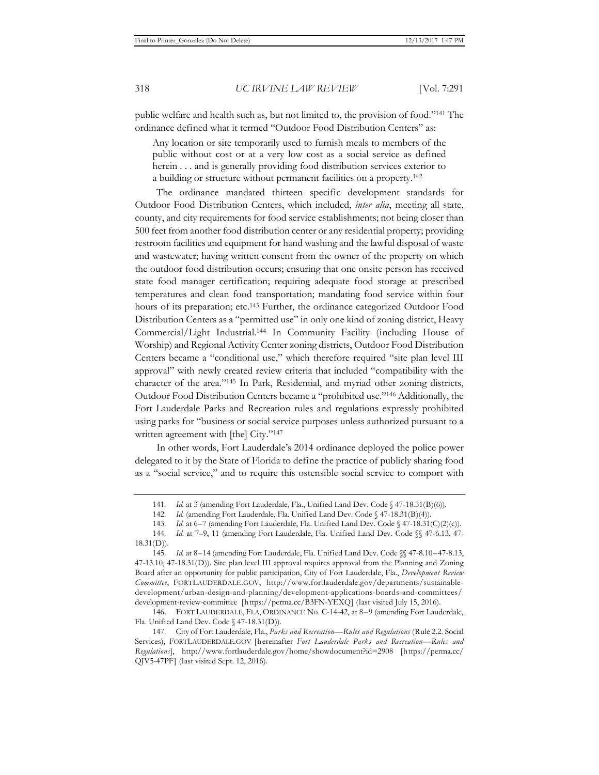public welfare and health such as, but not limited to, the provision of food."141 The ordinance defined what it termed "Outdoor Food Distribution Centers" as:

Any location or site temporarily used to furnish meals to members of the public without cost or at a very low cost as a social service as defined herein . . . and is generally providing food distribution services exterior to a building or structure without permanent facilities on a property.142

The ordinance mandated thirteen specific development standards for Outdoor Food Distribution Centers, which included, *inter alia*, meeting all state, county, and city requirements for food service establishments; not being closer than 500 feet from another food distribution center or any residential property; providing restroom facilities and equipment for hand washing and the lawful disposal of waste and wastewater; having written consent from the owner of the property on which the outdoor food distribution occurs; ensuring that one onsite person has received state food manager certification; requiring adequate food storage at prescribed temperatures and clean food transportation; mandating food service within four hours of its preparation; etc.<sup>143</sup> Further, the ordinance categorized Outdoor Food Distribution Centers as a "permitted use" in only one kind of zoning district, Heavy Commercial/Light Industrial.144 In Community Facility (including House of Worship) and Regional Activity Center zoning districts, Outdoor Food Distribution Centers became a "conditional use," which therefore required "site plan level III approval" with newly created review criteria that included "compatibility with the character of the area."145 In Park, Residential, and myriad other zoning districts, Outdoor Food Distribution Centers became a "prohibited use."146 Additionally, the Fort Lauderdale Parks and Recreation rules and regulations expressly prohibited using parks for "business or social service purposes unless authorized pursuant to a written agreement with [the] City."<sup>147</sup>

In other words, Fort Lauderdale's 2014 ordinance deployed the police power delegated to it by the State of Florida to define the practice of publicly sharing food as a "social service," and to require this ostensible social service to comport with

<sup>141.</sup> Id. at 3 (amending Fort Lauderdale, Fla., Unified Land Dev. Code § 47-18.31(B)(6)).

<sup>142</sup>*. Id.* (amending Fort Lauderdale, Fla. Unified Land Dev. Code § 47-18.31(B)(4)).

<sup>143.</sup> Id. at 6–7 (amending Fort Lauderdale, Fla. Unified Land Dev. Code § 47-18.31(C)(2)(c)).

<sup>144</sup>*. Id*. at 7–9, 11 (amending Fort Lauderdale, Fla. Unified Land Dev. Code §§ 47-6.13, 47-  $18.31(D)$ ).

<sup>145</sup>*. Id.* at 8–14 (amending Fort Lauderdale, Fla. Unified Land Dev. Code §§ 47-8.10–47-8.13, 47-13.10, 47-18.31(D)). Site plan level III approval requires approval from the Planning and Zoning Board after an opportunity for public participation, City of Fort Lauderdale, Fla., *Development Review Committee*, FORTLAUDERDALE.GOV, http://www.fortlauderdale.gov/departments/sustainabledevelopment/urban-design-and-planning/development-applications-boards-and-committees/ development-review-committee [https://perma.cc/B3FN-YEXQ] (last visited July 15, 2016).

<sup>146.</sup> FORT LAUDERDALE, FLA, ORDINANCE No. C-14-42, at 8–9 (amending Fort Lauderdale, Fla. Unified Land Dev. Code § 47-18.31(D)).

<sup>147.</sup> City of Fort Lauderdale, Fla., *Parks and Recreation—Rules and Regulations* (Rule 2.2. Social Services), FORTLAUDERDALE.GOV [hereinafter *Fort Lauderdale Parks and Recreation—Rules and Regulations*], http://www.fortlauderdale.gov/home/showdocument?id=2908 [https://perma.cc/ QJV5-47PF] (last visited Sept. 12, 2016).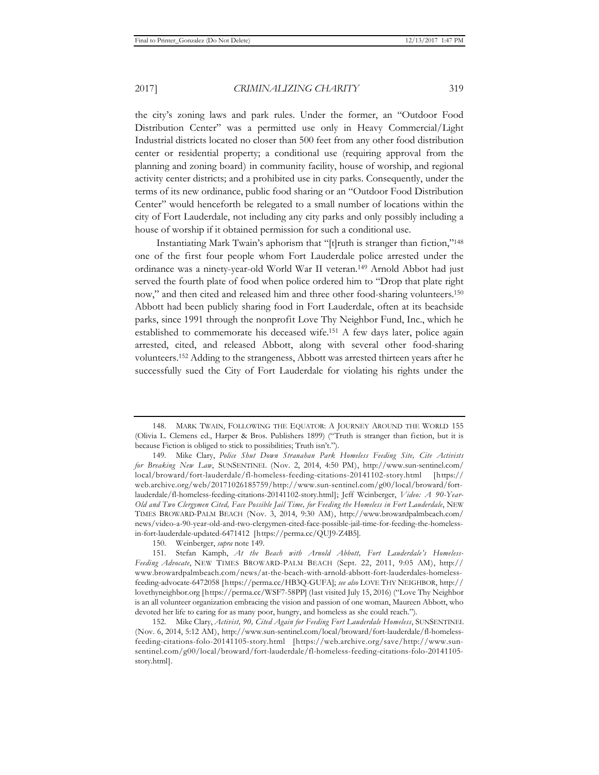the city's zoning laws and park rules. Under the former, an "Outdoor Food Distribution Center" was a permitted use only in Heavy Commercial/Light Industrial districts located no closer than 500 feet from any other food distribution center or residential property; a conditional use (requiring approval from the planning and zoning board) in community facility, house of worship, and regional activity center districts; and a prohibited use in city parks. Consequently, under the terms of its new ordinance, public food sharing or an "Outdoor Food Distribution Center" would henceforth be relegated to a small number of locations within the city of Fort Lauderdale, not including any city parks and only possibly including a house of worship if it obtained permission for such a conditional use.

Instantiating Mark Twain's aphorism that "[t]ruth is stranger than fiction,"148 one of the first four people whom Fort Lauderdale police arrested under the ordinance was a ninety-year-old World War II veteran.149 Arnold Abbot had just served the fourth plate of food when police ordered him to "Drop that plate right now," and then cited and released him and three other food-sharing volunteers.150 Abbott had been publicly sharing food in Fort Lauderdale, often at its beachside parks, since 1991 through the nonprofit Love Thy Neighbor Fund, Inc., which he established to commemorate his deceased wife.151 A few days later, police again arrested, cited, and released Abbott, along with several other food-sharing volunteers.152 Adding to the strangeness, Abbott was arrested thirteen years after he successfully sued the City of Fort Lauderdale for violating his rights under the

<sup>148.</sup> MARK TWAIN, FOLLOWING THE EQUATOR: A JOURNEY AROUND THE WORLD 155 (Olivia L. Clemens ed., Harper & Bros. Publishers 1899) ("Truth is stranger than fiction, but it is because Fiction is obliged to stick to possibilities; Truth isn't.").

<sup>149.</sup> Mike Clary, *Police Shut Down Stranahan Park Homeless Feeding Site, Cite Activists for Breaking New Law*, SUNSENTINEL (Nov. 2, 2014, 4:50 PM), http://www.sun-sentinel.com/ local/broward/fort-lauderdale/fl-homeless-feeding-citations-20141102-story.html [https:// web.archive.org/web/20171026185759/http://www.sun-sentinel.com/g00/local/broward/fortlauderdale/fl-homeless-feeding-citations-20141102-story.html]; Jeff Weinberger, *Video: A 90-Year-Old and Two Clergymen Cited, Face Possible Jail Time, for Feeding the Homeless in Fort Lauderdale*, NEW TIMES BROWARD-PALM BEACH (Nov. 3, 2014, 9:30 AM), http://www.browardpalmbeach.com/ news/video-a-90-year-old-and-two-clergymen-cited-face-possible-jail-time-for-feeding-the-homelessin-fort-lauderdale-updated-6471412 [https://perma.cc/QUJ9-Z4B5].

<sup>150.</sup> Weinberger, *supra* note 149.

<sup>151.</sup> Stefan Kamph, *At the Beach with Arnold Abbott, Fort Lauderdale's Homeless-Feeding Advocate*, NEW TIMES BROWARD-PALM BEACH (Sept. 22, 2011, 9:05 AM), http:// www.browardpalmbeach.com/news/at-the-beach-with-arnold-abbott-fort-lauderdales-homelessfeeding-advocate-6472058 [https://perma.cc/HB3Q-GUFA]; *see also* LOVE THY NEIGHBOR, http:// lovethyneighbor.org [https://perma.cc/WSF7-58PP] (last visited July 15, 2016) ("Love Thy Neighbor is an all volunteer organization embracing the vision and passion of one woman, Maureen Abbott, who devoted her life to caring for as many poor, hungry, and homeless as she could reach.").

<sup>152.</sup> Mike Clary, *Activist, 90, Cited Again for Feeding Fort Lauderdale Homeless*, SUNSENTINEL (Nov. 6, 2014, 5:12 AM), http://www.sun-sentinel.com/local/broward/fort-lauderdale/fl-homelessfeeding-citations-folo-20141105-story.html [https://web.archive.org/save/http://www.sunsentinel.com/g00/local/broward/fort-lauderdale/fl-homeless-feeding-citations-folo-20141105 story.html].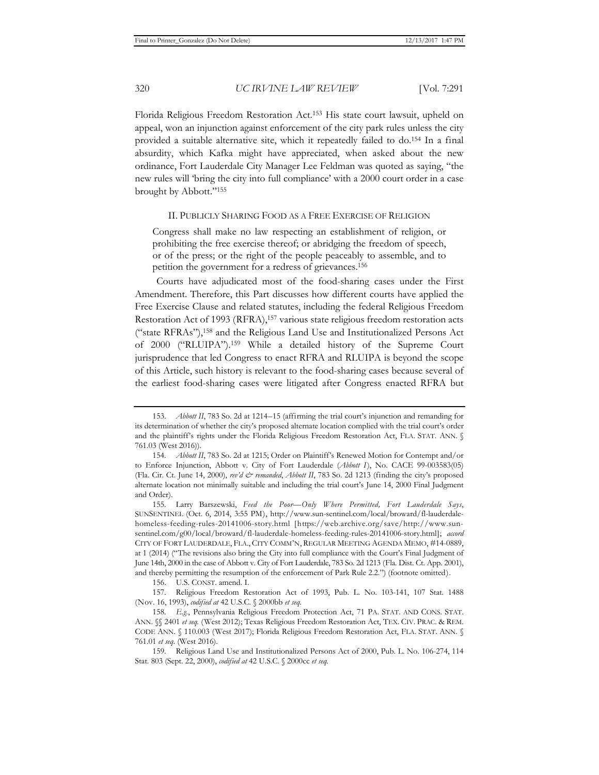Florida Religious Freedom Restoration Act.153 His state court lawsuit, upheld on appeal, won an injunction against enforcement of the city park rules unless the city provided a suitable alternative site, which it repeatedly failed to do.154 In a final absurdity, which Kafka might have appreciated, when asked about the new ordinance, Fort Lauderdale City Manager Lee Feldman was quoted as saying, "the new rules will 'bring the city into full compliance' with a 2000 court order in a case brought by Abbott."155

## II. PUBLICLY SHARING FOOD AS A FREE EXERCISE OF RELIGION

Congress shall make no law respecting an establishment of religion, or prohibiting the free exercise thereof; or abridging the freedom of speech, or of the press; or the right of the people peaceably to assemble, and to petition the government for a redress of grievances.156

Courts have adjudicated most of the food-sharing cases under the First Amendment. Therefore, this Part discusses how different courts have applied the Free Exercise Clause and related statutes, including the federal Religious Freedom Restoration Act of 1993 (RFRA),<sup>157</sup> various state religious freedom restoration acts ("state RFRAs"),158 and the Religious Land Use and Institutionalized Persons Act of 2000 ("RLUIPA").159 While a detailed history of the Supreme Court jurisprudence that led Congress to enact RFRA and RLUIPA is beyond the scope of this Article, such history is relevant to the food-sharing cases because several of the earliest food-sharing cases were litigated after Congress enacted RFRA but

156. U.S. CONST. amend. I.

157. Religious Freedom Restoration Act of 1993, Pub. L. No. 103-141, 107 Stat. 1488 (Nov. 16, 1993), *codified at* 42 U.S.C. § 2000bb *et seq.*

<sup>153.</sup> *Abbott II*, 783 So. 2d at 1214–15 (affirming the trial court's injunction and remanding for its determination of whether the city's proposed alternate location complied with the trial court's order and the plaintiff's rights under the Florida Religious Freedom Restoration Act, FLA. STAT. ANN. § 761.03 (West 2016)).

<sup>154</sup>*. Abbott II*, 783 So. 2d at 1215; Order on Plaintiff's Renewed Motion for Contempt and/or to Enforce Injunction, Abbott v. City of Fort Lauderdale (*Abbott I*), No. CACE 99-003583(05) (Fla. Cir. Ct. June 14, 2000), *rev'd & remanded*, *Abbott II*, 783 So. 2d 1213 (finding the city's proposed alternate location not minimally suitable and including the trial court's June 14, 2000 Final Judgment and Order).

<sup>155.</sup> Larry Barszewski, *Feed the Poor—Only Where Permitted, Fort Lauderdale Says*, SUNSENTINEL (Oct. 6, 2014, 3:55 PM), http://www.sun-sentinel.com/local/broward/fl-lauderdalehomeless-feeding-rules-20141006-story.html [https://web.archive.org/save/http://www.sunsentinel.com/g00/local/broward/fl-lauderdale-homeless-feeding-rules-20141006-story.html]; *accord*  CITY OF FORT LAUDERDALE, FLA., CITY COMM'N, REGULAR MEETING AGENDA MEMO, #14-0889, at 1 (2014) ("The revisions also bring the City into full compliance with the Court's Final Judgment of June 14th, 2000 in the case of Abbott v. City of Fort Lauderdale, 783 So. 2d 1213 (Fla. Dist. Ct. App. 2001), and thereby permitting the resumption of the enforcement of Park Rule 2.2.") (footnote omitted).

<sup>158</sup>*. E.g.*, Pennsylvania Religious Freedom Protection Act, 71 PA. STAT. AND CONS. STAT. ANN. §§ 2401 *et seq.* (West 2012); Texas Religious Freedom Restoration Act, TEX. CIV. PRAC. & REM. CODE ANN. § 110.003 (West 2017); Florida Religious Freedom Restoration Act, FLA. STAT. ANN. § 761.01 *et seq.* (West 2016).

<sup>159.</sup> Religious Land Use and Institutionalized Persons Act of 2000, Pub. L. No. 106-274, 114 Stat. 803 (Sept. 22, 2000), *codified at* 42 U.S.C. § 2000cc *et seq.*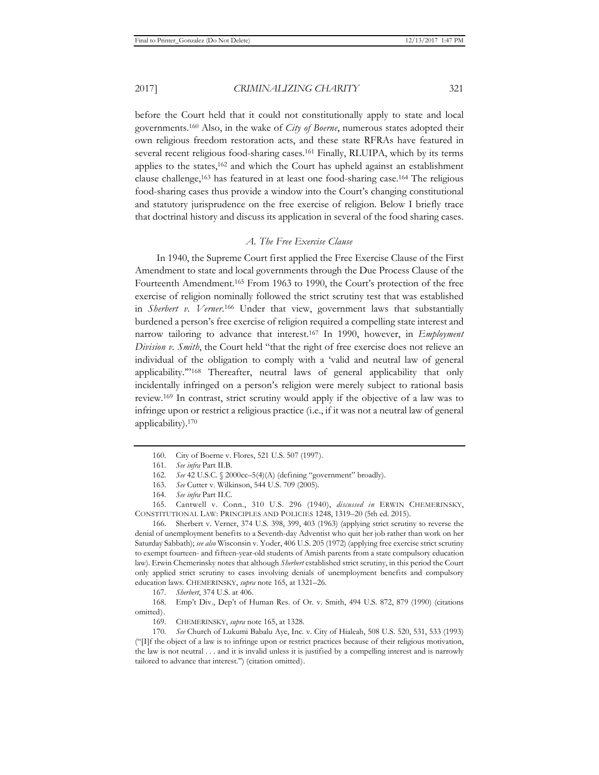before the Court held that it could not constitutionally apply to state and local governments.160 Also, in the wake of *City of Boerne*, numerous states adopted their own religious freedom restoration acts, and these state RFRAs have featured in several recent religious food-sharing cases.161 Finally, RLUIPA, which by its terms applies to the states, $162$  and which the Court has upheld against an establishment clause challenge,163 has featured in at least one food-sharing case.164 The religious food-sharing cases thus provide a window into the Court's changing constitutional and statutory jurisprudence on the free exercise of religion. Below I briefly trace that doctrinal history and discuss its application in several of the food sharing cases.

# *A. The Free Exercise Clause*

In 1940, the Supreme Court first applied the Free Exercise Clause of the First Amendment to state and local governments through the Due Process Clause of the Fourteenth Amendment.165 From 1963 to 1990, the Court's protection of the free exercise of religion nominally followed the strict scrutiny test that was established in *Sherbert v. Verner*. 166 Under that view, government laws that substantially burdened a person's free exercise of religion required a compelling state interest and narrow tailoring to advance that interest.167 In 1990, however, in *Employment Division v. Smith*, the Court held "that the right of free exercise does not relieve an individual of the obligation to comply with a 'valid and neutral law of general applicability.'"168 Thereafter, neutral laws of general applicability that only incidentally infringed on a person's religion were merely subject to rational basis review.169 In contrast, strict scrutiny would apply if the objective of a law was to infringe upon or restrict a religious practice (i.e., if it was not a neutral law of general applicability).170

165. Cantwell v. Conn., 310 U.S. 296 (1940), *discussed in* ERWIN CHEMERINSKY, CONSTITUTIONAL LAW: PRINCIPLES AND POLICIES 1248, 1319–20 (5th ed. 2015).

166. Sherbert v. Verner, 374 U.S. 398, 399, 403 (1963) (applying strict scrutiny to reverse the denial of unemployment benefits to a Seventh-day Adventist who quit her job rather than work on her Saturday Sabbath); *see also* Wisconsin v. Yoder, 406 U.S. 205 (1972) (applying free exercise strict scrutiny to exempt fourteen- and fifteen-year-old students of Amish parents from a state compulsory education law). Erwin Chemerinsky notes that although *Sherbert* established strict scrutiny, in this period the Court only applied strict scrutiny to cases involving denials of unemployment benefits and compulsory education laws. CHEMERINSKY, *supra* note 165, at 1321–26.

168. Emp't Div., Dep't of Human Res. of Or. v. Smith, 494 U.S. 872, 879 (1990) (citations omitted).

<sup>160.</sup> City of Boerne v. Flores, 521 U.S. 507 (1997).

<sup>161</sup>*. See infra* Part II.B.

<sup>162</sup>*. See* 42 U.S.C. § 2000cc–5(4)(A) (defining "government" broadly).

<sup>163</sup>*. See* Cutter v. Wilkinson, 544 U.S. 709 (2005).

<sup>164</sup>*. See infra* Part II.C.

<sup>167</sup>*. Sherbert*, 374 U.S. at 406.

<sup>169.</sup> CHEMERINSKY, *supra* note 165, at 1328.

<sup>170</sup>*. See* Church of Lukumi Babalu Aye, Inc. v. City of Hialeah, 508 U.S. 520, 531, 533 (1993) ("[I]f the object of a law is to infringe upon or restrict practices because of their religious motivation, the law is not neutral . . . and it is invalid unless it is justified by a compelling interest and is narrowly tailored to advance that interest.") (citation omitted).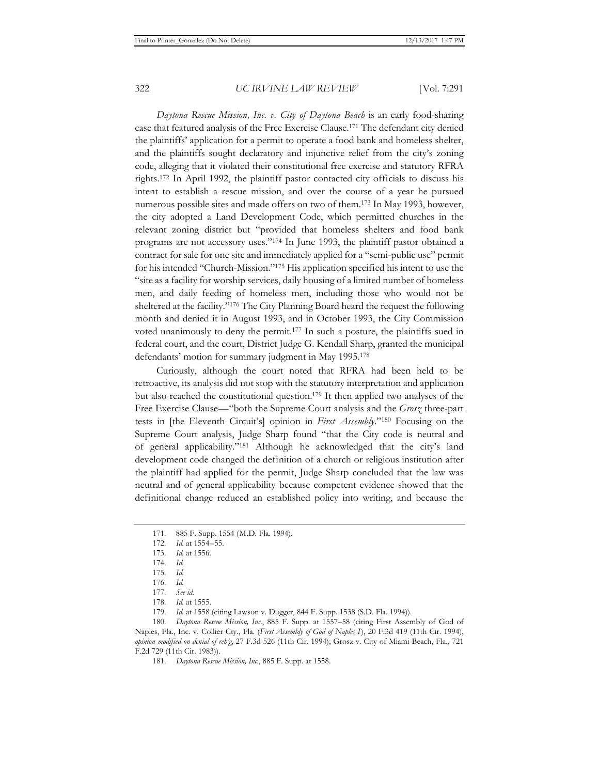*Daytona Rescue Mission, Inc. v. City of Daytona Beach* is an early food-sharing case that featured analysis of the Free Exercise Clause.171 The defendant city denied the plaintiffs' application for a permit to operate a food bank and homeless shelter, and the plaintiffs sought declaratory and injunctive relief from the city's zoning code, alleging that it violated their constitutional free exercise and statutory RFRA rights.172 In April 1992, the plaintiff pastor contacted city officials to discuss his intent to establish a rescue mission, and over the course of a year he pursued numerous possible sites and made offers on two of them.173 In May 1993, however, the city adopted a Land Development Code, which permitted churches in the relevant zoning district but "provided that homeless shelters and food bank programs are not accessory uses."174 In June 1993, the plaintiff pastor obtained a contract for sale for one site and immediately applied for a "semi-public use" permit for his intended "Church-Mission."175 His application specified his intent to use the "site as a facility for worship services, daily housing of a limited number of homeless men, and daily feeding of homeless men, including those who would not be sheltered at the facility."176 The City Planning Board heard the request the following month and denied it in August 1993, and in October 1993, the City Commission voted unanimously to deny the permit.177 In such a posture, the plaintiffs sued in federal court, and the court, District Judge G. Kendall Sharp, granted the municipal defendants' motion for summary judgment in May 1995.178

Curiously, although the court noted that RFRA had been held to be retroactive, its analysis did not stop with the statutory interpretation and application but also reached the constitutional question.179 It then applied two analyses of the Free Exercise Clause—"both the Supreme Court analysis and the *Grosz* three-part tests in [the Eleventh Circuit's] opinion in *First Assembly*."180 Focusing on the Supreme Court analysis, Judge Sharp found "that the City code is neutral and of general applicability."181 Although he acknowledged that the city's land development code changed the definition of a church or religious institution after the plaintiff had applied for the permit, Judge Sharp concluded that the law was neutral and of general applicability because competent evidence showed that the definitional change reduced an established policy into writing, and because the

180*. Daytona Rescue Mission, Inc*., 885 F. Supp. at 1557–58 (citing First Assembly of God of Naples, Fla., Inc. v. Collier Cty., Fla. (*First Assembly of God of Naples I*), 20 F.3d 419 (11th Cir. 1994), *opinion modified on denial of reh'g*, 27 F.3d 526 (11th Cir. 1994); Grosz v. City of Miami Beach, Fla., 721 F.2d 729 (11th Cir. 1983)).

181*. Daytona Rescue Mission, Inc.*, 885 F. Supp. at 1558.

<sup>171. 885</sup> F. Supp. 1554 (M.D. Fla. 1994).

<sup>172</sup>*. Id.* at 1554–55.

<sup>173</sup>*. Id.* at 1556.

<sup>174</sup>*. Id.*

<sup>175</sup>*. Id.*

<sup>176</sup>*. Id.*

<sup>177</sup>*. See id.*

<sup>178</sup>*. Id.* at 1555.

<sup>179</sup>*. Id.* at 1558 (citing Lawson v. Dugger, 844 F. Supp. 1538 (S.D. Fla. 1994)).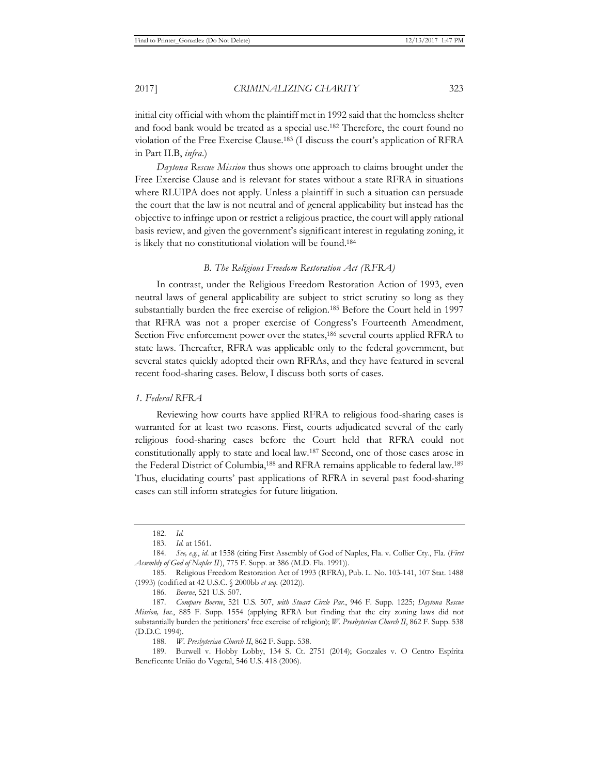initial city official with whom the plaintiff met in 1992 said that the homeless shelter and food bank would be treated as a special use.182 Therefore, the court found no violation of the Free Exercise Clause.183 (I discuss the court's application of RFRA in Part II.B, *infra*.)

*Daytona Rescue Mission* thus shows one approach to claims brought under the Free Exercise Clause and is relevant for states without a state RFRA in situations where RLUIPA does not apply. Unless a plaintiff in such a situation can persuade the court that the law is not neutral and of general applicability but instead has the objective to infringe upon or restrict a religious practice, the court will apply rational basis review, and given the government's significant interest in regulating zoning, it is likely that no constitutional violation will be found.184

### *B. The Religious Freedom Restoration Act (RFRA)*

In contrast, under the Religious Freedom Restoration Action of 1993, even neutral laws of general applicability are subject to strict scrutiny so long as they substantially burden the free exercise of religion.185 Before the Court held in 1997 that RFRA was not a proper exercise of Congress's Fourteenth Amendment, Section Five enforcement power over the states,<sup>186</sup> several courts applied RFRA to state laws. Thereafter, RFRA was applicable only to the federal government, but several states quickly adopted their own RFRAs, and they have featured in several recent food-sharing cases. Below, I discuss both sorts of cases.

### *1. Federal RFRA*

Reviewing how courts have applied RFRA to religious food-sharing cases is warranted for at least two reasons. First, courts adjudicated several of the early religious food-sharing cases before the Court held that RFRA could not constitutionally apply to state and local law.187 Second, one of those cases arose in the Federal District of Columbia,188 and RFRA remains applicable to federal law.189 Thus, elucidating courts' past applications of RFRA in several past food-sharing cases can still inform strategies for future litigation.

<sup>182</sup>*. Id.*

<sup>183</sup>*. Id.* at 1561.

<sup>184</sup>*. See, e.g.*, *id*. at 1558 (citing First Assembly of God of Naples, Fla. v. Collier Cty., Fla. (*First Assembly of God of Naples II*), 775 F. Supp. at 386 (M.D. Fla. 1991)).

<sup>185.</sup> Religious Freedom Restoration Act of 1993 (RFRA), Pub. L. No. 103-141, 107 Stat. 1488 (1993) (codified at 42 U.S.C. § 2000bb *et seq.* (2012)).

<sup>186</sup>*. Boerne*, 521 U.S. 507.

<sup>187</sup>*. Compare Boerne*, 521 U.S. 507, *with Stuart Circle Par.*, 946 F. Supp. 1225; *Daytona Rescue Mission, Inc.*, 885 F. Supp. 1554 (applying RFRA but finding that the city zoning laws did not substantially burden the petitioners' free exercise of religion); *W. Presbyterian Church II*, 862 F. Supp. 538 (D.D.C. 1994).

<sup>188</sup>*. W. Presbyterian Church II*, 862 F. Supp. 538.

<sup>189.</sup> Burwell v. Hobby Lobby, 134 S. Ct. 2751 (2014); Gonzales v. O Centro Espírita Beneficente União do Vegetal, 546 U.S. 418 (2006).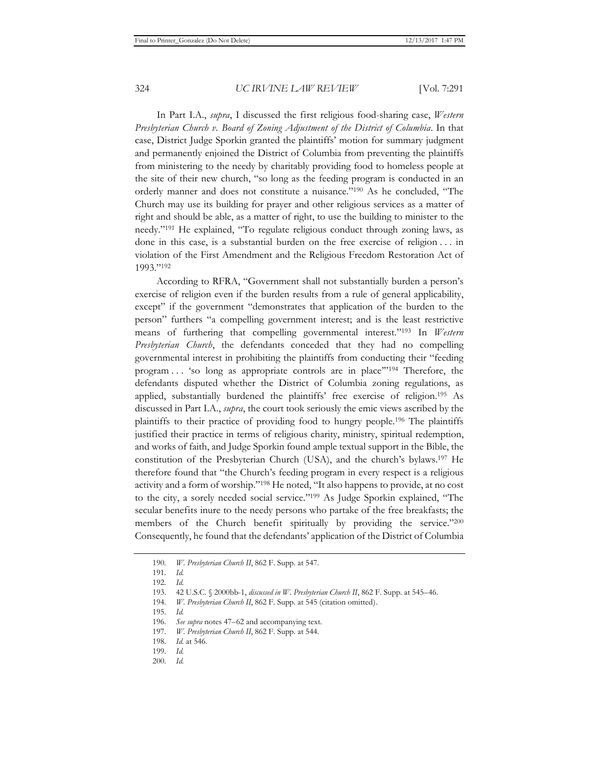In Part I.A., *supra*, I discussed the first religious food-sharing case, *Western Presbyterian Church v. Board of Zoning Adjustment of the District of Columbia*. In that case, District Judge Sporkin granted the plaintiffs' motion for summary judgment and permanently enjoined the District of Columbia from preventing the plaintiffs from ministering to the needy by charitably providing food to homeless people at the site of their new church, "so long as the feeding program is conducted in an orderly manner and does not constitute a nuisance."190 As he concluded, "The Church may use its building for prayer and other religious services as a matter of right and should be able, as a matter of right, to use the building to minister to the needy."191 He explained, "To regulate religious conduct through zoning laws, as done in this case, is a substantial burden on the free exercise of religion . . . in violation of the First Amendment and the Religious Freedom Restoration Act of 1993."192

According to RFRA, "Government shall not substantially burden a person's exercise of religion even if the burden results from a rule of general applicability, except" if the government "demonstrates that application of the burden to the person" furthers "a compelling government interest; and is the least restrictive means of furthering that compelling governmental interest."193 In *Western Presbyterian Church*, the defendants conceded that they had no compelling governmental interest in prohibiting the plaintiffs from conducting their "feeding program . . . 'so long as appropriate controls are in place'"194 Therefore, the defendants disputed whether the District of Columbia zoning regulations, as applied, substantially burdened the plaintiffs' free exercise of religion.195 As discussed in Part I.A., *supra*, the court took seriously the emic views ascribed by the plaintiffs to their practice of providing food to hungry people.196 The plaintiffs justified their practice in terms of religious charity, ministry, spiritual redemption, and works of faith, and Judge Sporkin found ample textual support in the Bible, the constitution of the Presbyterian Church (USA), and the church's bylaws.197 He therefore found that "the Church's feeding program in every respect is a religious activity and a form of worship."198 He noted, "It also happens to provide, at no cost to the city, a sorely needed social service."199 As Judge Sporkin explained, "The secular benefits inure to the needy persons who partake of the free breakfasts; the members of the Church benefit spiritually by providing the service."200 Consequently, he found that the defendants' application of the District of Columbia

<sup>190</sup>*. W. Presbyterian Church II*, 862 F. Supp. at 547.

<sup>191</sup>*. Id.*

<sup>192</sup>*. Id.*

<sup>193. 42</sup> U.S.C. § 2000bb-1, *discussed in W. Presbyterian Church II*, 862 F. Supp. at 545–46.

<sup>194</sup>*. W. Presbyterian Church II*, 862 F. Supp. at 545 (citation omitted).

<sup>195</sup>*. Id.*

<sup>196</sup>*. See supra* notes 47–62 and accompanying text.

<sup>197</sup>*. W. Presbyterian Church II*, 862 F. Supp. at 544.

<sup>198</sup>*. Id.* at 546.

<sup>199</sup>*. Id.*

<sup>200</sup>*. Id.*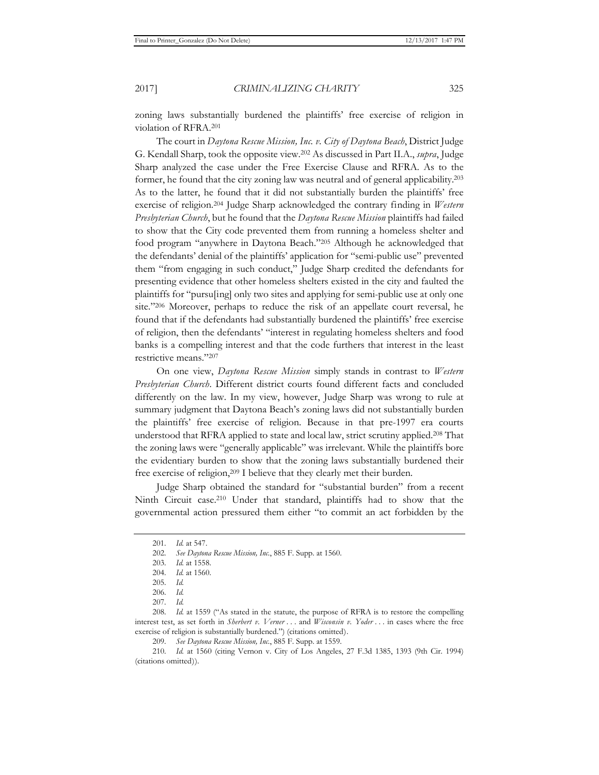zoning laws substantially burdened the plaintiffs' free exercise of religion in violation of RFRA.201

The court in *Daytona Rescue Mission, Inc. v. City of Daytona Beach*, District Judge G. Kendall Sharp, took the opposite view.202 As discussed in Part II.A., *supra*, Judge Sharp analyzed the case under the Free Exercise Clause and RFRA. As to the former, he found that the city zoning law was neutral and of general applicability.203 As to the latter, he found that it did not substantially burden the plaintiffs' free exercise of religion.204 Judge Sharp acknowledged the contrary finding in *Western Presbyterian Church*, but he found that the *Daytona Rescue Mission* plaintiffs had failed to show that the City code prevented them from running a homeless shelter and food program "anywhere in Daytona Beach."205 Although he acknowledged that the defendants' denial of the plaintiffs' application for "semi-public use" prevented them "from engaging in such conduct," Judge Sharp credited the defendants for presenting evidence that other homeless shelters existed in the city and faulted the plaintiffs for "pursu[ing] only two sites and applying for semi-public use at only one site."206 Moreover, perhaps to reduce the risk of an appellate court reversal, he found that if the defendants had substantially burdened the plaintiffs' free exercise of religion, then the defendants' "interest in regulating homeless shelters and food banks is a compelling interest and that the code furthers that interest in the least restrictive means."207

On one view, *Daytona Rescue Mission* simply stands in contrast to *Western Presbyterian Church*. Different district courts found different facts and concluded differently on the law. In my view, however, Judge Sharp was wrong to rule at summary judgment that Daytona Beach's zoning laws did not substantially burden the plaintiffs' free exercise of religion. Because in that pre-1997 era courts understood that RFRA applied to state and local law, strict scrutiny applied.208 That the zoning laws were "generally applicable" was irrelevant. While the plaintiffs bore the evidentiary burden to show that the zoning laws substantially burdened their free exercise of religion,<sup>209</sup> I believe that they clearly met their burden.

Judge Sharp obtained the standard for "substantial burden" from a recent Ninth Circuit case.210 Under that standard, plaintiffs had to show that the governmental action pressured them either "to commit an act forbidden by the

209*. See Daytona Rescue Mission, Inc.*, 885 F. Supp. at 1559.

210*. Id.* at 1560 (citing Vernon v. City of Los Angeles, 27 F.3d 1385, 1393 (9th Cir. 1994) (citations omitted)).

<sup>201</sup>*. Id.* at 547.

<sup>202</sup>*. See Daytona Rescue Mission, Inc.*, 885 F. Supp. at 1560.

<sup>203</sup>*. Id.* at 1558.

<sup>204</sup>*. Id.* at 1560.

<sup>205</sup>*. Id.*

<sup>206</sup>*. Id.*

<sup>207</sup>*. Id.*

<sup>208</sup>*. Id.* at 1559 ("As stated in the statute, the purpose of RFRA is to restore the compelling interest test, as set forth in *Sherbert v. Verner* . . . and *Wisconsin v. Yoder* . . . in cases where the free exercise of religion is substantially burdened.") (citations omitted).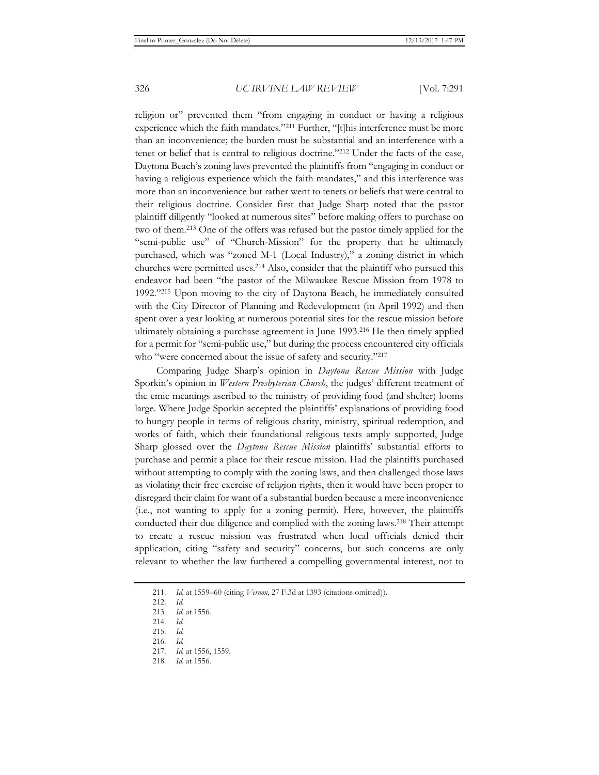religion or" prevented them "from engaging in conduct or having a religious experience which the faith mandates."211 Further, "[t]his interference must be more than an inconvenience; the burden must be substantial and an interference with a tenet or belief that is central to religious doctrine."212 Under the facts of the case, Daytona Beach's zoning laws prevented the plaintiffs from "engaging in conduct or having a religious experience which the faith mandates," and this interference was more than an inconvenience but rather went to tenets or beliefs that were central to their religious doctrine. Consider first that Judge Sharp noted that the pastor plaintiff diligently "looked at numerous sites" before making offers to purchase on two of them.213 One of the offers was refused but the pastor timely applied for the "semi-public use" of "Church-Mission" for the property that he ultimately purchased, which was "zoned M-1 (Local Industry)," a zoning district in which churches were permitted uses.214 Also, consider that the plaintiff who pursued this endeavor had been "the pastor of the Milwaukee Rescue Mission from 1978 to 1992."215 Upon moving to the city of Daytona Beach, he immediately consulted with the City Director of Planning and Redevelopment (in April 1992) and then spent over a year looking at numerous potential sites for the rescue mission before ultimately obtaining a purchase agreement in June 1993.216 He then timely applied for a permit for "semi-public use," but during the process encountered city officials who "were concerned about the issue of safety and security."217

Comparing Judge Sharp's opinion in *Daytona Rescue Mission* with Judge Sporkin's opinion in *Western Presbyterian Church*, the judges' different treatment of the emic meanings ascribed to the ministry of providing food (and shelter) looms large. Where Judge Sporkin accepted the plaintiffs' explanations of providing food to hungry people in terms of religious charity, ministry, spiritual redemption, and works of faith, which their foundational religious texts amply supported, Judge Sharp glossed over the *Daytona Rescue Mission* plaintiffs' substantial efforts to purchase and permit a place for their rescue mission. Had the plaintiffs purchased without attempting to comply with the zoning laws, and then challenged those laws as violating their free exercise of religion rights, then it would have been proper to disregard their claim for want of a substantial burden because a mere inconvenience (i.e., not wanting to apply for a zoning permit). Here, however, the plaintiffs conducted their due diligence and complied with the zoning laws.218 Their attempt to create a rescue mission was frustrated when local officials denied their application, citing "safety and security" concerns, but such concerns are only relevant to whether the law furthered a compelling governmental interest, not to

<sup>211</sup>*. Id.* at 1559–60 (citing *Vernon*, 27 F.3d at 1393 (citations omitted)).

<sup>212</sup>*. Id.*

<sup>213</sup>*. Id.* at 1556.

<sup>214</sup>*. Id.*

<sup>215</sup>*. Id.*

<sup>216</sup>*. Id.* 217*. Id.* at 1556, 1559.

<sup>218</sup>*. Id.* at 1556.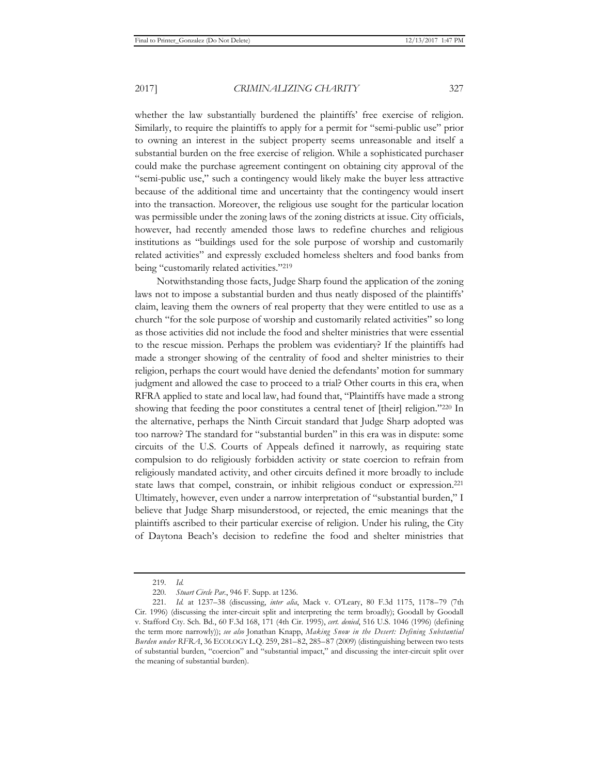whether the law substantially burdened the plaintiffs' free exercise of religion. Similarly, to require the plaintiffs to apply for a permit for "semi-public use" prior to owning an interest in the subject property seems unreasonable and itself a substantial burden on the free exercise of religion. While a sophisticated purchaser could make the purchase agreement contingent on obtaining city approval of the "semi-public use," such a contingency would likely make the buyer less attractive because of the additional time and uncertainty that the contingency would insert into the transaction. Moreover, the religious use sought for the particular location was permissible under the zoning laws of the zoning districts at issue. City officials, however, had recently amended those laws to redefine churches and religious institutions as "buildings used for the sole purpose of worship and customarily related activities" and expressly excluded homeless shelters and food banks from being "customarily related activities."219

Notwithstanding those facts, Judge Sharp found the application of the zoning laws not to impose a substantial burden and thus neatly disposed of the plaintiffs' claim, leaving them the owners of real property that they were entitled to use as a church "for the sole purpose of worship and customarily related activities" so long as those activities did not include the food and shelter ministries that were essential to the rescue mission. Perhaps the problem was evidentiary? If the plaintiffs had made a stronger showing of the centrality of food and shelter ministries to their religion, perhaps the court would have denied the defendants' motion for summary judgment and allowed the case to proceed to a trial? Other courts in this era, when RFRA applied to state and local law, had found that, "Plaintiffs have made a strong showing that feeding the poor constitutes a central tenet of [their] religion."220 In the alternative, perhaps the Ninth Circuit standard that Judge Sharp adopted was too narrow? The standard for "substantial burden" in this era was in dispute: some circuits of the U.S. Courts of Appeals defined it narrowly, as requiring state compulsion to do religiously forbidden activity or state coercion to refrain from religiously mandated activity, and other circuits defined it more broadly to include state laws that compel, constrain, or inhibit religious conduct or expression.221 Ultimately, however, even under a narrow interpretation of "substantial burden," I believe that Judge Sharp misunderstood, or rejected, the emic meanings that the plaintiffs ascribed to their particular exercise of religion. Under his ruling, the City of Daytona Beach's decision to redefine the food and shelter ministries that

<sup>219</sup>*. Id.*

<sup>220</sup>*. Stuart Circle Par.*, 946 F. Supp. at 1236.

<sup>221</sup>*. Id.* at 1237–38 (discussing, *inter alia*, Mack v. O'Leary, 80 F.3d 1175, 1178–79 (7th Cir. 1996) (discussing the inter-circuit split and interpreting the term broadly); Goodall by Goodall v. Stafford Cty. Sch. Bd., 60 F.3d 168, 171 (4th Cir. 1995), *cert. denied*, 516 U.S. 1046 (1996) (defining the term more narrowly)); *see also* Jonathan Knapp, *Making Snow in the Desert: Defining Substantial Burden under RFRA*, 36 ECOLOGY L.Q. 259, 281–82, 285–87 (2009) (distinguishing between two tests of substantial burden, "coercion" and "substantial impact," and discussing the inter-circuit split over the meaning of substantial burden).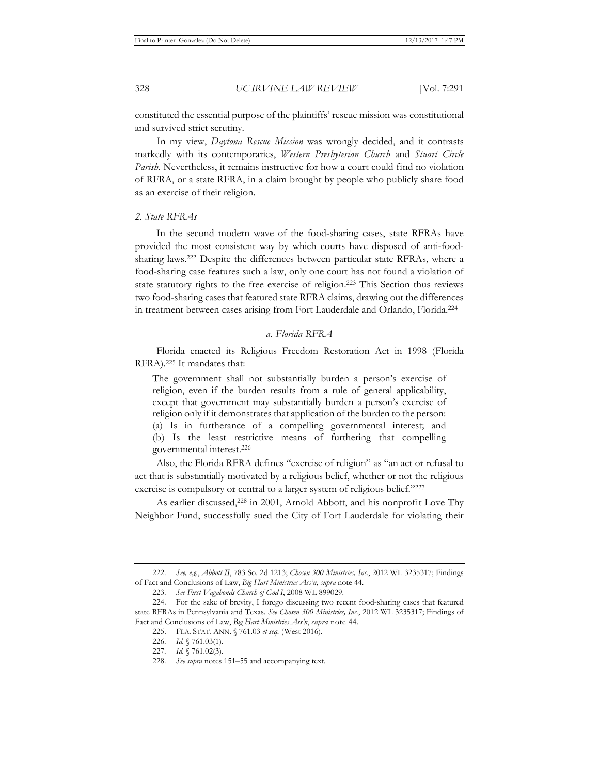constituted the essential purpose of the plaintiffs' rescue mission was constitutional and survived strict scrutiny.

In my view, *Daytona Rescue Mission* was wrongly decided, and it contrasts markedly with its contemporaries, *Western Presbyterian Church* and *Stuart Circle Parish*. Nevertheless, it remains instructive for how a court could find no violation of RFRA, or a state RFRA, in a claim brought by people who publicly share food as an exercise of their religion.

# *2. State RFRAs*

In the second modern wave of the food-sharing cases, state RFRAs have provided the most consistent way by which courts have disposed of anti-foodsharing laws.222 Despite the differences between particular state RFRAs, where a food-sharing case features such a law, only one court has not found a violation of state statutory rights to the free exercise of religion.223 This Section thus reviews two food-sharing cases that featured state RFRA claims, drawing out the differences in treatment between cases arising from Fort Lauderdale and Orlando, Florida.224

### *a. Florida RFRA*

Florida enacted its Religious Freedom Restoration Act in 1998 (Florida RFRA).225 It mandates that:

The government shall not substantially burden a person's exercise of religion, even if the burden results from a rule of general applicability, except that government may substantially burden a person's exercise of religion only if it demonstrates that application of the burden to the person: (a) Is in furtherance of a compelling governmental interest; and (b) Is the least restrictive means of furthering that compelling governmental interest.226

Also, the Florida RFRA defines "exercise of religion" as "an act or refusal to act that is substantially motivated by a religious belief, whether or not the religious exercise is compulsory or central to a larger system of religious belief."227

As earlier discussed,<sup>228</sup> in 2001, Arnold Abbott, and his nonprofit Love Thy Neighbor Fund, successfully sued the City of Fort Lauderdale for violating their

<sup>222</sup>*. See, e.g.*, *Abbott II*, 783 So. 2d 1213; *Chosen 300 Ministries, Inc.*, 2012 WL 3235317; Findings of Fact and Conclusions of Law, *Big Hart Ministries Ass'n*, *supra* note 44.

<sup>223</sup>*. See First Vagabonds Church of God I*, 2008 WL 899029.

<sup>224.</sup> For the sake of brevity, I forego discussing two recent food-sharing cases that featured state RFRAs in Pennsylvania and Texas. *See Chosen 300 Ministries, Inc.*, 2012 WL 3235317; Findings of Fact and Conclusions of Law, *Big Hart Ministries Ass'n*, *supra* note 44.

<sup>225.</sup> FLA. STAT. ANN. § 761.03 *et seq.* (West 2016).

<sup>226</sup>*. Id.* § 761.03(1).

<sup>227</sup>*. Id.* § 761.02(3).

<sup>228</sup>*. See supra* notes 151–55 and accompanying text.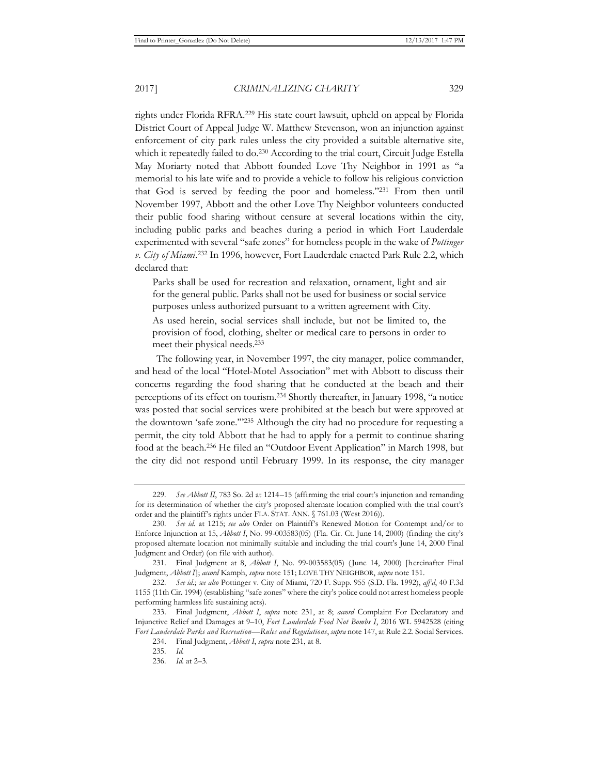rights under Florida RFRA.229 His state court lawsuit, upheld on appeal by Florida District Court of Appeal Judge W. Matthew Stevenson, won an injunction against enforcement of city park rules unless the city provided a suitable alternative site, which it repeatedly failed to do.230 According to the trial court, Circuit Judge Estella May Moriarty noted that Abbott founded Love Thy Neighbor in 1991 as "a memorial to his late wife and to provide a vehicle to follow his religious conviction that God is served by feeding the poor and homeless."231 From then until November 1997, Abbott and the other Love Thy Neighbor volunteers conducted their public food sharing without censure at several locations within the city, including public parks and beaches during a period in which Fort Lauderdale experimented with several "safe zones" for homeless people in the wake of *Pottinger v. City of Miami*. 232 In 1996, however, Fort Lauderdale enacted Park Rule 2.2, which declared that:

Parks shall be used for recreation and relaxation, ornament, light and air for the general public. Parks shall not be used for business or social service purposes unless authorized pursuant to a written agreement with City.

As used herein, social services shall include, but not be limited to, the provision of food, clothing, shelter or medical care to persons in order to meet their physical needs.233

The following year, in November 1997, the city manager, police commander, and head of the local "Hotel-Motel Association" met with Abbott to discuss their concerns regarding the food sharing that he conducted at the beach and their perceptions of its effect on tourism.234 Shortly thereafter, in January 1998, "a notice was posted that social services were prohibited at the beach but were approved at the downtown 'safe zone.'"235 Although the city had no procedure for requesting a permit, the city told Abbott that he had to apply for a permit to continue sharing food at the beach.236 He filed an "Outdoor Event Application" in March 1998, but the city did not respond until February 1999. In its response, the city manager

<sup>229</sup>*. See Abbott II*, 783 So. 2d at 1214–15 (affirming the trial court's injunction and remanding for its determination of whether the city's proposed alternate location complied with the trial court's order and the plaintiff's rights under FLA. STAT. ANN. § 761.03 (West 2016)).

<sup>230</sup>*. See id.* at 1215; *see also* Order on Plaintiff's Renewed Motion for Contempt and/or to Enforce Injunction at 15, *Abbott I*, No. 99-003583(05) (Fla. Cir. Ct. June 14, 2000) (finding the city's proposed alternate location not minimally suitable and including the trial court's June 14, 2000 Final Judgment and Order) (on file with author).

<sup>231.</sup> Final Judgment at 8, *Abbott I*, No. 99-003583(05) ( June 14, 2000) [hereinafter Final Judgment, *Abbott I*]; *accord* Kamph, *supra* note 151; LOVE THY NEIGHBOR, *supra* note 151.

<sup>232</sup>*. See id.*; *see also* Pottinger v. City of Miami, 720 F. Supp. 955 (S.D. Fla. 1992), *aff'd*, 40 F.3d 1155 (11th Cir. 1994) (establishing "safe zones" where the city's police could not arrest homeless people performing harmless life sustaining acts).

<sup>233.</sup> Final Judgment, *Abbott I*, *supra* note 231, at 8; *accord* Complaint For Declaratory and Injunctive Relief and Damages at 9–10, *Fort Lauderdale Food Not Bombs I*, 2016 WL 5942528 (citing *Fort Lauderdale Parks and Recreation—Rules and Regulations*, *supra* note 147, at Rule 2.2. Social Services.

<sup>234.</sup> Final Judgment, *Abbott I*, *supra* note 231, at 8.

<sup>235</sup>*. Id.*

<sup>236</sup>*. Id.* at 2–3.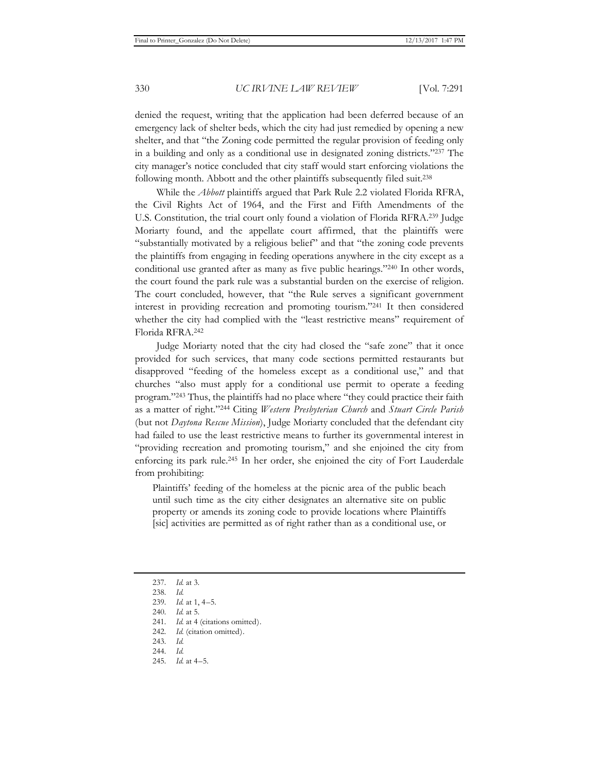denied the request, writing that the application had been deferred because of an emergency lack of shelter beds, which the city had just remedied by opening a new shelter, and that "the Zoning code permitted the regular provision of feeding only in a building and only as a conditional use in designated zoning districts."237 The city manager's notice concluded that city staff would start enforcing violations the following month. Abbott and the other plaintiffs subsequently filed suit.<sup>238</sup>

While the *Abbott* plaintiffs argued that Park Rule 2.2 violated Florida RFRA, the Civil Rights Act of 1964, and the First and Fifth Amendments of the U.S. Constitution, the trial court only found a violation of Florida RFRA.239 Judge Moriarty found, and the appellate court affirmed, that the plaintiffs were "substantially motivated by a religious belief" and that "the zoning code prevents the plaintiffs from engaging in feeding operations anywhere in the city except as a conditional use granted after as many as five public hearings."240 In other words, the court found the park rule was a substantial burden on the exercise of religion. The court concluded, however, that "the Rule serves a significant government interest in providing recreation and promoting tourism."241 It then considered whether the city had complied with the "least restrictive means" requirement of Florida RFRA.242

Judge Moriarty noted that the city had closed the "safe zone" that it once provided for such services, that many code sections permitted restaurants but disapproved "feeding of the homeless except as a conditional use," and that churches "also must apply for a conditional use permit to operate a feeding program."243 Thus, the plaintiffs had no place where "they could practice their faith as a matter of right."244 Citing *Western Presbyterian Church* and *Stuart Circle Parish* (but not *Daytona Rescue Mission*), Judge Moriarty concluded that the defendant city had failed to use the least restrictive means to further its governmental interest in "providing recreation and promoting tourism," and she enjoined the city from enforcing its park rule.245 In her order, she enjoined the city of Fort Lauderdale from prohibiting:

Plaintiffs' feeding of the homeless at the picnic area of the public beach until such time as the city either designates an alternative site on public property or amends its zoning code to provide locations where Plaintiffs [sic] activities are permitted as of right rather than as a conditional use, or

<sup>237</sup>*. Id.* at 3.

<sup>238</sup>*. Id.*

<sup>239</sup>*. Id.* at 1, 4–5.

<sup>240</sup>*. Id.* at 5.

<sup>241</sup>*. Id.* at 4 (citations omitted).

<sup>242</sup>*. Id.* (citation omitted).

<sup>243</sup>*. Id.*

<sup>244</sup>*. Id.*

<sup>245</sup>*. Id.* at 4–5.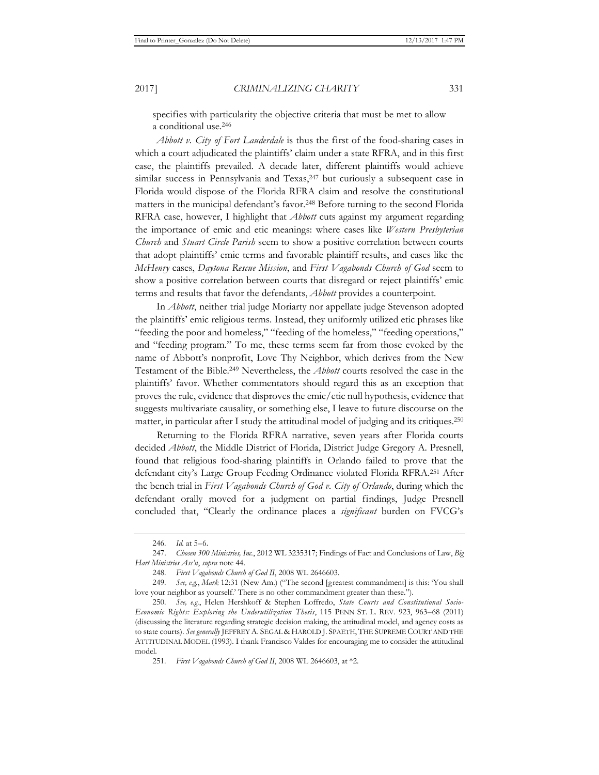specifies with particularity the objective criteria that must be met to allow a conditional use.246

*Abbott v. City of Fort Lauderdale* is thus the first of the food-sharing cases in which a court adjudicated the plaintiffs' claim under a state RFRA, and in this first case, the plaintiffs prevailed. A decade later, different plaintiffs would achieve similar success in Pennsylvania and Texas,<sup>247</sup> but curiously a subsequent case in Florida would dispose of the Florida RFRA claim and resolve the constitutional matters in the municipal defendant's favor.<sup>248</sup> Before turning to the second Florida RFRA case, however, I highlight that *Abbott* cuts against my argument regarding the importance of emic and etic meanings: where cases like *Western Presbyterian Church* and *Stuart Circle Parish* seem to show a positive correlation between courts that adopt plaintiffs' emic terms and favorable plaintiff results, and cases like the *McHenry* cases, *Daytona Rescue Mission*, and *First Vagabonds Church of God* seem to show a positive correlation between courts that disregard or reject plaintiffs' emic terms and results that favor the defendants, *Abbott* provides a counterpoint.

In *Abbott*, neither trial judge Moriarty nor appellate judge Stevenson adopted the plaintiffs' emic religious terms. Instead, they uniformly utilized etic phrases like "feeding the poor and homeless," "feeding of the homeless," "feeding operations," and "feeding program." To me, these terms seem far from those evoked by the name of Abbott's nonprofit, Love Thy Neighbor, which derives from the New Testament of the Bible.249 Nevertheless, the *Abbott* courts resolved the case in the plaintiffs' favor. Whether commentators should regard this as an exception that proves the rule, evidence that disproves the emic/etic null hypothesis, evidence that suggests multivariate causality, or something else, I leave to future discourse on the matter, in particular after I study the attitudinal model of judging and its critiques.250

Returning to the Florida RFRA narrative, seven years after Florida courts decided *Abbott*, the Middle District of Florida, District Judge Gregory A. Presnell, found that religious food-sharing plaintiffs in Orlando failed to prove that the defendant city's Large Group Feeding Ordinance violated Florida RFRA.251 After the bench trial in *First Vagabonds Church of God v. City of Orlando*, during which the defendant orally moved for a judgment on partial findings, Judge Presnell concluded that, "Clearly the ordinance places a *significant* burden on FVCG's

<sup>246</sup>*. Id.* at 5–6.

<sup>247.</sup> *Chosen 300 Ministries, Inc.*, 2012 WL 3235317; Findings of Fact and Conclusions of Law, *Big Hart Ministries Ass'n*, *supra* note 44.

<sup>248</sup>*. First Vagabonds Church of God II*, 2008 WL 2646603.

<sup>249</sup>*. See, e.g.*, *Mark* 12:31 (New Am.) ("The second [greatest commandment] is this: 'You shall love your neighbor as yourself.' There is no other commandment greater than these.").

<sup>250</sup>*. See, e.g.*, Helen Hershkoff & Stephen Loffredo, *State Courts and Constitutional Socio-Economic Rights: Exploring the Underutilization Thesis*, 115 PENN ST. L. REV. 923, 963–68 (2011) (discussing the literature regarding strategic decision making, the attitudinal model, and agency costs as to state courts). *See generally* JEFFREY A. SEGAL & HAROLD J. SPAETH, THE SUPREME COURT AND THE ATTITUDINAL MODEL (1993). I thank Francisco Valdes for encouraging me to consider the attitudinal model.

<sup>251</sup>*. First Vagabonds Church of God II*, 2008 WL 2646603, at \*2.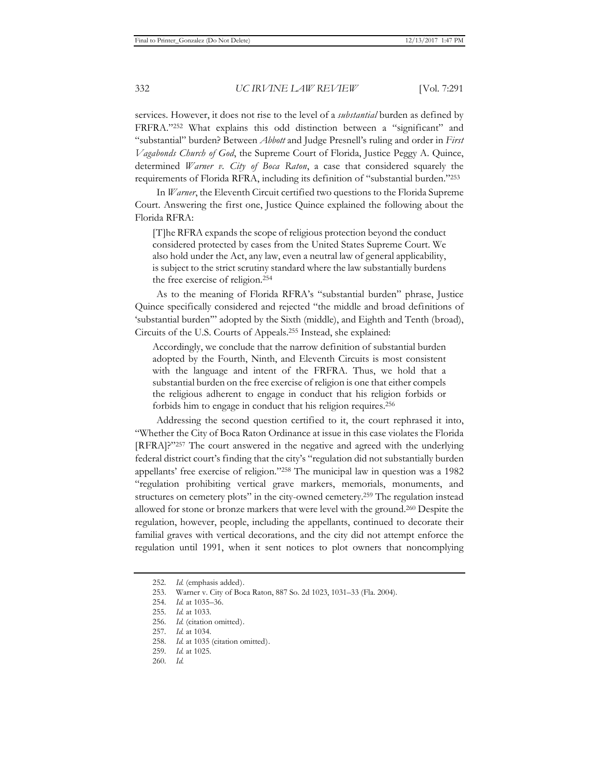services. However, it does not rise to the level of a *substantial* burden as defined by FRFRA."252 What explains this odd distinction between a "significant" and "substantial" burden? Between *Abbott* and Judge Presnell's ruling and order in *First Vagabonds Church of God*, the Supreme Court of Florida, Justice Peggy A. Quince, determined *Warner v. City of Boca Raton*, a case that considered squarely the requirements of Florida RFRA, including its definition of "substantial burden."253

In *Warner*, the Eleventh Circuit certified two questions to the Florida Supreme Court. Answering the first one, Justice Quince explained the following about the Florida RFRA:

[T]he RFRA expands the scope of religious protection beyond the conduct considered protected by cases from the United States Supreme Court. We also hold under the Act, any law, even a neutral law of general applicability, is subject to the strict scrutiny standard where the law substantially burdens the free exercise of religion.254

As to the meaning of Florida RFRA's "substantial burden" phrase, Justice Quince specifically considered and rejected "the middle and broad definitions of 'substantial burden'" adopted by the Sixth (middle), and Eighth and Tenth (broad), Circuits of the U.S. Courts of Appeals.255 Instead, she explained:

Accordingly, we conclude that the narrow definition of substantial burden adopted by the Fourth, Ninth, and Eleventh Circuits is most consistent with the language and intent of the FRFRA. Thus, we hold that a substantial burden on the free exercise of religion is one that either compels the religious adherent to engage in conduct that his religion forbids or forbids him to engage in conduct that his religion requires.256

Addressing the second question certified to it, the court rephrased it into, "Whether the City of Boca Raton Ordinance at issue in this case violates the Florida [RFRA]?"257 The court answered in the negative and agreed with the underlying federal district court's finding that the city's "regulation did not substantially burden appellants' free exercise of religion."258 The municipal law in question was a 1982 "regulation prohibiting vertical grave markers, memorials, monuments, and structures on cemetery plots" in the city-owned cemetery.259 The regulation instead allowed for stone or bronze markers that were level with the ground.260 Despite the regulation, however, people, including the appellants, continued to decorate their familial graves with vertical decorations, and the city did not attempt enforce the regulation until 1991, when it sent notices to plot owners that noncomplying

<sup>252.</sup> Id. (emphasis added).

<sup>253.</sup> Warner v. City of Boca Raton, 887 So. 2d 1023, 1031–33 (Fla. 2004).

<sup>254</sup>*. Id.* at 1035–36.

<sup>255</sup>*. Id.* at 1033.

<sup>256</sup>*. Id.* (citation omitted).

<sup>257</sup>*. Id.* at 1034.

<sup>258</sup>*. Id.* at 1035 (citation omitted).

<sup>259</sup>*. Id.* at 1025.

<sup>260</sup>*. Id.*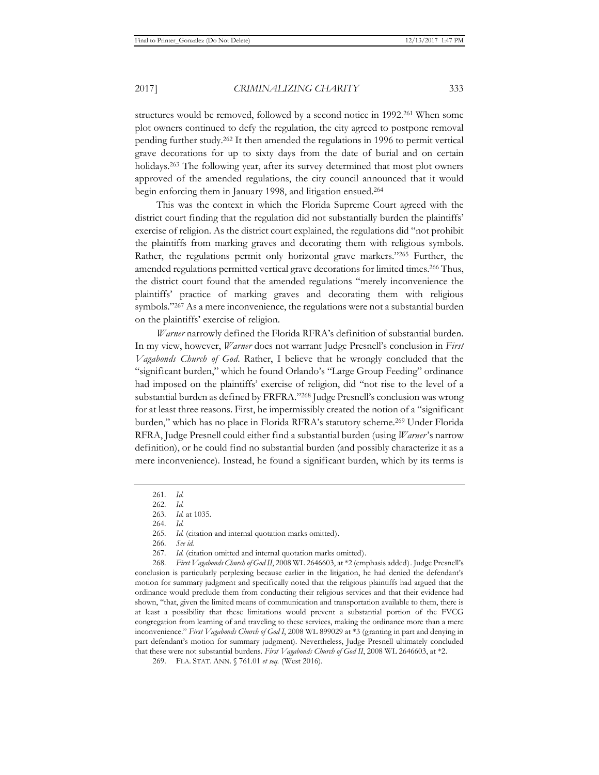structures would be removed, followed by a second notice in 1992.261 When some plot owners continued to defy the regulation, the city agreed to postpone removal pending further study.262 It then amended the regulations in 1996 to permit vertical grave decorations for up to sixty days from the date of burial and on certain holidays.<sup>263</sup> The following year, after its survey determined that most plot owners approved of the amended regulations, the city council announced that it would begin enforcing them in January 1998, and litigation ensued.264

This was the context in which the Florida Supreme Court agreed with the district court finding that the regulation did not substantially burden the plaintiffs' exercise of religion. As the district court explained, the regulations did "not prohibit the plaintiffs from marking graves and decorating them with religious symbols. Rather, the regulations permit only horizontal grave markers."265 Further, the amended regulations permitted vertical grave decorations for limited times.<sup>266</sup> Thus, the district court found that the amended regulations "merely inconvenience the plaintiffs' practice of marking graves and decorating them with religious symbols."267 As a mere inconvenience, the regulations were not a substantial burden on the plaintiffs' exercise of religion.

*Warner* narrowly defined the Florida RFRA's definition of substantial burden. In my view, however, *Warner* does not warrant Judge Presnell's conclusion in *First Vagabonds Church of God*. Rather, I believe that he wrongly concluded that the "significant burden," which he found Orlando's "Large Group Feeding" ordinance had imposed on the plaintiffs' exercise of religion, did "not rise to the level of a substantial burden as defined by FRFRA."268 Judge Presnell's conclusion was wrong for at least three reasons. First, he impermissibly created the notion of a "significant burden," which has no place in Florida RFRA's statutory scheme.269 Under Florida RFRA, Judge Presnell could either find a substantial burden (using *Warner*'s narrow definition), or he could find no substantial burden (and possibly characterize it as a mere inconvenience). Instead, he found a significant burden, which by its terms is

268*. First Vagabonds Church of God II*, 2008 WL 2646603, at \*2 (emphasis added). Judge Presnell's conclusion is particularly perplexing because earlier in the litigation, he had denied the defendant's motion for summary judgment and specifically noted that the religious plaintiffs had argued that the ordinance would preclude them from conducting their religious services and that their evidence had shown, "that, given the limited means of communication and transportation available to them, there is at least a possibility that these limitations would prevent a substantial portion of the FVCG congregation from learning of and traveling to these services, making the ordinance more than a mere inconvenience." *First Vagabonds Church of God I*, 2008 WL 899029 at \*3 (granting in part and denying in part defendant's motion for summary judgment). Nevertheless, Judge Presnell ultimately concluded that these were not substantial burdens. *First Vagabonds Church of God II*, 2008 WL 2646603, at \*2.

<sup>261</sup>*. Id.*

<sup>262</sup>*. Id.*

<sup>263</sup>*. Id.* at 1035.

<sup>264</sup>*. Id.*

<sup>265</sup>*. Id.* (citation and internal quotation marks omitted).

<sup>266</sup>*. See id.*

<sup>267</sup>*. Id.* (citation omitted and internal quotation marks omitted).

<sup>269.</sup> FLA. STAT. ANN. § 761.01 *et seq.* (West 2016).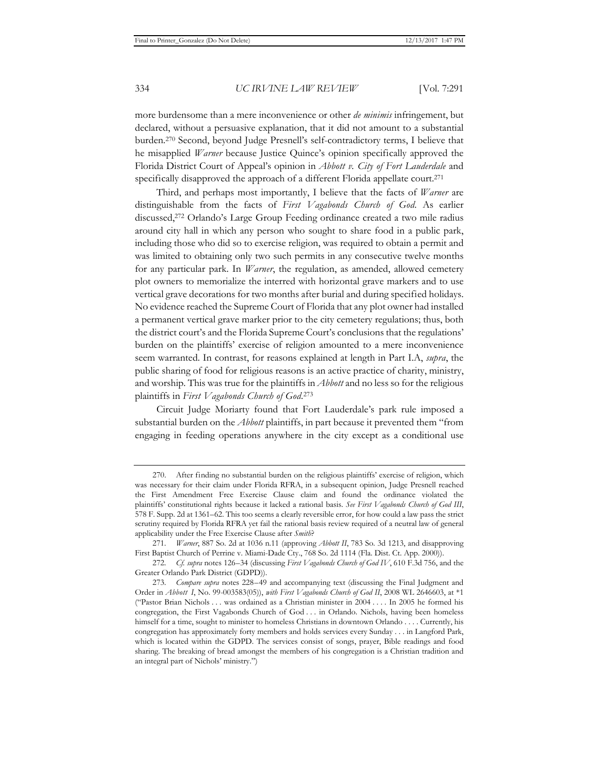more burdensome than a mere inconvenience or other *de minimis* infringement, but declared, without a persuasive explanation, that it did not amount to a substantial burden.270 Second, beyond Judge Presnell's self-contradictory terms, I believe that he misapplied *Warner* because Justice Quince's opinion specifically approved the Florida District Court of Appeal's opinion in *Abbott v. City of Fort Lauderdale* and specifically disapproved the approach of a different Florida appellate court.<sup>271</sup>

Third, and perhaps most importantly, I believe that the facts of *Warner* are distinguishable from the facts of *First Vagabonds Church of God*. As earlier discussed,272 Orlando's Large Group Feeding ordinance created a two mile radius around city hall in which any person who sought to share food in a public park, including those who did so to exercise religion, was required to obtain a permit and was limited to obtaining only two such permits in any consecutive twelve months for any particular park. In *Warner*, the regulation, as amended, allowed cemetery plot owners to memorialize the interred with horizontal grave markers and to use vertical grave decorations for two months after burial and during specified holidays. No evidence reached the Supreme Court of Florida that any plot owner had installed a permanent vertical grave marker prior to the city cemetery regulations; thus, both the district court's and the Florida Supreme Court's conclusions that the regulations' burden on the plaintiffs' exercise of religion amounted to a mere inconvenience seem warranted. In contrast, for reasons explained at length in Part I.A, *supra*, the public sharing of food for religious reasons is an active practice of charity, ministry, and worship. This was true for the plaintiffs in *Abbott* and no less so for the religious plaintiffs in *First Vagabonds Church of God*. 273

Circuit Judge Moriarty found that Fort Lauderdale's park rule imposed a substantial burden on the *Abbott* plaintiffs, in part because it prevented them "from engaging in feeding operations anywhere in the city except as a conditional use

<sup>270.</sup> After finding no substantial burden on the religious plaintiffs' exercise of religion, which was necessary for their claim under Florida RFRA, in a subsequent opinion, Judge Presnell reached the First Amendment Free Exercise Clause claim and found the ordinance violated the plaintiffs' constitutional rights because it lacked a rational basis. *See First Vagabonds Church of God III*, 578 F. Supp. 2d at 1361–62. This too seems a clearly reversible error, for how could a law pass the strict scrutiny required by Florida RFRA yet fail the rational basis review required of a neutral law of general applicability under the Free Exercise Clause after *Smith*?

<sup>271</sup>*. Warner*, 887 So. 2d at 1036 n.11 (approving *Abbott II*, 783 So. 3d 1213, and disapproving First Baptist Church of Perrine v. Miami-Dade Cty., 768 So. 2d 1114 (Fla. Dist. Ct. App. 2000)).

<sup>272</sup>*. Cf. supra* notes 126–34 (discussing *First Vagabonds Church of God IV*, 610 F.3d 756, and the Greater Orlando Park District (GDPD)).

<sup>273</sup>*. Compare supra* notes 228–49 and accompanying text (discussing the Final Judgment and Order in *Abbott I*, No. 99-003583(05)), *with First Vagabonds Church of God II*, 2008 WL 2646603, at \*1 ("Pastor Brian Nichols . . . was ordained as a Christian minister in 2004 . . . . In 2005 he formed his congregation, the First Vagabonds Church of God . . . in Orlando. Nichols, having been homeless himself for a time, sought to minister to homeless Christians in downtown Orlando . . . . Currently, his congregation has approximately forty members and holds services every Sunday . . . in Langford Park, which is located within the GDPD. The services consist of songs, prayer, Bible readings and food sharing. The breaking of bread amongst the members of his congregation is a Christian tradition and an integral part of Nichols' ministry.")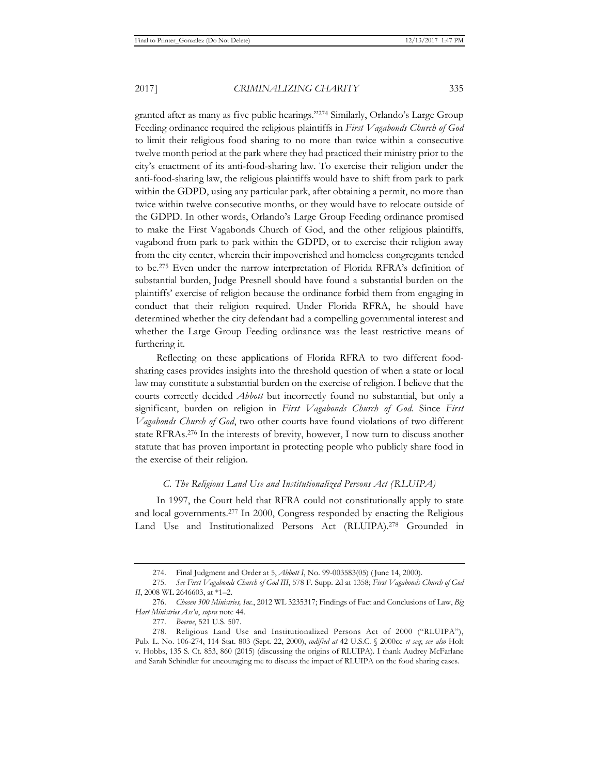granted after as many as five public hearings."274 Similarly, Orlando's Large Group Feeding ordinance required the religious plaintiffs in *First Vagabonds Church of God* to limit their religious food sharing to no more than twice within a consecutive twelve month period at the park where they had practiced their ministry prior to the city's enactment of its anti-food-sharing law. To exercise their religion under the anti-food-sharing law, the religious plaintiffs would have to shift from park to park within the GDPD, using any particular park, after obtaining a permit, no more than twice within twelve consecutive months, or they would have to relocate outside of the GDPD. In other words, Orlando's Large Group Feeding ordinance promised to make the First Vagabonds Church of God, and the other religious plaintiffs, vagabond from park to park within the GDPD, or to exercise their religion away from the city center, wherein their impoverished and homeless congregants tended to be.275 Even under the narrow interpretation of Florida RFRA's definition of substantial burden, Judge Presnell should have found a substantial burden on the plaintiffs' exercise of religion because the ordinance forbid them from engaging in conduct that their religion required. Under Florida RFRA, he should have determined whether the city defendant had a compelling governmental interest and whether the Large Group Feeding ordinance was the least restrictive means of furthering it.

Reflecting on these applications of Florida RFRA to two different foodsharing cases provides insights into the threshold question of when a state or local law may constitute a substantial burden on the exercise of religion. I believe that the courts correctly decided *Abbott* but incorrectly found no substantial, but only a significant, burden on religion in *First Vagabonds Church of God*. Since *First Vagabonds Church of God*, two other courts have found violations of two different state RFRAs.276 In the interests of brevity, however, I now turn to discuss another statute that has proven important in protecting people who publicly share food in the exercise of their religion.

## *C. The Religious Land Use and Institutionalized Persons Act (RLUIPA)*

In 1997, the Court held that RFRA could not constitutionally apply to state and local governments.277 In 2000, Congress responded by enacting the Religious Land Use and Institutionalized Persons Act (RLUIPA).278 Grounded in

<sup>274.</sup> Final Judgment and Order at 5, *Abbott I*, No. 99-003583(05) ( June 14, 2000).

<sup>275</sup>*. See First Vagabonds Church of God III*, 578 F. Supp. 2d at 1358; *First Vagabonds Church of God II*, 2008 WL 2646603, at \*1–2.

<sup>276.</sup> *Chosen 300 Ministries, Inc.*, 2012 WL 3235317; Findings of Fact and Conclusions of Law, *Big Hart Ministries Ass'n*, *supra* note 44.

<sup>277.</sup> *Boerne*, 521 U.S. 507.

<sup>278.</sup> Religious Land Use and Institutionalized Persons Act of 2000 ("RLUIPA"), Pub. L. No. 106-274, 114 Stat. 803 (Sept. 22, 2000), *codified at* 42 U.S.C. § 2000cc *et seq*; *see also* Holt v. Hobbs, 135 S. Ct. 853, 860 (2015) (discussing the origins of RLUIPA). I thank Audrey McFarlane and Sarah Schindler for encouraging me to discuss the impact of RLUIPA on the food sharing cases.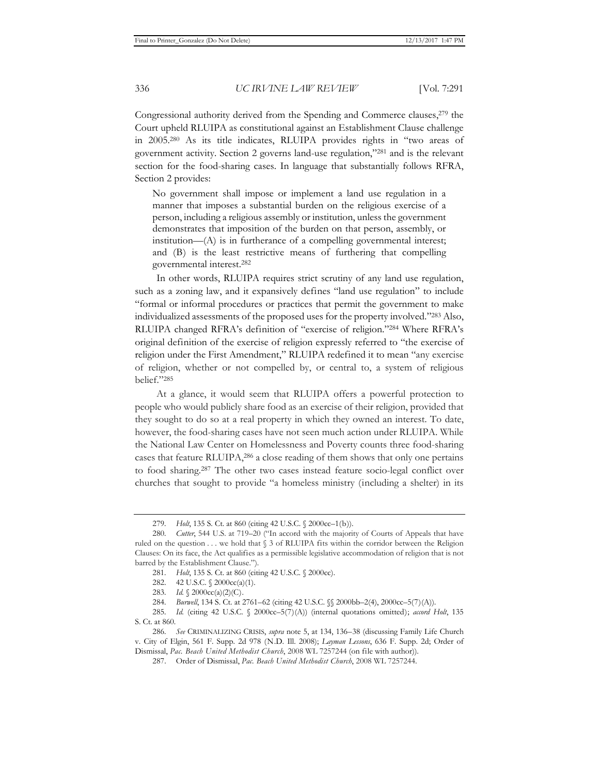Congressional authority derived from the Spending and Commerce clauses,<sup>279</sup> the Court upheld RLUIPA as constitutional against an Establishment Clause challenge in 2005.280 As its title indicates, RLUIPA provides rights in "two areas of government activity. Section 2 governs land-use regulation,"281 and is the relevant section for the food-sharing cases. In language that substantially follows RFRA, Section 2 provides:

No government shall impose or implement a land use regulation in a manner that imposes a substantial burden on the religious exercise of a person, including a religious assembly or institution, unless the government demonstrates that imposition of the burden on that person, assembly, or institution—(A) is in furtherance of a compelling governmental interest; and (B) is the least restrictive means of furthering that compelling governmental interest.282

In other words, RLUIPA requires strict scrutiny of any land use regulation, such as a zoning law, and it expansively defines "land use regulation" to include "formal or informal procedures or practices that permit the government to make individualized assessments of the proposed uses for the property involved."283 Also, RLUIPA changed RFRA's definition of "exercise of religion."284 Where RFRA's original definition of the exercise of religion expressly referred to "the exercise of religion under the First Amendment," RLUIPA redefined it to mean "any exercise of religion, whether or not compelled by, or central to, a system of religious belief."285

At a glance, it would seem that RLUIPA offers a powerful protection to people who would publicly share food as an exercise of their religion, provided that they sought to do so at a real property in which they owned an interest. To date, however, the food-sharing cases have not seen much action under RLUIPA. While the National Law Center on Homelessness and Poverty counts three food-sharing cases that feature RLUIPA,286 a close reading of them shows that only one pertains to food sharing.287 The other two cases instead feature socio-legal conflict over churches that sought to provide "a homeless ministry (including a shelter) in its

<sup>279</sup>*. Holt*, 135 S. Ct. at 860 (citing 42 U.S.C. § 2000cc–1(b)).

<sup>280</sup>*. Cutter*, 544 U.S. at 719–20 ("In accord with the majority of Courts of Appeals that have ruled on the question . . . we hold that § 3 of RLUIPA fits within the corridor between the Religion Clauses: On its face, the Act qualifies as a permissible legislative accommodation of religion that is not barred by the Establishment Clause.").

<sup>281</sup>*. Holt*, 135 S. Ct. at 860 (citing 42 U.S.C. § 2000cc).

<sup>282. 42</sup> U.S.C. § 2000cc(a)(1).

<sup>283</sup>*. Id.* § 2000cc(a)(2)(C).

<sup>284</sup>*. Burwell*, 134 S. Ct. at 2761–62 (citing 42 U.S.C. §§ 2000bb–2(4), 2000cc–5(7)(A)).

<sup>285</sup>*. Id.* (citing 42 U.S.C. § 2000cc–5(7)(A)) (internal quotations omitted); *accord Holt*, 135 S. Ct. at 860.

<sup>286</sup>*. See* CRIMINALIZING CRISIS, *supra* note 5, at 134, 136–38 (discussing Family Life Church v. City of Elgin, 561 F. Supp. 2d 978 (N.D. Ill. 2008); *Layman Lessons*, 636 F. Supp. 2d; Order of Dismissal, *Pac. Beach United Methodist Church*, 2008 WL 7257244 (on file with author)).

<sup>287.</sup> Order of Dismissal, *Pac. Beach United Methodist Church*, 2008 WL 7257244.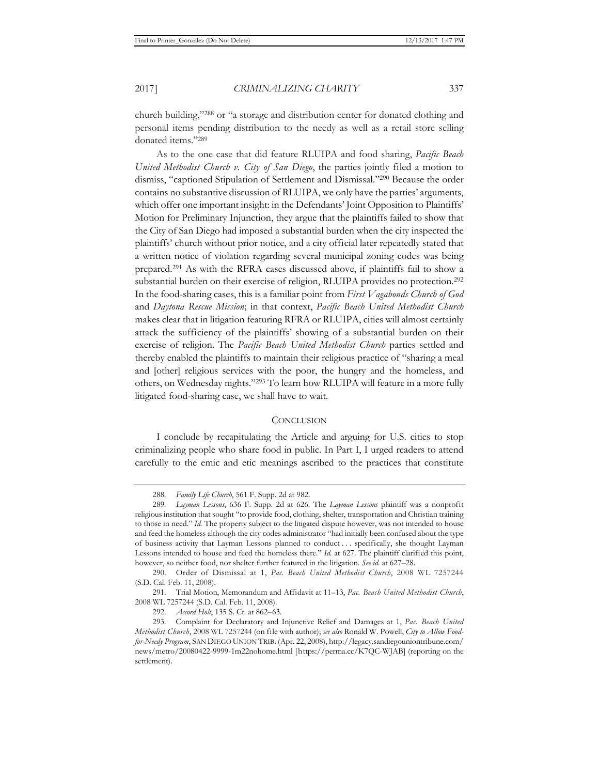church building,"288 or "a storage and distribution center for donated clothing and personal items pending distribution to the needy as well as a retail store selling donated items."289

As to the one case that did feature RLUIPA and food sharing, *Pacific Beach United Methodist Church v. City of San Diego*, the parties jointly filed a motion to dismiss, "captioned Stipulation of Settlement and Dismissal."290 Because the order contains no substantive discussion of RLUIPA, we only have the parties' arguments, which offer one important insight: in the Defendants' Joint Opposition to Plaintiffs' Motion for Preliminary Injunction, they argue that the plaintiffs failed to show that the City of San Diego had imposed a substantial burden when the city inspected the plaintiffs' church without prior notice, and a city official later repeatedly stated that a written notice of violation regarding several municipal zoning codes was being prepared.291 As with the RFRA cases discussed above, if plaintiffs fail to show a substantial burden on their exercise of religion, RLUIPA provides no protection.<sup>292</sup> In the food-sharing cases, this is a familiar point from *First Vagabonds Church of God* and *Daytona Rescue Mission*; in that context, *Pacific Beach United Methodist Church* makes clear that in litigation featuring RFRA or RLUIPA, cities will almost certainly attack the sufficiency of the plaintiffs' showing of a substantial burden on their exercise of religion. The *Pacific Beach United Methodist Church* parties settled and thereby enabled the plaintiffs to maintain their religious practice of "sharing a meal and [other] religious services with the poor, the hungry and the homeless, and others, on Wednesday nights."293 To learn how RLUIPA will feature in a more fully litigated food-sharing case, we shall have to wait.

## **CONCLUSION**

I conclude by recapitulating the Article and arguing for U.S. cities to stop criminalizing people who share food in public. In Part I, I urged readers to attend carefully to the emic and etic meanings ascribed to the practices that constitute

<sup>288</sup>*. Family Life Church*, 561 F. Supp. 2d at 982.

<sup>289</sup>*. Layman Lessons*, 636 F. Supp. 2d at 626. The *Layman Lessons* plaintiff was a nonprofit religious institution that sought "to provide food, clothing, shelter, transportation and Christian training to those in need." *Id.* The property subject to the litigated dispute however, was not intended to house and feed the homeless although the city codes administrator "had initially been confused about the type of business activity that Layman Lessons planned to conduct . . . specifically, she thought Layman Lessons intended to house and feed the homeless there." *Id.* at 627. The plaintiff clarified this point, however, so neither food, nor shelter further featured in the litigation. *See id.* at 627–28.

<sup>290.</sup> Order of Dismissal at 1, *Pac. Beach United Methodist Church*, 2008 WL 7257244 (S.D. Cal. Feb. 11, 2008).

<sup>291.</sup> Trial Motion, Memorandum and Affidavit at 11–13, *Pac. Beach United Methodist Church*, 2008 WL 7257244 (S.D. Cal. Feb. 11, 2008).

<sup>292</sup>*. Accord Holt*, 135 S. Ct. at 862–63.

<sup>293.</sup> Complaint for Declaratory and Injunctive Relief and Damages at 1, *Pac. Beach United Methodist Church*, 2008 WL 7257244 (on file with author); *see also* Ronald W. Powell, *City to Allow Foodfor-Needy Program*, SAN DIEGO UNION TRIB. (Apr. 22, 2008), http://legacy.sandiegouniontribune.com/ news/metro/20080422-9999-1m22nohome.html [https://perma.cc/K7QC-WJAB] (reporting on the settlement).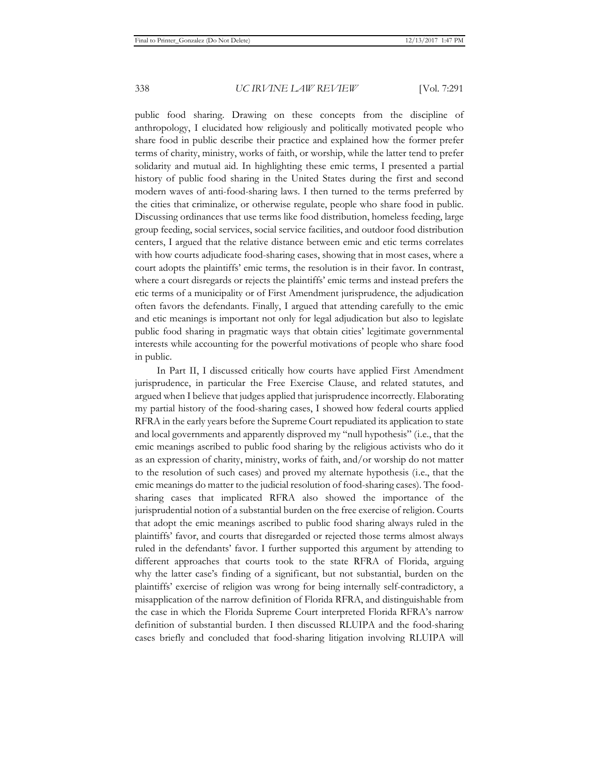public food sharing. Drawing on these concepts from the discipline of anthropology, I elucidated how religiously and politically motivated people who share food in public describe their practice and explained how the former prefer terms of charity, ministry, works of faith, or worship, while the latter tend to prefer solidarity and mutual aid. In highlighting these emic terms, I presented a partial history of public food sharing in the United States during the first and second modern waves of anti-food-sharing laws. I then turned to the terms preferred by the cities that criminalize, or otherwise regulate, people who share food in public. Discussing ordinances that use terms like food distribution, homeless feeding, large group feeding, social services, social service facilities, and outdoor food distribution centers, I argued that the relative distance between emic and etic terms correlates with how courts adjudicate food-sharing cases, showing that in most cases, where a court adopts the plaintiffs' emic terms, the resolution is in their favor. In contrast, where a court disregards or rejects the plaintiffs' emic terms and instead prefers the etic terms of a municipality or of First Amendment jurisprudence, the adjudication often favors the defendants. Finally, I argued that attending carefully to the emic and etic meanings is important not only for legal adjudication but also to legislate public food sharing in pragmatic ways that obtain cities' legitimate governmental interests while accounting for the powerful motivations of people who share food in public.

In Part II, I discussed critically how courts have applied First Amendment jurisprudence, in particular the Free Exercise Clause, and related statutes, and argued when I believe that judges applied that jurisprudence incorrectly. Elaborating my partial history of the food-sharing cases, I showed how federal courts applied RFRA in the early years before the Supreme Court repudiated its application to state and local governments and apparently disproved my "null hypothesis" (i.e., that the emic meanings ascribed to public food sharing by the religious activists who do it as an expression of charity, ministry, works of faith, and/or worship do not matter to the resolution of such cases) and proved my alternate hypothesis (i.e., that the emic meanings do matter to the judicial resolution of food-sharing cases). The foodsharing cases that implicated RFRA also showed the importance of the jurisprudential notion of a substantial burden on the free exercise of religion. Courts that adopt the emic meanings ascribed to public food sharing always ruled in the plaintiffs' favor, and courts that disregarded or rejected those terms almost always ruled in the defendants' favor. I further supported this argument by attending to different approaches that courts took to the state RFRA of Florida, arguing why the latter case's finding of a significant, but not substantial, burden on the plaintiffs' exercise of religion was wrong for being internally self-contradictory, a misapplication of the narrow definition of Florida RFRA, and distinguishable from the case in which the Florida Supreme Court interpreted Florida RFRA's narrow definition of substantial burden. I then discussed RLUIPA and the food-sharing cases briefly and concluded that food-sharing litigation involving RLUIPA will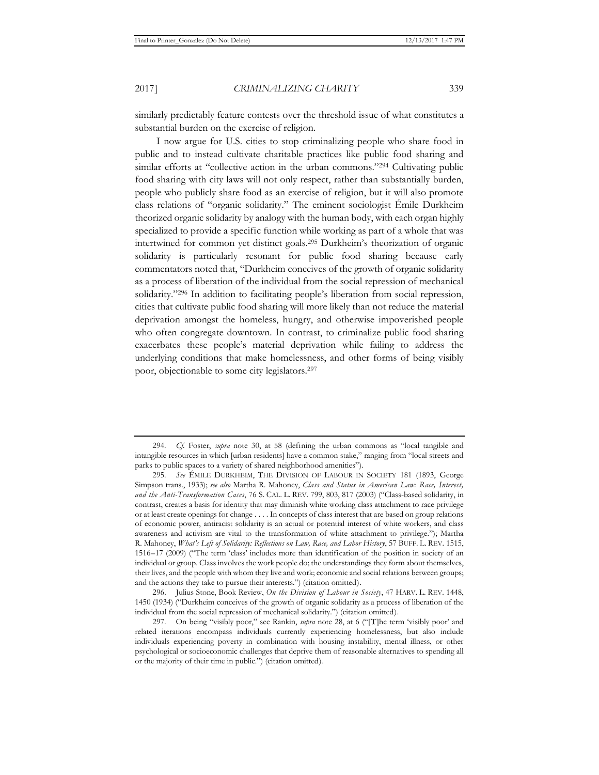similarly predictably feature contests over the threshold issue of what constitutes a substantial burden on the exercise of religion.

I now argue for U.S. cities to stop criminalizing people who share food in public and to instead cultivate charitable practices like public food sharing and similar efforts at "collective action in the urban commons."<sup>294</sup> Cultivating public food sharing with city laws will not only respect, rather than substantially burden, people who publicly share food as an exercise of religion, but it will also promote class relations of "organic solidarity." The eminent sociologist Émile Durkheim theorized organic solidarity by analogy with the human body, with each organ highly specialized to provide a specific function while working as part of a whole that was intertwined for common yet distinct goals.295 Durkheim's theorization of organic solidarity is particularly resonant for public food sharing because early commentators noted that, "Durkheim conceives of the growth of organic solidarity as a process of liberation of the individual from the social repression of mechanical solidarity."<sup>296</sup> In addition to facilitating people's liberation from social repression, cities that cultivate public food sharing will more likely than not reduce the material deprivation amongst the homeless, hungry, and otherwise impoverished people who often congregate downtown. In contrast, to criminalize public food sharing exacerbates these people's material deprivation while failing to address the underlying conditions that make homelessness, and other forms of being visibly poor, objectionable to some city legislators.297

296. Julius Stone, Book Review, *On the Division of Labour in Society*, 47 HARV. L. REV. 1448, 1450 (1934) ("Durkheim conceives of the growth of organic solidarity as a process of liberation of the individual from the social repression of mechanical solidarity.") (citation omitted).

<sup>294</sup>*. Cf.* Foster, *supra* note 30, at 58 (defining the urban commons as "local tangible and intangible resources in which [urban residents] have a common stake," ranging from "local streets and parks to public spaces to a variety of shared neighborhood amenities").

<sup>295</sup>*. See* ÉMILE DURKHEIM, THE DIVISION OF LABOUR IN SOCIETY 181 (1893, George Simpson trans., 1933); *see also* Martha R. Mahoney, *Class and Status in American Law: Race, Interest, and the Anti-Transformation Cases*, 76 S. CAL. L. REV. 799, 803, 817 (2003) ("Class-based solidarity, in contrast, creates a basis for identity that may diminish white working class attachment to race privilege or at least create openings for change . . . . In concepts of class interest that are based on group relations of economic power, antiracist solidarity is an actual or potential interest of white workers, and class awareness and activism are vital to the transformation of white attachment to privilege."); Martha R. Mahoney, *What's Left of Solidarity: Reflections on Law, Race, and Labor History*, 57 BUFF. L. REV. 1515, 1516–17 (2009) ("The term 'class' includes more than identification of the position in society of an individual or group. Class involves the work people do; the understandings they form about themselves, their lives, and the people with whom they live and work; economic and social relations between groups; and the actions they take to pursue their interests.") (citation omitted).

<sup>297.</sup> On being "visibly poor," see Rankin, *supra* note 28, at 6 ("[T]he term 'visibly poor' and related iterations encompass individuals currently experiencing homelessness, but also include individuals experiencing poverty in combination with housing instability, mental illness, or other psychological or socioeconomic challenges that deprive them of reasonable alternatives to spending all or the majority of their time in public.") (citation omitted).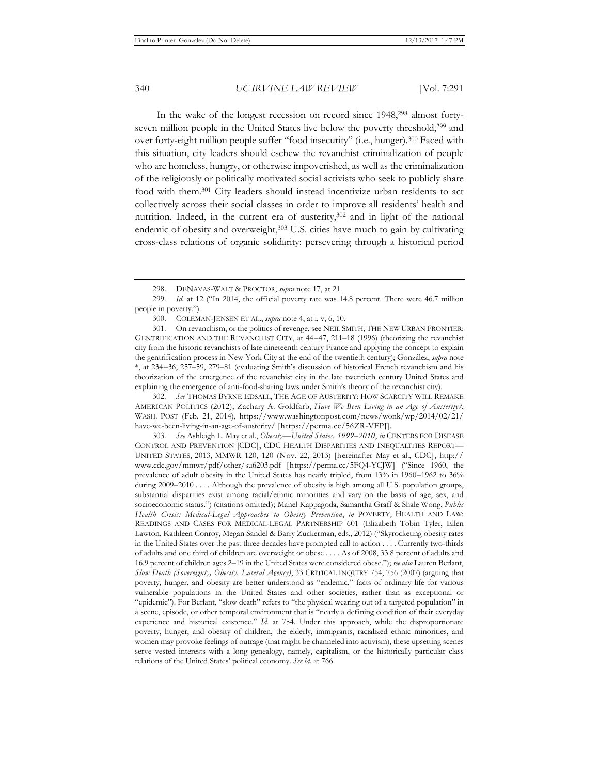In the wake of the longest recession on record since 1948,298 almost fortyseven million people in the United States live below the poverty threshold,<sup>299</sup> and over forty-eight million people suffer "food insecurity" (i.e., hunger).300 Faced with this situation, city leaders should eschew the revanchist criminalization of people who are homeless, hungry, or otherwise impoverished, as well as the criminalization of the religiously or politically motivated social activists who seek to publicly share food with them.301 City leaders should instead incentivize urban residents to act collectively across their social classes in order to improve all residents' health and nutrition. Indeed, in the current era of austerity,<sup>302</sup> and in light of the national endemic of obesity and overweight,303 U.S. cities have much to gain by cultivating cross-class relations of organic solidarity: persevering through a historical period

302*. See* THOMAS BYRNE EDSALL, THE AGE OF AUSTERITY: HOW SCARCITY WILL REMAKE AMERICAN POLITICS (2012); Zachary A. Goldfarb, *Have We Been Living in an Age of Austerity?*, WASH. POST (Feb. 21, 2014), https://www.washingtonpost.com/news/wonk/wp/2014/02/21/ have-we-been-living-in-an-age-of-austerity/ [https://perma.cc/56ZR-VFPJ].

303*. See* Ashleigh L. May et al., *Obesity—United States, 1999–2010*, *in* CENTERS FOR DISEASE CONTROL AND PREVENTION [CDC], CDC HEALTH DISPARITIES AND INEQUALITIES REPORT— UNITED STATES, 2013, MMWR 120, 120 (Nov. 22, 2013) [hereinafter May et al., CDC], http:// www.cdc.gov/mmwr/pdf/other/su6203.pdf [https://perma.cc/5FQ4-YCJW] ("Since 1960, the prevalence of adult obesity in the United States has nearly tripled, from 13% in 1960–1962 to 36% during 2009–2010 . . . . Although the prevalence of obesity is high among all U.S. population groups, substantial disparities exist among racial/ethnic minorities and vary on the basis of age, sex, and socioeconomic status.") (citations omitted); Manel Kappagoda, Samantha Graff & Shale Wong, *Public Health Crisis: Medical-Legal Approaches to Obesity Prevention*, *in* POVERTY, HEALTH AND LAW: READINGS AND CASES FOR MEDICAL-LEGAL PARTNERSHIP 601 (Elizabeth Tobin Tyler, Ellen Lawton, Kathleen Conroy, Megan Sandel & Barry Zuckerman, eds., 2012) ("Skyrocketing obesity rates in the United States over the past three decades have prompted call to action . . . . Currently two-thirds of adults and one third of children are overweight or obese . . . . As of 2008, 33.8 percent of adults and 16.9 percent of children ages 2–19 in the United States were considered obese."); *see also* Lauren Berlant, *Slow Death (Sovereignty, Obesity, Lateral Agency)*, 33 CRITICAL INQUIRY 754, 756 (2007) (arguing that poverty, hunger, and obesity are better understood as "endemic," facts of ordinary life for various vulnerable populations in the United States and other societies, rather than as exceptional or "epidemic"). For Berlant, "slow death" refers to "the physical wearing out of a targeted population" in a scene, episode, or other temporal environment that is "nearly a defining condition of their everyday experience and historical existence." *Id.* at 754. Under this approach, while the disproportionate poverty, hunger, and obesity of children, the elderly, immigrants, racialized ethnic minorities, and women may provoke feelings of outrage (that might be channeled into activism), these upsetting scenes serve vested interests with a long genealogy, namely, capitalism, or the historically particular class relations of the United States' political economy. *See id.* at 766.

<sup>298.</sup> DENAVAS-WALT & PROCTOR, *supra* note 17, at 21.

<sup>299</sup>*. Id.* at 12 ("In 2014, the official poverty rate was 14.8 percent. There were 46.7 million people in poverty.").

<sup>300.</sup> COLEMAN-JENSEN ET AL., *supra* note 4, at i, v, 6, 10.

<sup>301.</sup> On revanchism, or the politics of revenge, see NEIL SMITH, THE NEW URBAN FRONTIER: GENTRIFICATION AND THE REVANCHIST CITY, at 44–47, 211–18 (1996) (theorizing the revanchist city from the historic revanchists of late nineteenth century France and applying the concept to explain the gentrification process in New York City at the end of the twentieth century); González, *supra* note \*, at 234–36, 257–59, 279–81 (evaluating Smith's discussion of historical French revanchism and his theorization of the emergence of the revanchist city in the late twentieth century United States and explaining the emergence of anti-food-sharing laws under Smith's theory of the revanchist city).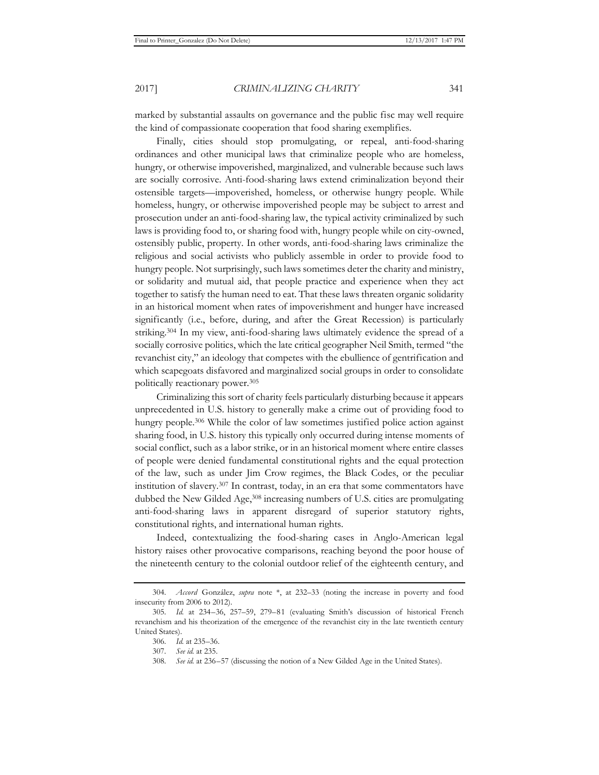marked by substantial assaults on governance and the public fisc may well require the kind of compassionate cooperation that food sharing exemplifies.

Finally, cities should stop promulgating, or repeal, anti-food-sharing ordinances and other municipal laws that criminalize people who are homeless, hungry, or otherwise impoverished, marginalized, and vulnerable because such laws are socially corrosive. Anti-food-sharing laws extend criminalization beyond their ostensible targets—impoverished, homeless, or otherwise hungry people. While homeless, hungry, or otherwise impoverished people may be subject to arrest and prosecution under an anti-food-sharing law, the typical activity criminalized by such laws is providing food to, or sharing food with, hungry people while on city-owned, ostensibly public, property. In other words, anti-food-sharing laws criminalize the religious and social activists who publicly assemble in order to provide food to hungry people. Not surprisingly, such laws sometimes deter the charity and ministry, or solidarity and mutual aid, that people practice and experience when they act together to satisfy the human need to eat. That these laws threaten organic solidarity in an historical moment when rates of impoverishment and hunger have increased significantly (i.e., before, during, and after the Great Recession) is particularly striking.304 In my view, anti-food-sharing laws ultimately evidence the spread of a socially corrosive politics, which the late critical geographer Neil Smith, termed "the revanchist city," an ideology that competes with the ebullience of gentrification and which scapegoats disfavored and marginalized social groups in order to consolidate politically reactionary power.305

Criminalizing this sort of charity feels particularly disturbing because it appears unprecedented in U.S. history to generally make a crime out of providing food to hungry people.<sup>306</sup> While the color of law sometimes justified police action against sharing food, in U.S. history this typically only occurred during intense moments of social conflict, such as a labor strike, or in an historical moment where entire classes of people were denied fundamental constitutional rights and the equal protection of the law, such as under Jim Crow regimes, the Black Codes, or the peculiar institution of slavery.307 In contrast, today, in an era that some commentators have dubbed the New Gilded Age,<sup>308</sup> increasing numbers of U.S. cities are promulgating anti-food-sharing laws in apparent disregard of superior statutory rights, constitutional rights, and international human rights.

Indeed, contextualizing the food-sharing cases in Anglo-American legal history raises other provocative comparisons, reaching beyond the poor house of the nineteenth century to the colonial outdoor relief of the eighteenth century, and

<sup>304</sup>*. Accord* González, *supra* note \*, at 232–33 (noting the increase in poverty and food insecurity from 2006 to 2012).

<sup>305</sup>*. Id.* at 234–36, 257–59, 279–81 (evaluating Smith's discussion of historical French revanchism and his theorization of the emergence of the revanchist city in the late twentieth century United States).

<sup>306</sup>*. Id.* at 235–36.

<sup>307</sup>*. See id.* at 235.

<sup>308</sup>*. See id.* at 236–57 (discussing the notion of a New Gilded Age in the United States).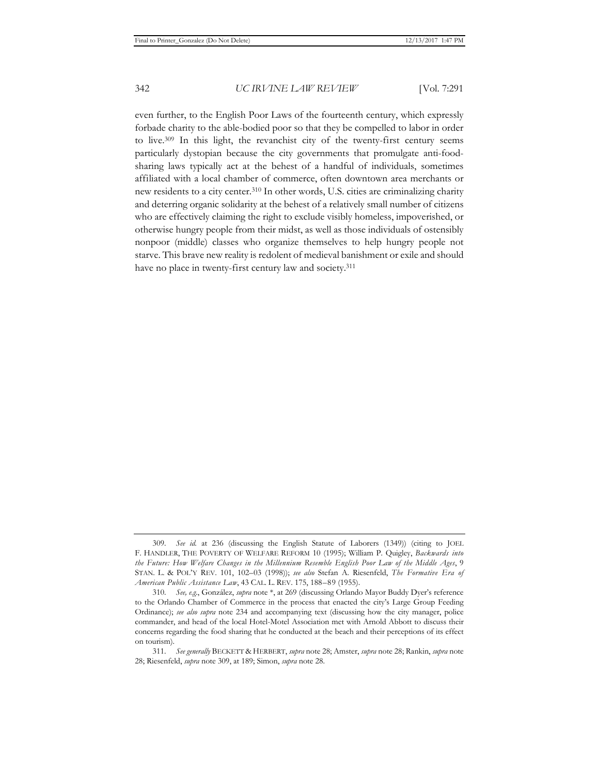even further, to the English Poor Laws of the fourteenth century, which expressly forbade charity to the able-bodied poor so that they be compelled to labor in order to live.309 In this light, the revanchist city of the twenty-first century seems particularly dystopian because the city governments that promulgate anti-foodsharing laws typically act at the behest of a handful of individuals, sometimes affiliated with a local chamber of commerce, often downtown area merchants or new residents to a city center.310 In other words, U.S. cities are criminalizing charity and deterring organic solidarity at the behest of a relatively small number of citizens who are effectively claiming the right to exclude visibly homeless, impoverished, or otherwise hungry people from their midst, as well as those individuals of ostensibly nonpoor (middle) classes who organize themselves to help hungry people not starve. This brave new reality is redolent of medieval banishment or exile and should have no place in twenty-first century law and society.<sup>311</sup>

<sup>309</sup>*. See id.* at 236 (discussing the English Statute of Laborers (1349)) (citing to JOEL F. HANDLER, THE POVERTY OF WELFARE REFORM 10 (1995); William P. Quigley, *Backwards into the Future: How Welfare Changes in the Millennium Resemble English Poor Law of the Middle Ages*, 9 STAN. L. & POL'Y REV. 101, 102–03 (1998)); *see also* Stefan A. Riesenfeld, *The Formative Era of American Public Assistance Law*, 43 CAL. L. REV. 175, 188–89 (1955).

<sup>310</sup>*. See, e.g.*, González, *supra* note \*, at 269 (discussing Orlando Mayor Buddy Dyer's reference to the Orlando Chamber of Commerce in the process that enacted the city's Large Group Feeding Ordinance); *see also supra* note 234 and accompanying text (discussing how the city manager, police commander, and head of the local Hotel-Motel Association met with Arnold Abbott to discuss their concerns regarding the food sharing that he conducted at the beach and their perceptions of its effect on tourism).

<sup>311</sup>*. See generally* BECKETT & HERBERT, *supra* note 28; Amster, *supra* note 28; Rankin, *supra* note 28; Riesenfeld, *supra* note 309, at 189; Simon, *supra* note 28.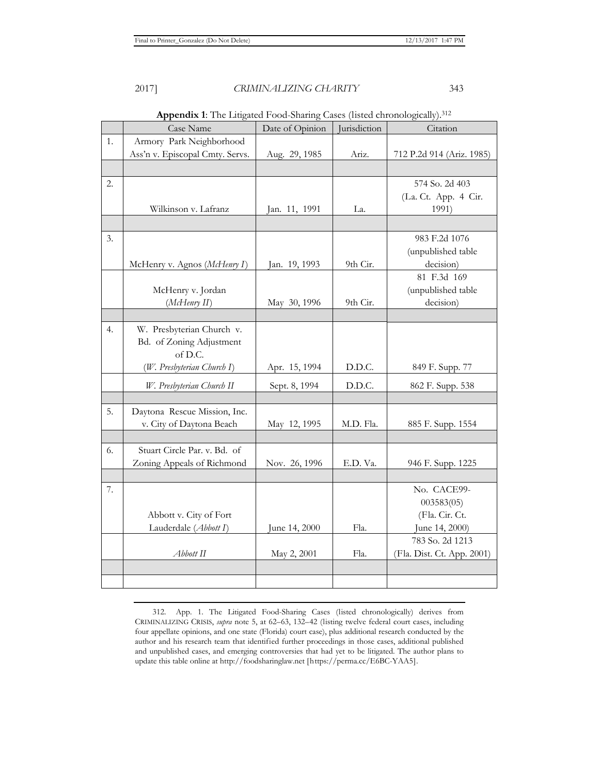|    | <b>Appendix 1.</b> The Linguida Pood-Shannig Cases (fisted chronologically). <sup>312</sup> |                 |              |                            |  |  |
|----|---------------------------------------------------------------------------------------------|-----------------|--------------|----------------------------|--|--|
|    | Case Name                                                                                   | Date of Opinion | Jurisdiction | Citation                   |  |  |
| 1. | Armory Park Neighborhood                                                                    |                 |              |                            |  |  |
|    | Ass'n v. Episcopal Cmty. Servs.                                                             | Aug. 29, 1985   | Ariz.        | 712 P.2d 914 (Ariz. 1985)  |  |  |
|    |                                                                                             |                 |              |                            |  |  |
| 2. |                                                                                             |                 |              | 574 So. 2d 403             |  |  |
|    |                                                                                             |                 |              | (La. Ct. App. 4 Cir.       |  |  |
|    | Wilkinson v. Lafranz                                                                        | Jan. 11, 1991   | La.          | 1991)                      |  |  |
|    |                                                                                             |                 |              |                            |  |  |
| 3. |                                                                                             |                 |              | 983 F.2d 1076              |  |  |
|    |                                                                                             |                 |              | (unpublished table         |  |  |
|    | McHenry v. Agnos (McHenry I)                                                                | Jan. 19, 1993   | 9th Cir.     | decision)                  |  |  |
|    |                                                                                             |                 |              | 81 F.3d 169                |  |  |
|    | McHenry v. Jordan                                                                           |                 |              | (unpublished table         |  |  |
|    | (McHenry II)                                                                                | May 30, 1996    | 9th Cir.     | decision)                  |  |  |
|    |                                                                                             |                 |              |                            |  |  |
| 4. | W. Presbyterian Church v.                                                                   |                 |              |                            |  |  |
|    | Bd. of Zoning Adjustment                                                                    |                 |              |                            |  |  |
|    | of D.C.                                                                                     |                 |              |                            |  |  |
|    | (W. Presbyterian Church I)                                                                  | Apr. 15, 1994   | D.D.C.       | 849 F. Supp. 77            |  |  |
|    | W. Presbyterian Church II                                                                   | Sept. 8, 1994   | D.D.C.       | 862 F. Supp. 538           |  |  |
|    |                                                                                             |                 |              |                            |  |  |
| 5. | Daytona Rescue Mission, Inc.                                                                |                 |              |                            |  |  |
|    | v. City of Daytona Beach                                                                    | May 12, 1995    | M.D. Fla.    | 885 F. Supp. 1554          |  |  |
|    |                                                                                             |                 |              |                            |  |  |
| 6. | Stuart Circle Par. v. Bd. of                                                                |                 |              |                            |  |  |
|    | Zoning Appeals of Richmond                                                                  | Nov. 26, 1996   | E.D. Va.     | 946 F. Supp. 1225          |  |  |
|    |                                                                                             |                 |              |                            |  |  |
| 7. |                                                                                             |                 |              | No. CACE99-                |  |  |
|    |                                                                                             |                 |              | 003583(05)                 |  |  |
|    | Abbott v. City of Fort                                                                      |                 |              | (Fla. Cir. Ct.             |  |  |
|    | Lauderdale (Abbott I)                                                                       | June 14, 2000   | Fla.         | June 14, 2000)             |  |  |
|    |                                                                                             |                 |              | 783 So. 2d 1213            |  |  |
|    | Abbott II                                                                                   | May 2, 2001     | Fla.         | (Fla. Dist. Ct. App. 2001) |  |  |
|    |                                                                                             |                 |              |                            |  |  |
|    |                                                                                             |                 |              |                            |  |  |

**Appendix 1**: The Litigated Food-Sharing Cases (listed chronologically).312

<sup>312.</sup> App. 1. The Litigated Food-Sharing Cases (listed chronologically) derives from CRIMINALIZING CRISIS, *supra* note 5, at 62–63, 132–42 (listing twelve federal court cases, including four appellate opinions, and one state (Florida) court case), plus additional research conducted by the author and his research team that identified further proceedings in those cases, additional published and unpublished cases, and emerging controversies that had yet to be litigated. The author plans to update this table online at http://foodsharinglaw.net [https://perma.cc/E6BC-YAA5].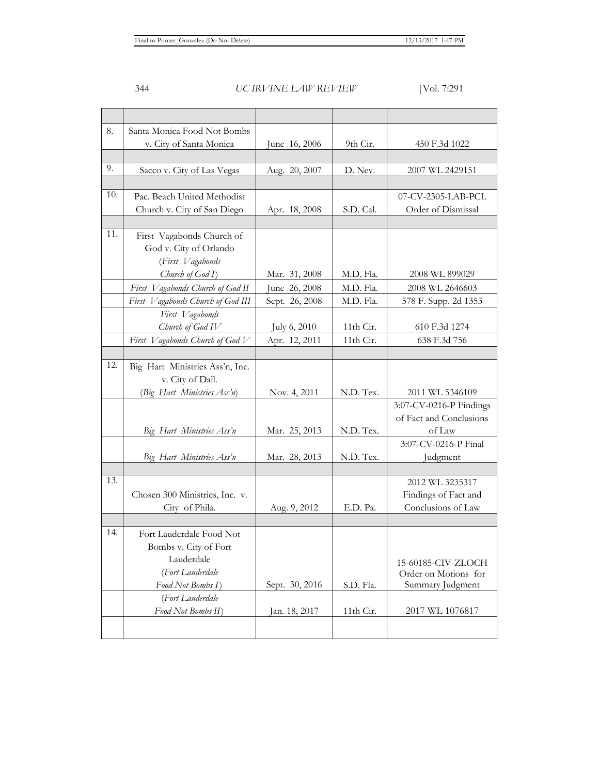| 8.  | Santa Monica Food Not Bombs       |                |           |                         |
|-----|-----------------------------------|----------------|-----------|-------------------------|
|     | v. City of Santa Monica           | June 16, 2006  | 9th Cir.  | 450 F.3d 1022           |
|     |                                   |                |           |                         |
| 9.  | Sacco v. City of Las Vegas        | Aug. 20, 2007  | D. Nev.   | 2007 WL 2429151         |
|     |                                   |                |           |                         |
| 10. | Pac. Beach United Methodist       |                |           | 07-CV-2305-LAB-PCL      |
|     | Church v. City of San Diego       | Apr. 18, 2008  | S.D. Cal. | Order of Dismissal      |
|     |                                   |                |           |                         |
| 11. | First Vagabonds Church of         |                |           |                         |
|     | God v. City of Orlando            |                |           |                         |
|     | (First Vagabonds                  |                |           |                         |
|     | Church of God I)                  | Mar. 31, 2008  | M.D. Fla. | 2008 WL 899029          |
|     | First Vagabonds Church of God II  | June 26, 2008  | M.D. Fla. | 2008 WL 2646603         |
|     | First Vagabonds Church of God III | Sept. 26, 2008 | M.D. Fla. | 578 F. Supp. 2d 1353    |
|     | First Vagabonds                   |                |           |                         |
|     | Church of God IV                  | July 6, 2010   | 11th Cir. | 610 F.3d 1274           |
|     | First Vagabonds Church of God V   | Apr. 12, 2011  | 11th Cir. | 638 F.3d 756            |
|     |                                   |                |           |                         |
| 12. | Big Hart Ministries Ass'n, Inc.   |                |           |                         |
|     | v. City of Dall.                  |                |           |                         |
|     | (Big Hart Ministries Ass'n)       | Nov. 4, 2011   | N.D. Tex. | 2011 WL 5346109         |
|     |                                   |                |           | 3:07-CV-0216-P Findings |
|     |                                   |                |           | of Fact and Conclusions |
|     | Big Hart Ministries Ass'n         | Mar. 25, 2013  | N.D. Tex. | of Law                  |
|     |                                   |                |           | 3:07-CV-0216-P Final    |
|     | Big Hart Ministries Ass'n         | Mar. 28, 2013  | N.D. Tex. | Judgment                |
|     |                                   |                |           |                         |
| 13. |                                   |                |           | 2012 WL 3235317         |
|     | Chosen 300 Ministries, Inc. v.    |                |           | Findings of Fact and    |
|     | City of Phila.                    | Aug. 9, 2012   | E.D. Pa.  | Conclusions of Law      |
|     |                                   |                |           |                         |
| 14. | Fort Lauderdale Food Not          |                |           |                         |
|     | Bombs v. City of Fort             |                |           |                         |
|     | Lauderdale                        |                |           | 15-60185-CIV-ZLOCH      |
|     | (Fort Lauderdale                  |                |           | Order on Motions for    |
|     | Food Not Bombs I)                 | Sept. 30, 2016 | S.D. Fla. | Summary Judgment        |
|     | (Fort Lauderdale                  |                |           |                         |
|     | Food Not Bombs II)                | Jan. 18, 2017  | 11th Cir. | 2017 WL 1076817         |
|     |                                   |                |           |                         |
|     |                                   |                |           |                         |